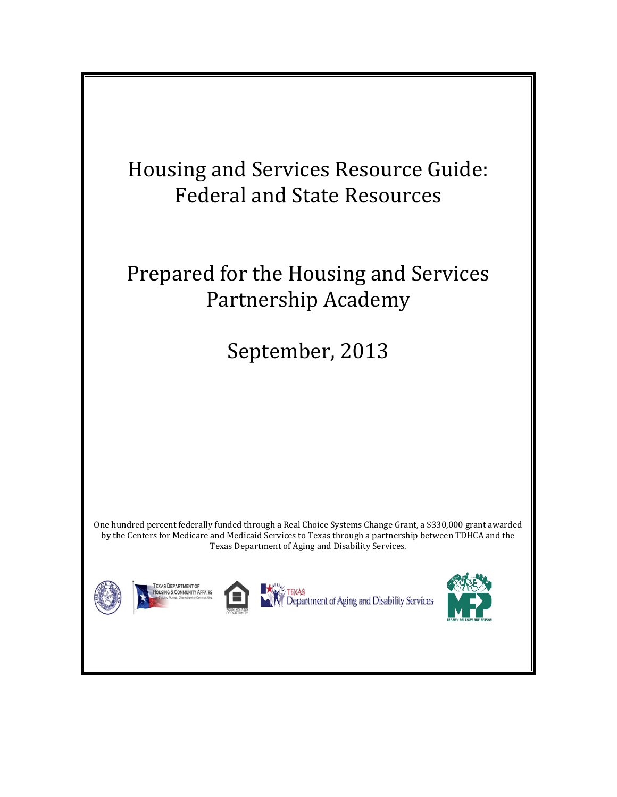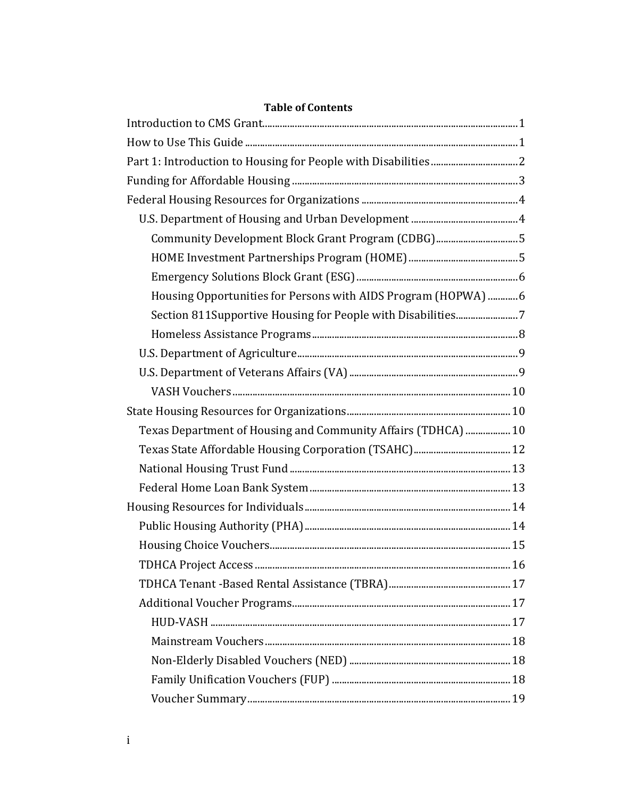| Community Development Block Grant Program (CDBG)5              |  |
|----------------------------------------------------------------|--|
|                                                                |  |
|                                                                |  |
| Housing Opportunities for Persons with AIDS Program (HOPWA)  6 |  |
| Section 811Supportive Housing for People with Disabilities7    |  |
|                                                                |  |
|                                                                |  |
|                                                                |  |
|                                                                |  |
|                                                                |  |
| Texas Department of Housing and Community Affairs (TDHCA)  10  |  |
|                                                                |  |
|                                                                |  |
|                                                                |  |
|                                                                |  |
|                                                                |  |
|                                                                |  |
|                                                                |  |
|                                                                |  |
|                                                                |  |
|                                                                |  |
|                                                                |  |
|                                                                |  |
|                                                                |  |
|                                                                |  |

# **Table of Contents**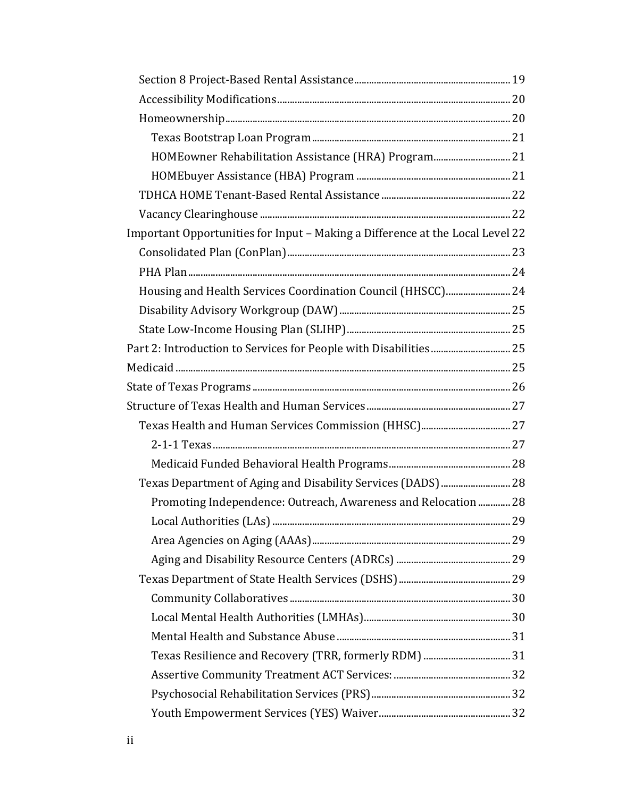| HOMEowner Rehabilitation Assistance (HRA) Program 21                          |  |
|-------------------------------------------------------------------------------|--|
|                                                                               |  |
|                                                                               |  |
|                                                                               |  |
| Important Opportunities for Input - Making a Difference at the Local Level 22 |  |
|                                                                               |  |
|                                                                               |  |
| Housing and Health Services Coordination Council (HHSCC) 24                   |  |
|                                                                               |  |
|                                                                               |  |
|                                                                               |  |
|                                                                               |  |
|                                                                               |  |
|                                                                               |  |
|                                                                               |  |
|                                                                               |  |
|                                                                               |  |
| Texas Department of Aging and Disability Services (DADS)  28                  |  |
| Promoting Independence: Outreach, Awareness and Relocation  28                |  |
|                                                                               |  |
|                                                                               |  |
|                                                                               |  |
|                                                                               |  |
|                                                                               |  |
|                                                                               |  |
|                                                                               |  |
| Texas Resilience and Recovery (TRR, formerly RDM)  31                         |  |
|                                                                               |  |
|                                                                               |  |
|                                                                               |  |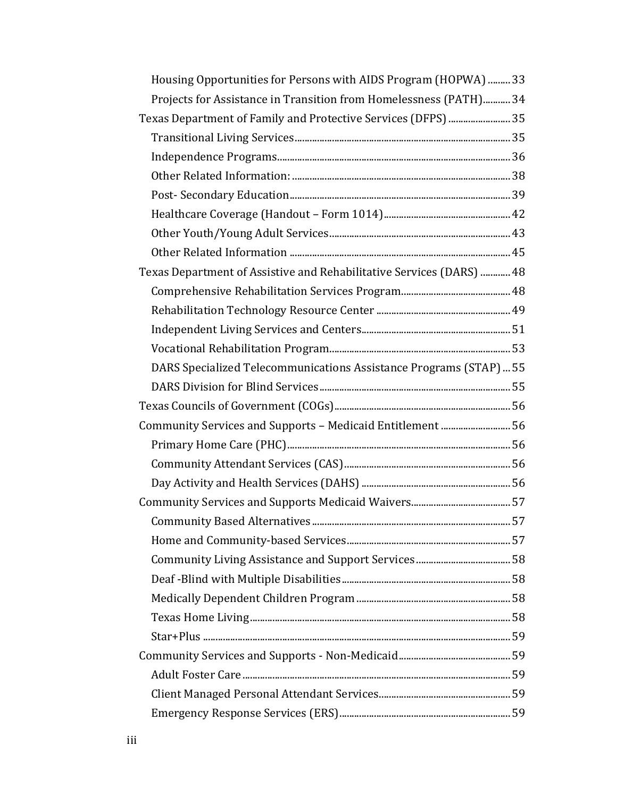| Housing Opportunities for Persons with AIDS Program (HOPWA)  33      |  |
|----------------------------------------------------------------------|--|
| Projects for Assistance in Transition from Homelessness (PATH) 34    |  |
|                                                                      |  |
|                                                                      |  |
|                                                                      |  |
|                                                                      |  |
|                                                                      |  |
|                                                                      |  |
|                                                                      |  |
|                                                                      |  |
| Texas Department of Assistive and Rehabilitative Services (DARS)  48 |  |
|                                                                      |  |
|                                                                      |  |
|                                                                      |  |
|                                                                      |  |
| DARS Specialized Telecommunications Assistance Programs (STAP)  55   |  |
|                                                                      |  |
|                                                                      |  |
| Community Services and Supports - Medicaid Entitlement  56           |  |
|                                                                      |  |
|                                                                      |  |
|                                                                      |  |
|                                                                      |  |
|                                                                      |  |
|                                                                      |  |
|                                                                      |  |
|                                                                      |  |
|                                                                      |  |
|                                                                      |  |
|                                                                      |  |
|                                                                      |  |
|                                                                      |  |
|                                                                      |  |
|                                                                      |  |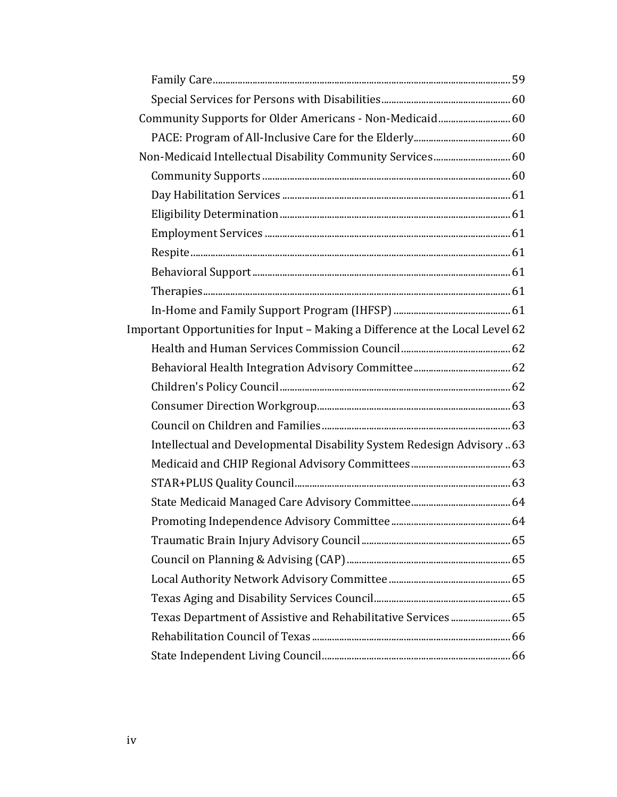| Community Supports for Older Americans - Non-Medicaid 60                      |  |
|-------------------------------------------------------------------------------|--|
|                                                                               |  |
| Non-Medicaid Intellectual Disability Community Services 60                    |  |
|                                                                               |  |
|                                                                               |  |
|                                                                               |  |
|                                                                               |  |
|                                                                               |  |
|                                                                               |  |
|                                                                               |  |
|                                                                               |  |
| Important Opportunities for Input - Making a Difference at the Local Level 62 |  |
|                                                                               |  |
|                                                                               |  |
|                                                                               |  |
|                                                                               |  |
|                                                                               |  |
| Intellectual and Developmental Disability System Redesign Advisory  63        |  |
|                                                                               |  |
|                                                                               |  |
|                                                                               |  |
|                                                                               |  |
|                                                                               |  |
|                                                                               |  |
|                                                                               |  |
|                                                                               |  |
| Texas Department of Assistive and Rehabilitative Services 65                  |  |
|                                                                               |  |
|                                                                               |  |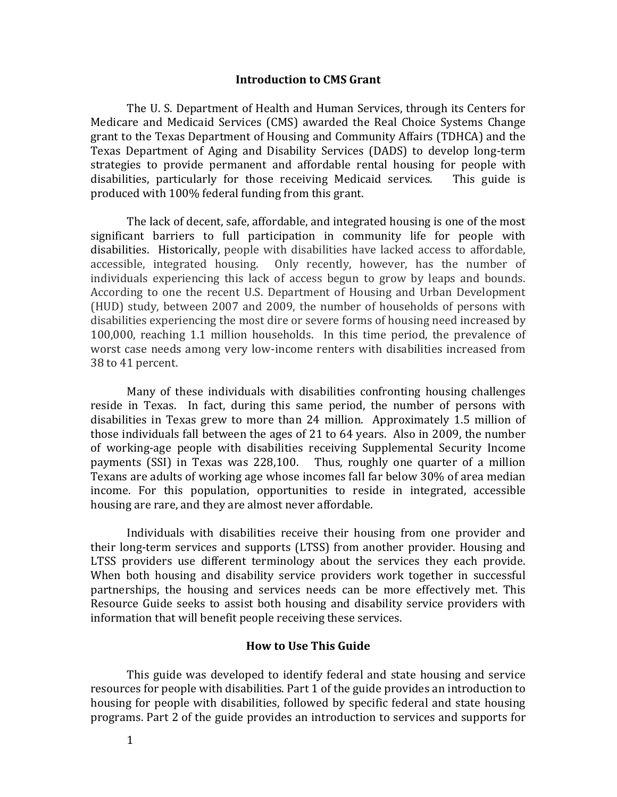#### **Introduction to CMS Grant**

<span id="page-5-0"></span>The U. S. Department of Health and Human Services, through its Centers for Medicare and Medicaid Services (CMS) awarded the Real Choice Systems Change grant to the Texas Department of Housing and Community Affairs (TDHCA) and the Texas Department of Aging and Disability Services (DADS) to develop long-term strategies to provide permanent and affordable rental housing for people with disabilities, particularly for those receiving Medicaid services. This guide is produced with 100% federal funding from this grant.

The lack of decent, safe, affordable, and integrated housing is one of the most significant barriers to full participation in community life for people with disabilities. Historically, people with disabilities have lacked access to affordable, accessible, integrated housing. Only recently, however, has the number of individuals experiencing this lack of access begun to grow by leaps and bounds. According to one the recent U.S. Department of Housing and Urban Development (HUD) study, between 2007 and 2009, the number of households of persons with disabilities experiencing the most dire or severe forms of housing need increased by 100,000, reaching 1.1 million households. In this time period, the prevalence of worst case needs among very low-income renters with disabilities increased from 38 to 41 percent.

Many of these individuals with disabilities confronting housing challenges reside in Texas. In fact, during this same period, the number of persons with disabilities in Texas grew to more than 24 million. Approximately 1.5 million of those individuals fall between the ages of 21 to 64 years. Also in 2009, the number of working-age people with disabilities receiving Supplemental Security Income payments (SSI) in Texas was 228,100. Thus, roughly one quarter of a million Texans are adults of working age whose incomes fall far below 30% of area median income. For this population, opportunities to reside in integrated, accessible housing are rare, and they are almost never affordable.

Individuals with disabilities receive their housing from one provider and their long-term services and supports (LTSS) from another provider. Housing and LTSS providers use different terminology about the services they each provide. When both housing and disability service providers work together in successful partnerships, the housing and services needs can be more effectively met. This Resource Guide seeks to assist both housing and disability service providers with information that will benefit people receiving these services.

#### **How to Use This Guide**

<span id="page-5-1"></span>This guide was developed to identify federal and state housing and service resources for people with disabilities. Part 1 of the guide provides an introduction to housing for people with disabilities, followed by specific federal and state housing programs. Part 2 of the guide provides an introduction to services and supports for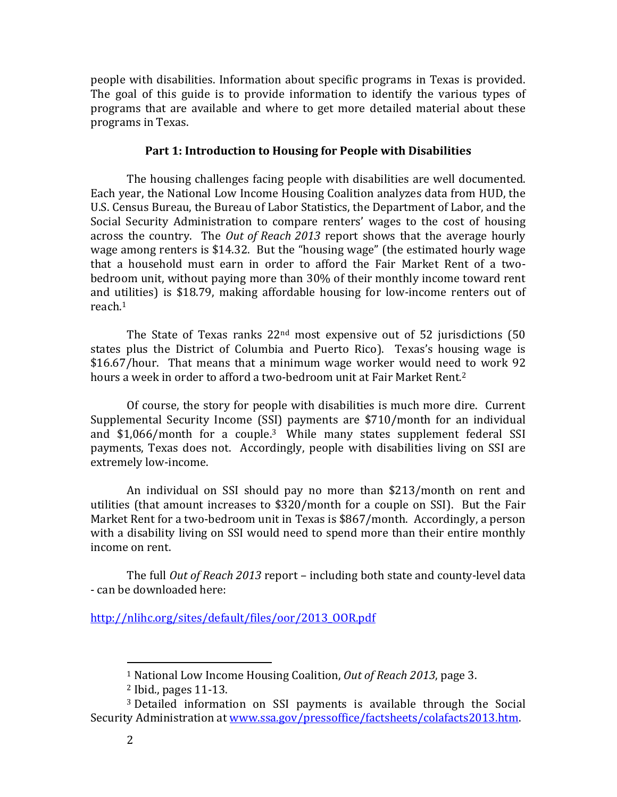people with disabilities. Information about specific programs in Texas is provided. The goal of this guide is to provide information to identify the various types of programs that are available and where to get more detailed material about these programs in Texas.

### **Part 1: Introduction to Housing for People with Disabilities**

<span id="page-6-0"></span>The housing challenges facing people with disabilities are well documented. Each year, the National Low Income Housing Coalition analyzes data from HUD, the U.S. Census Bureau, the Bureau of Labor Statistics, the Department of Labor, and the Social Security Administration to compare renters' wages to the cost of housing across the country. The *Out of Reach 2013* report shows that the average hourly wage among renters is \$14.32. But the "housing wage" (the estimated hourly wage that a household must earn in order to afford the Fair Market Rent of a twobedroom unit, without paying more than 30% of their monthly income toward rent and utilities) is \$18.79, making affordable housing for low-income renters out of reach.<sup>1</sup>

The State of Texas ranks  $22<sup>nd</sup>$  most expensive out of 52 jurisdictions (50 states plus the District of Columbia and Puerto Rico). Texas's housing wage is \$16.67/hour. That means that a minimum wage worker would need to work 92 hours a week in order to afford a two-bedroom unit at Fair Market Rent.<sup>2</sup>

Of course, the story for people with disabilities is much more dire. Current Supplemental Security Income (SSI) payments are \$710/month for an individual and \$1,066/month for a couple.3 While many states supplement federal SSI payments, Texas does not. Accordingly, people with disabilities living on SSI are extremely low-income.

An individual on SSI should pay no more than \$213/month on rent and utilities (that amount increases to \$320/month for a couple on SSI). But the Fair Market Rent for a two-bedroom unit in Texas is \$867/month. Accordingly, a person with a disability living on SSI would need to spend more than their entire monthly income on rent.

The full *Out of Reach 2013* report – including both state and county-level data - can be downloaded here:

[http://nlihc.org/sites/default/files/oor/2013\\_OOR.pdf](http://nlihc.org/sites/default/files/oor/2013_OOR.pdf)

 $\overline{a}$ 

<sup>1</sup> National Low Income Housing Coalition, *Out of Reach 2013*, page 3.

<sup>2</sup> Ibid., pages 11-13.

<sup>3</sup> Detailed information on SSI payments is available through the Social Security Administration at [www.ssa.gov/pressoffice/factsheets/colafacts2013.htm.](http://www.ssa.gov/pressoffice/factsheets/colafacts2013.htm)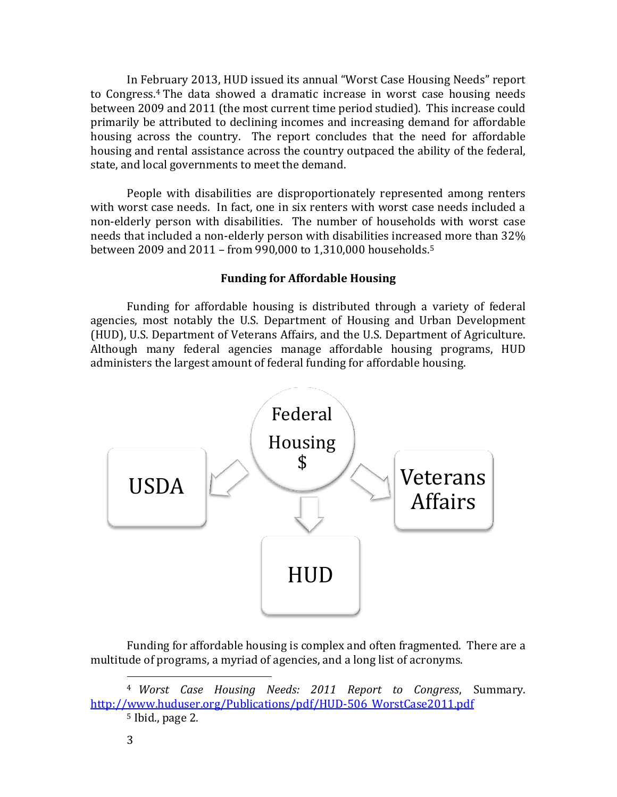In February 2013, HUD issued its annual "Worst Case Housing Needs" report to Congress.<sup>4</sup> The data showed a dramatic increase in worst case housing needs between 2009 and 2011 (the most current time period studied). This increase could primarily be attributed to declining incomes and increasing demand for affordable housing across the country. The report concludes that the need for affordable housing and rental assistance across the country outpaced the ability of the federal, state, and local governments to meet the demand.

People with disabilities are disproportionately represented among renters with worst case needs. In fact, one in six renters with worst case needs included a non-elderly person with disabilities. The number of households with worst case needs that included a non-elderly person with disabilities increased more than 32% between 2009 and 2011 – from 990,000 to 1,310,000 households.<sup>5</sup>

## **Funding for Affordable Housing**

<span id="page-7-0"></span>Funding for affordable housing is distributed through a variety of federal agencies, most notably the U.S. Department of Housing and Urban Development (HUD), U.S. Department of Veterans Affairs, and the U.S. Department of Agriculture. Although many federal agencies manage affordable housing programs, HUD administers the largest amount of federal funding for affordable housing.



Funding for affordable housing is complex and often fragmented. There are a multitude of programs, a myriad of agencies, and a long list of acronyms.

<sup>4</sup> *Worst Case Housing Needs: 2011 Report to Congress*, Summary. [http://www.huduser.org/Publications/pdf/HUD-506\\_WorstCase2011.pdf](http://www.huduser.org/Publications/pdf/HUD-506_WorstCase2011.pdf)

<sup>5</sup> Ibid., page 2.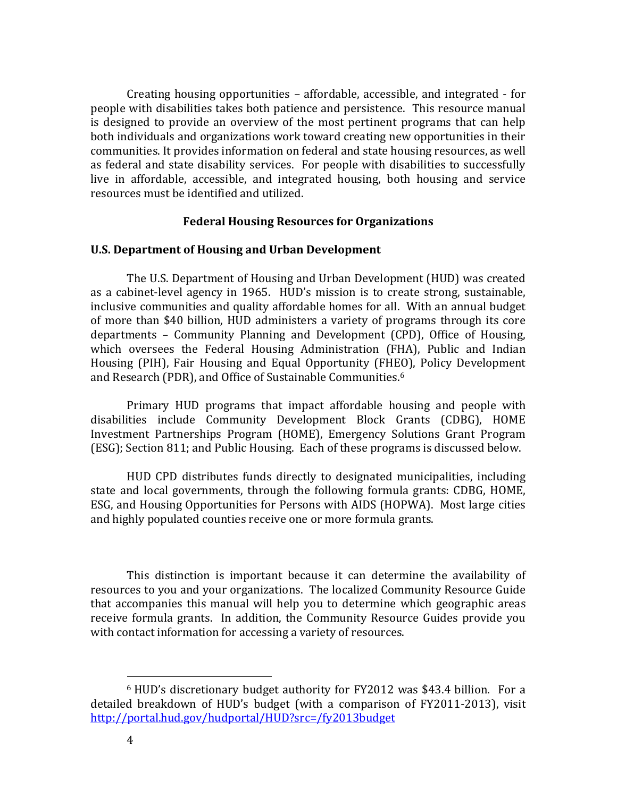Creating housing opportunities – affordable, accessible, and integrated - for people with disabilities takes both patience and persistence. This resource manual is designed to provide an overview of the most pertinent programs that can help both individuals and organizations work toward creating new opportunities in their communities. It provides information on federal and state housing resources, as well as federal and state disability services. For people with disabilities to successfully live in affordable, accessible, and integrated housing, both housing and service resources must be identified and utilized.

### **Federal Housing Resources for Organizations**

#### <span id="page-8-1"></span><span id="page-8-0"></span>**U.S. Department of Housing and Urban Development**

The U.S. Department of Housing and Urban Development (HUD) was created as a cabinet-level agency in 1965. HUD's mission is to create strong, sustainable, inclusive communities and quality affordable homes for all. With an annual budget of more than \$40 billion, HUD administers a variety of programs through its core departments – Community Planning and Development (CPD), Office of Housing, which oversees the Federal Housing Administration (FHA), Public and Indian Housing (PIH), Fair Housing and Equal Opportunity (FHEO), Policy Development and Research (PDR), and Office of Sustainable Communities.<sup>6</sup>

Primary HUD programs that impact affordable housing and people with disabilities include Community Development Block Grants (CDBG), HOME Investment Partnerships Program (HOME), Emergency Solutions Grant Program (ESG); Section 811; and Public Housing. Each of these programs is discussed below.

HUD CPD distributes funds directly to designated municipalities, including state and local governments, through the following formula grants: CDBG, HOME, ESG, and Housing Opportunities for Persons with AIDS (HOPWA). Most large cities and highly populated counties receive one or more formula grants.

This distinction is important because it can determine the availability of resources to you and your organizations. The localized Community Resource Guide that accompanies this manual will help you to determine which geographic areas receive formula grants. In addition, the Community Resource Guides provide you with contact information for accessing a variety of resources.

<sup>6</sup> HUD's discretionary budget authority for FY2012 was \$43.4 billion. For a detailed breakdown of HUD's budget (with a comparison of FY2011-2013), visit <http://portal.hud.gov/hudportal/HUD?src=/fy2013budget>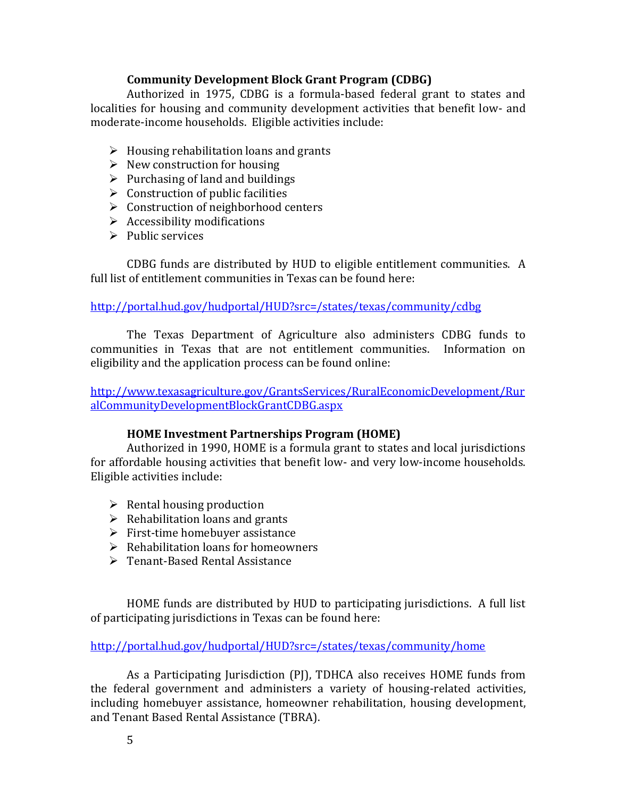# **Community Development Block Grant Program (CDBG)**

<span id="page-9-0"></span>Authorized in 1975, CDBG is a formula-based federal grant to states and localities for housing and community development activities that benefit low- and moderate-income households. Eligible activities include:

- $\triangleright$  Housing rehabilitation loans and grants
- $\triangleright$  New construction for housing
- $\triangleright$  Purchasing of land and buildings
- $\triangleright$  Construction of public facilities
- $\triangleright$  Construction of neighborhood centers
- $\triangleright$  Accessibility modifications
- $\triangleright$  Public services

CDBG funds are distributed by HUD to eligible entitlement communities. A full list of entitlement communities in Texas can be found here:

<http://portal.hud.gov/hudportal/HUD?src=/states/texas/community/cdbg>

The Texas Department of Agriculture also administers CDBG funds to communities in Texas that are not entitlement communities. Information on eligibility and the application process can be found online:

[http://www.texasagriculture.gov/GrantsServices/RuralEconomicDevelopment/Rur](http://www.texasagriculture.gov/GrantsServices/RuralEconomicDevelopment/RuralCommunityDevelopmentBlockGrantCDBG.aspx) [alCommunityDevelopmentBlockGrantCDBG.aspx](http://www.texasagriculture.gov/GrantsServices/RuralEconomicDevelopment/RuralCommunityDevelopmentBlockGrantCDBG.aspx)

# **HOME Investment Partnerships Program (HOME)**

<span id="page-9-1"></span>Authorized in 1990, HOME is a formula grant to states and local jurisdictions for affordable housing activities that benefit low- and very low-income households. Eligible activities include:

- $\triangleright$  Rental housing production
- $\triangleright$  Rehabilitation loans and grants
- $\triangleright$  First-time homebuyer assistance
- $\triangleright$  Rehabilitation loans for homeowners
- Tenant-Based Rental Assistance

HOME funds are distributed by HUD to participating jurisdictions. A full list of participating jurisdictions in Texas can be found here:

<http://portal.hud.gov/hudportal/HUD?src=/states/texas/community/home>

As a Participating Jurisdiction (PJ), TDHCA also receives HOME funds from the federal government and administers a variety of housing-related activities, including homebuyer assistance, homeowner rehabilitation, housing development, and Tenant Based Rental Assistance (TBRA).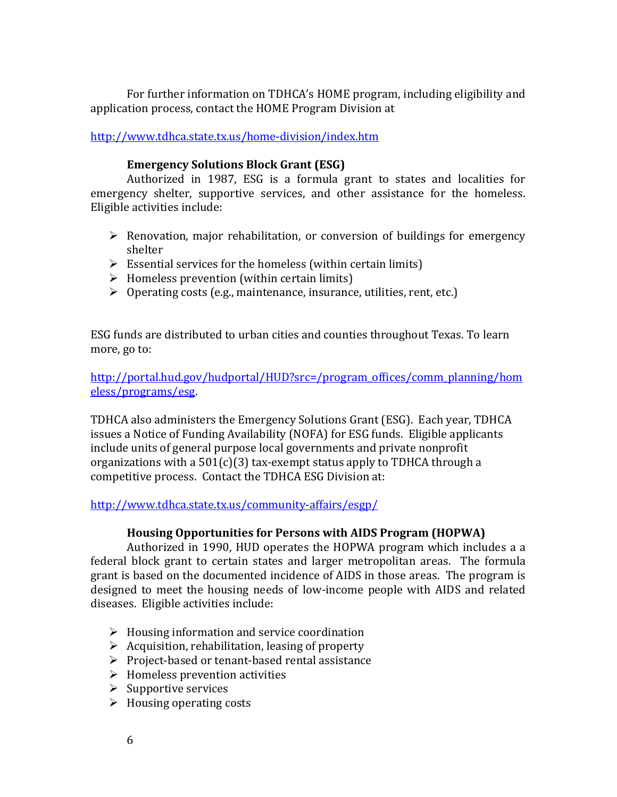For further information on TDHCA's HOME program, including eligibility and application process, contact the HOME Program Division at

<http://www.tdhca.state.tx.us/home-division/index.htm>

# **Emergency Solutions Block Grant (ESG)**

<span id="page-10-0"></span>Authorized in 1987, ESG is a formula grant to states and localities for emergency shelter, supportive services, and other assistance for the homeless. Eligible activities include:

- $\triangleright$  Renovation, major rehabilitation, or conversion of buildings for emergency shelter
- $\triangleright$  Essential services for the homeless (within certain limits)
- $\triangleright$  Homeless prevention (within certain limits)
- $\triangleright$  Operating costs (e.g., maintenance, insurance, utilities, rent, etc.)

ESG funds are distributed to urban cities and counties throughout Texas. To learn more, go to:

[http://portal.hud.gov/hudportal/HUD?src=/program\\_offices/comm\\_planning/hom](http://portal.hud.gov/hudportal/HUD?src=/program_offices/comm_planning/homeless/programs/esg) [eless/programs/esg.](http://portal.hud.gov/hudportal/HUD?src=/program_offices/comm_planning/homeless/programs/esg)

TDHCA also administers the Emergency Solutions Grant (ESG). Each year, TDHCA issues a Notice of Funding Availability (NOFA) for ESG funds. Eligible applicants include units of general purpose local governments and private nonprofit organizations with a  $501(c)(3)$  tax-exempt status apply to TDHCA through a competitive process. Contact the TDHCA ESG Division at:

<http://www.tdhca.state.tx.us/community-affairs/esgp/>

# **Housing Opportunities for Persons with AIDS Program (HOPWA)**

<span id="page-10-1"></span>Authorized in 1990, HUD operates the HOPWA program which includes a a federal block grant to certain states and larger metropolitan areas. The formula grant is based on the documented incidence of AIDS in those areas. The program is designed to meet the housing needs of low-income people with AIDS and related diseases. Eligible activities include:

- $\triangleright$  Housing information and service coordination
- $\triangleright$  Acquisition, rehabilitation, leasing of property
- $\triangleright$  Project-based or tenant-based rental assistance
- $\triangleright$  Homeless prevention activities
- $\triangleright$  Supportive services
- $\triangleright$  Housing operating costs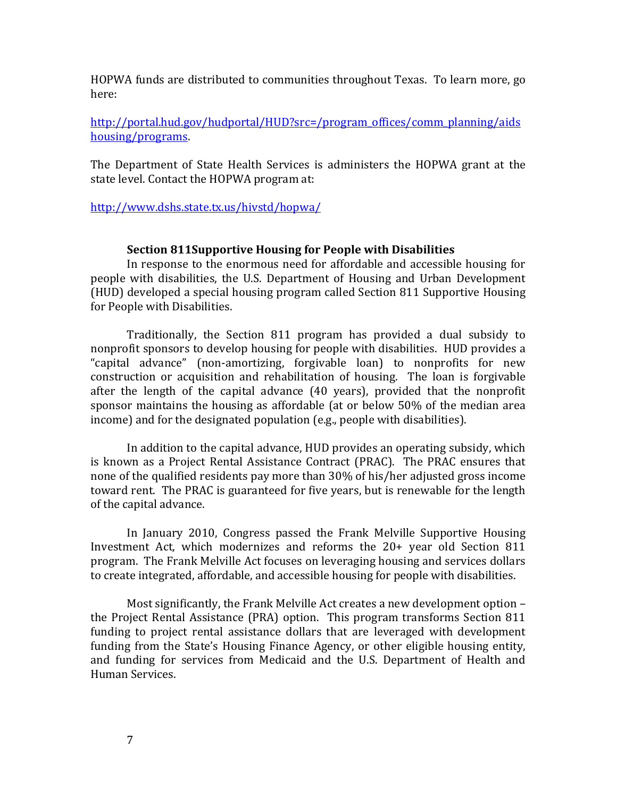HOPWA funds are distributed to communities throughout Texas. To learn more, go here:

[http://portal.hud.gov/hudportal/HUD?src=/program\\_offices/comm\\_planning/aids](http://portal.hud.gov/hudportal/HUD?src=/program_offices/comm_planning/aidshousing/programs) [housing/programs.](http://portal.hud.gov/hudportal/HUD?src=/program_offices/comm_planning/aidshousing/programs)

The Department of State Health Services is administers the HOPWA grant at the state level. Contact the HOPWA program at:

## <http://www.dshs.state.tx.us/hivstd/hopwa/>

#### **Section 811Supportive Housing for People with Disabilities**

<span id="page-11-0"></span>In response to the enormous need for affordable and accessible housing for people with disabilities, the U.S. Department of Housing and Urban Development (HUD) developed a special housing program called Section 811 Supportive Housing for People with Disabilities.

Traditionally, the Section 811 program has provided a dual subsidy to nonprofit sponsors to develop housing for people with disabilities. HUD provides a "capital advance" (non-amortizing, forgivable loan) to nonprofits for new construction or acquisition and rehabilitation of housing. The loan is forgivable after the length of the capital advance (40 years), provided that the nonprofit sponsor maintains the housing as affordable (at or below 50% of the median area income) and for the designated population (e.g., people with disabilities).

In addition to the capital advance, HUD provides an operating subsidy, which is known as a Project Rental Assistance Contract (PRAC). The PRAC ensures that none of the qualified residents pay more than 30% of his/her adjusted gross income toward rent. The PRAC is guaranteed for five years, but is renewable for the length of the capital advance.

In January 2010, Congress passed the Frank Melville Supportive Housing Investment Act, which modernizes and reforms the 20+ year old Section 811 program. The Frank Melville Act focuses on leveraging housing and services dollars to create integrated, affordable, and accessible housing for people with disabilities.

Most significantly, the Frank Melville Act creates a new development option – the Project Rental Assistance (PRA) option. This program transforms Section 811 funding to project rental assistance dollars that are leveraged with development funding from the State's Housing Finance Agency, or other eligible housing entity, and funding for services from Medicaid and the U.S. Department of Health and Human Services.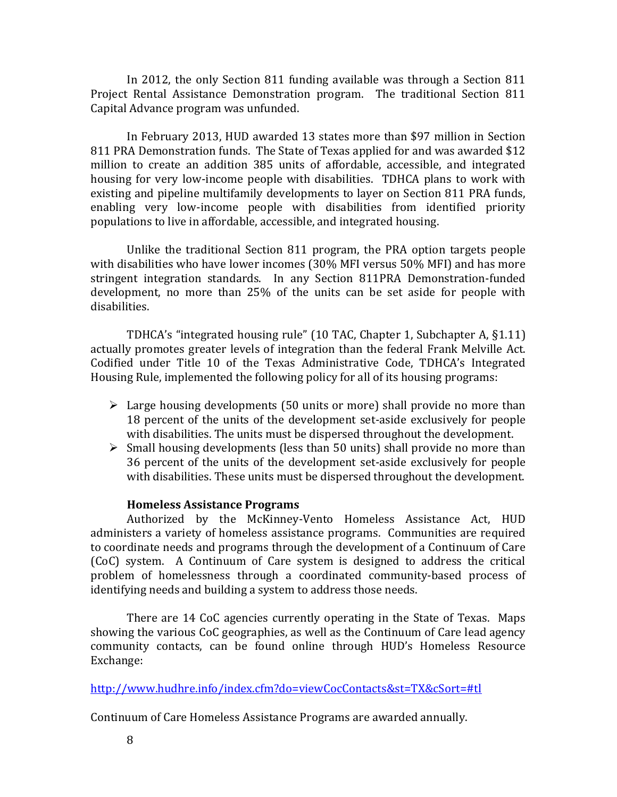In 2012, the only Section 811 funding available was through a Section 811 Project Rental Assistance Demonstration program. The traditional Section 811 Capital Advance program was unfunded.

In February 2013, HUD awarded 13 states more than \$97 million in Section 811 PRA Demonstration funds. The State of Texas applied for and was awarded \$12 million to create an addition 385 units of affordable, accessible, and integrated housing for very low-income people with disabilities. TDHCA plans to work with existing and pipeline multifamily developments to layer on Section 811 PRA funds, enabling very low-income people with disabilities from identified priority populations to live in affordable, accessible, and integrated housing.

Unlike the traditional Section 811 program, the PRA option targets people with disabilities who have lower incomes (30% MFI versus 50% MFI) and has more stringent integration standards. In any Section 811PRA Demonstration-funded development, no more than 25% of the units can be set aside for people with disabilities.

TDHCA's "integrated housing rule" (10 TAC, Chapter 1, Subchapter A, §1.11) actually promotes greater levels of integration than the federal Frank Melville Act. Codified under Title 10 of the Texas Administrative Code, TDHCA's Integrated Housing Rule, implemented the following policy for all of its housing programs:

- $\triangleright$  Large housing developments (50 units or more) shall provide no more than 18 percent of the units of the development set-aside exclusively for people with disabilities. The units must be dispersed throughout the development.
- $\triangleright$  Small housing developments (less than 50 units) shall provide no more than 36 percent of the units of the development set-aside exclusively for people with disabilities. These units must be dispersed throughout the development.

## **Homeless Assistance Programs**

<span id="page-12-0"></span>Authorized by the McKinney-Vento Homeless Assistance Act, HUD administers a variety of homeless assistance programs. Communities are required to coordinate needs and programs through the development of a Continuum of Care (CoC) system. A Continuum of Care system is designed to address the critical problem of homelessness through a coordinated community-based process of identifying needs and building a system to address those needs.

There are 14 CoC agencies currently operating in the State of Texas. Maps showing the various CoC geographies, as well as the Continuum of Care lead agency community contacts, can be found online through HUD's Homeless Resource Exchange:

<http://www.hudhre.info/index.cfm?do=viewCocContacts&st=TX&cSort=#tl>

Continuum of Care Homeless Assistance Programs are awarded annually.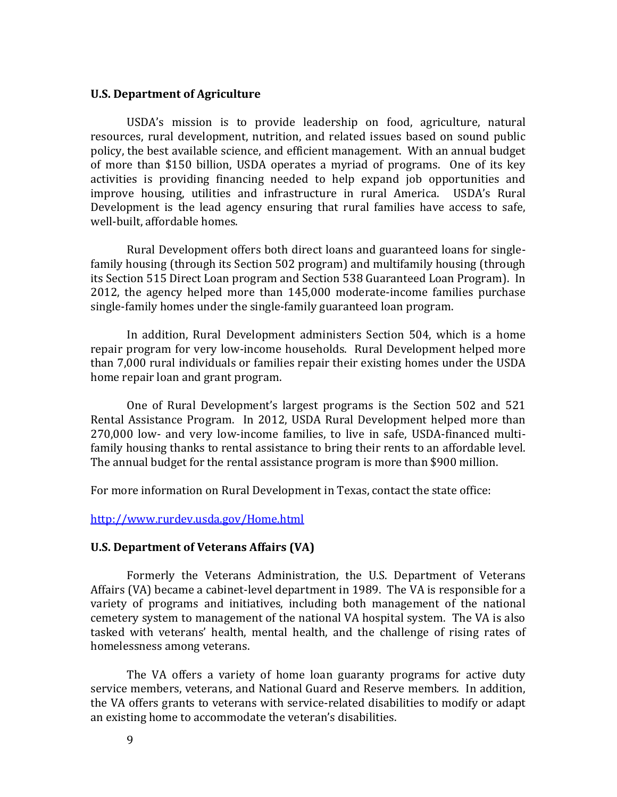### <span id="page-13-0"></span>**U.S. Department of Agriculture**

USDA's mission is to provide leadership on food, agriculture, natural resources, rural development, nutrition, and related issues based on sound public policy, the best available science, and efficient management. With an annual budget of more than \$150 billion, USDA operates a myriad of programs. One of its key activities is providing financing needed to help expand job opportunities and improve housing, utilities and infrastructure in rural America. USDA's Rural Development is the lead agency ensuring that rural families have access to safe, well-built, affordable homes.

Rural Development offers both direct loans and guaranteed loans for singlefamily housing (through its Section 502 program) and multifamily housing (through its Section 515 Direct Loan program and Section 538 Guaranteed Loan Program). In 2012, the agency helped more than 145,000 moderate-income families purchase single-family homes under the single-family guaranteed loan program.

In addition, Rural Development administers Section 504, which is a home repair program for very low-income households. Rural Development helped more than 7,000 rural individuals or families repair their existing homes under the USDA home repair loan and grant program.

One of Rural Development's largest programs is the Section 502 and 521 Rental Assistance Program. In 2012, USDA Rural Development helped more than 270,000 low- and very low-income families, to live in safe, USDA-financed multifamily housing thanks to rental assistance to bring their rents to an affordable level. The annual budget for the rental assistance program is more than \$900 million.

For more information on Rural Development in Texas, contact the state office:

<http://www.rurdev.usda.gov/Home.html>

#### <span id="page-13-1"></span>**U.S. Department of Veterans Affairs (VA)**

Formerly the Veterans Administration, the U.S. Department of Veterans Affairs (VA) became a cabinet-level department in 1989. The VA is responsible for a variety of programs and initiatives, including both management of the national cemetery system to management of the national VA hospital system. The VA is also tasked with veterans' health, mental health, and the challenge of rising rates of homelessness among veterans.

The VA offers a variety of home loan guaranty programs for active duty service members, veterans, and National Guard and Reserve members. In addition, the VA offers grants to veterans with service-related disabilities to modify or adapt an existing home to accommodate the veteran's disabilities.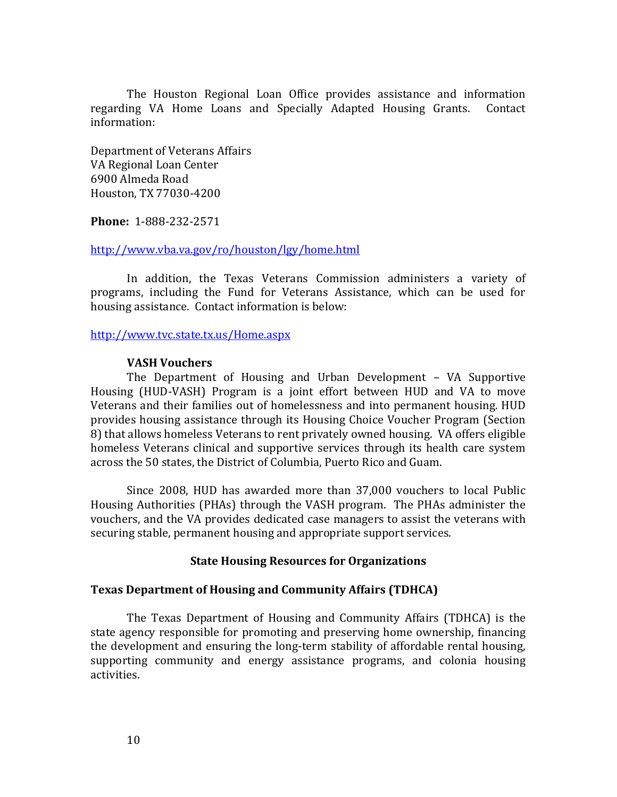The Houston Regional Loan Office provides assistance and information regarding VA Home Loans and Specially Adapted Housing Grants. Contact information:

Department of Veterans Affairs VA Regional Loan Center 6900 Almeda Road Houston, TX 77030-4200

**Phone:** 1-888-232-2571

### <http://www.vba.va.gov/ro/houston/lgy/home.html>

In addition, the Texas Veterans Commission administers a variety of programs, including the Fund for Veterans Assistance, which can be used for housing assistance. Contact information is below:

<http://www.tvc.state.tx.us/Home.aspx>

### **VASH Vouchers**

<span id="page-14-0"></span>The Department of Housing and Urban Development – VA Supportive Housing (HUD-VASH) Program is a joint effort between HUD and VA to move Veterans and their families out of homelessness and into permanent housing. HUD provides housing assistance through its Housing Choice Voucher Program (Section 8) that allows homeless Veterans to rent privately owned housing. VA offers eligible homeless Veterans clinical and supportive services through its health care system across the 50 states, the District of Columbia, Puerto Rico and Guam.

Since 2008, HUD has awarded more than 37,000 vouchers to local Public Housing Authorities (PHAs) through the VASH program. The PHAs administer the vouchers, and the VA provides dedicated case managers to assist the veterans with securing stable, permanent housing and appropriate support services.

## **State Housing Resources for Organizations**

## <span id="page-14-2"></span><span id="page-14-1"></span>**Texas Department of Housing and Community Affairs (TDHCA)**

The Texas Department of Housing and Community Affairs (TDHCA) is the state agency responsible for promoting and preserving home ownership, financing the development and ensuring the long-term stability of affordable rental housing, supporting community and energy assistance programs, and colonia housing activities.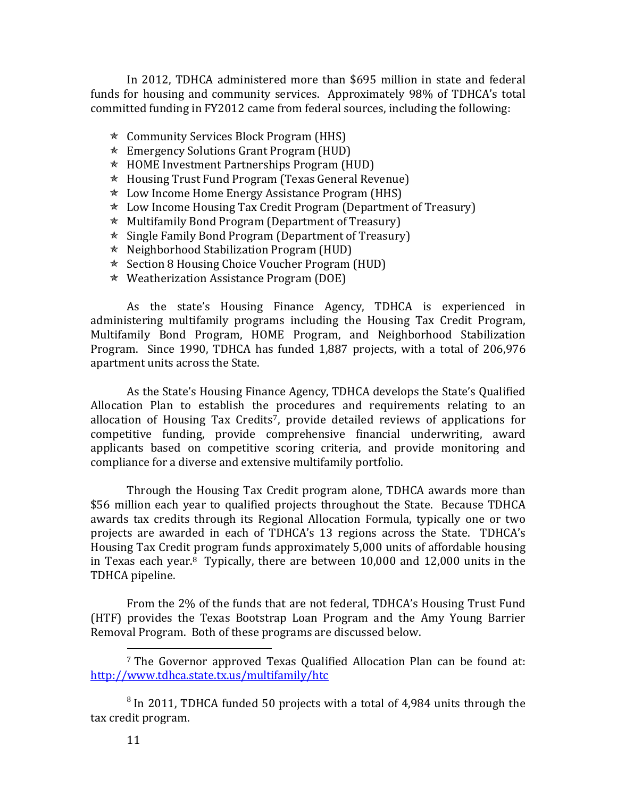In 2012, TDHCA administered more than \$695 million in state and federal funds for housing and community services. Approximately 98% of TDHCA's total committed funding in FY2012 came from federal sources, including the following:

- Community Services Block Program (HHS)
- $\star$  Emergency Solutions Grant Program (HUD)
- $\star$  HOME Investment Partnerships Program (HUD)
- $*$  Housing Trust Fund Program (Texas General Revenue)
- $\star$  Low Income Home Energy Assistance Program (HHS)
- $\star$  Low Income Housing Tax Credit Program (Department of Treasury)
- $\star$  Multifamily Bond Program (Department of Treasury)
- $\star$  Single Family Bond Program (Department of Treasury)
- Neighborhood Stabilization Program (HUD)
- $\star$  Section 8 Housing Choice Voucher Program (HUD)
- $\star$  Weatherization Assistance Program (DOE)

As the state's Housing Finance Agency, TDHCA is experienced in administering multifamily programs including the Housing Tax Credit Program, Multifamily Bond Program, HOME Program, and Neighborhood Stabilization Program. Since 1990, TDHCA has funded 1,887 projects, with a total of 206,976 apartment units across the State.

As the State's Housing Finance Agency, TDHCA develops the State's Qualified Allocation Plan to establish the procedures and requirements relating to an allocation of Housing Tax Credits7, provide detailed reviews of applications for competitive funding, provide comprehensive financial underwriting, award applicants based on competitive scoring criteria, and provide monitoring and compliance for a diverse and extensive multifamily portfolio.

Through the Housing Tax Credit program alone, TDHCA awards more than \$56 million each year to qualified projects throughout the State. Because TDHCA awards tax credits through its Regional Allocation Formula, typically one or two projects are awarded in each of TDHCA's 13 regions across the State. TDHCA's Housing Tax Credit program funds approximately 5,000 units of affordable housing in Texas each year.8 Typically, there are between 10,000 and 12,000 units in the TDHCA pipeline.

From the 2% of the funds that are not federal, TDHCA's Housing Trust Fund (HTF) provides the Texas Bootstrap Loan Program and the Amy Young Barrier Removal Program. Both of these programs are discussed below.

 $8$  In 2011, TDHCA funded 50 projects with a total of 4,984 units through the tax credit program.

<sup>7</sup> The Governor approved Texas Qualified Allocation Plan can be found at: <http://www.tdhca.state.tx.us/multifamily/htc>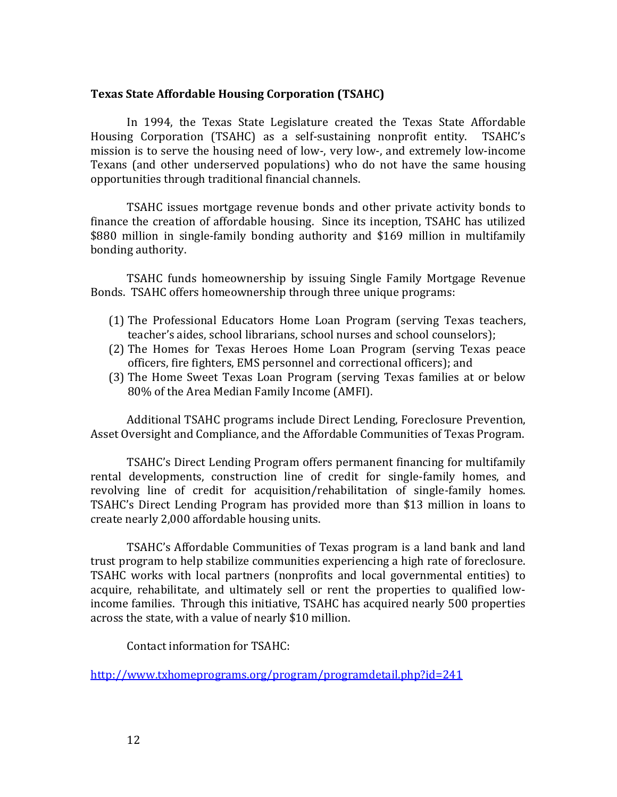## <span id="page-16-0"></span>**Texas State Affordable Housing Corporation (TSAHC)**

In 1994, the Texas State Legislature created the Texas State Affordable Housing Corporation (TSAHC) as a self-sustaining nonprofit entity. TSAHC's mission is to serve the housing need of low-, very low-, and extremely low-income Texans (and other underserved populations) who do not have the same housing opportunities through traditional financial channels.

TSAHC issues mortgage revenue bonds and other private activity bonds to finance the creation of affordable housing. Since its inception, TSAHC has utilized \$880 million in single-family bonding authority and \$169 million in multifamily bonding authority.

TSAHC funds homeownership by issuing Single Family Mortgage Revenue Bonds. TSAHC offers homeownership through three unique programs:

- (1) The Professional Educators Home Loan Program (serving Texas teachers, teacher's aides, school librarians, school nurses and school counselors);
- (2) The Homes for Texas Heroes Home Loan Program (serving Texas peace officers, fire fighters, EMS personnel and correctional officers); and
- (3) The Home Sweet Texas Loan Program (serving Texas families at or below 80% of the Area Median Family Income (AMFI).

Additional TSAHC programs include Direct Lending, Foreclosure Prevention, Asset Oversight and Compliance, and the Affordable Communities of Texas Program.

TSAHC's Direct Lending Program offers permanent financing for multifamily rental developments, construction line of credit for single-family homes, and revolving line of credit for acquisition/rehabilitation of single-family homes. TSAHC's Direct Lending Program has provided more than \$13 million in loans to create nearly 2,000 affordable housing units.

TSAHC's Affordable Communities of Texas program is a land bank and land trust program to help stabilize communities experiencing a high rate of foreclosure. TSAHC works with local partners (nonprofits and local governmental entities) to acquire, rehabilitate, and ultimately sell or rent the properties to qualified lowincome families. Through this initiative, TSAHC has acquired nearly 500 properties across the state, with a value of nearly \$10 million.

Contact information for TSAHC:

<http://www.txhomeprograms.org/program/programdetail.php?id=241>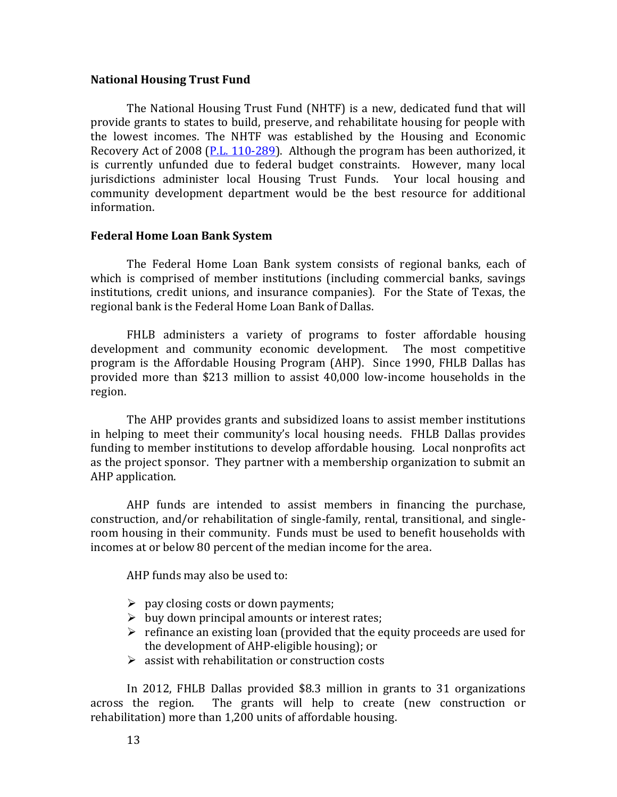#### <span id="page-17-0"></span>**National Housing Trust Fund**

The National Housing Trust Fund (NHTF) is a new, dedicated fund that will provide grants to states to build, preserve, and rehabilitate housing for people with the lowest incomes. The NHTF was established by the Housing and Economic Recovery Act of 2008 [\(P.L. 110-289\)](http://www.gpo.gov/fdsys/pkg/PLAW-110publ289/pdf/PLAW-110publ289.pdf). Although the program has been authorized, it is currently unfunded due to federal budget constraints. However, many local jurisdictions administer local Housing Trust Funds. Your local housing and community development department would be the best resource for additional information.

### <span id="page-17-1"></span>**Federal Home Loan Bank System**

The Federal Home Loan Bank system consists of regional banks, each of which is comprised of member institutions (including commercial banks, savings institutions, credit unions, and insurance companies). For the State of Texas, the regional bank is the Federal Home Loan Bank of Dallas.

FHLB administers a variety of programs to foster affordable housing development and community economic development. The most competitive program is the Affordable Housing Program (AHP). Since 1990, FHLB Dallas has provided more than \$213 million to assist 40,000 low-income households in the region.

The AHP provides grants and subsidized loans to assist member institutions in helping to meet their community's local housing needs. FHLB Dallas provides funding to member institutions to develop affordable housing. Local nonprofits act as the project sponsor. They partner with a membership organization to submit an AHP application.

AHP funds are intended to assist members in financing the purchase, construction, and/or rehabilitation of single-family, rental, transitional, and singleroom housing in their community. Funds must be used to benefit households with incomes at or below 80 percent of the median income for the area.

AHP funds may also be used to:

- $\triangleright$  pay closing costs or down payments;
- $\triangleright$  buy down principal amounts or interest rates;
- $\triangleright$  refinance an existing loan (provided that the equity proceeds are used for the development of AHP-eligible housing); or
- $\triangleright$  assist with rehabilitation or construction costs

In 2012, FHLB Dallas provided \$8.3 million in grants to 31 organizations across the region. The grants will help to create (new construction or rehabilitation) more than 1,200 units of affordable housing.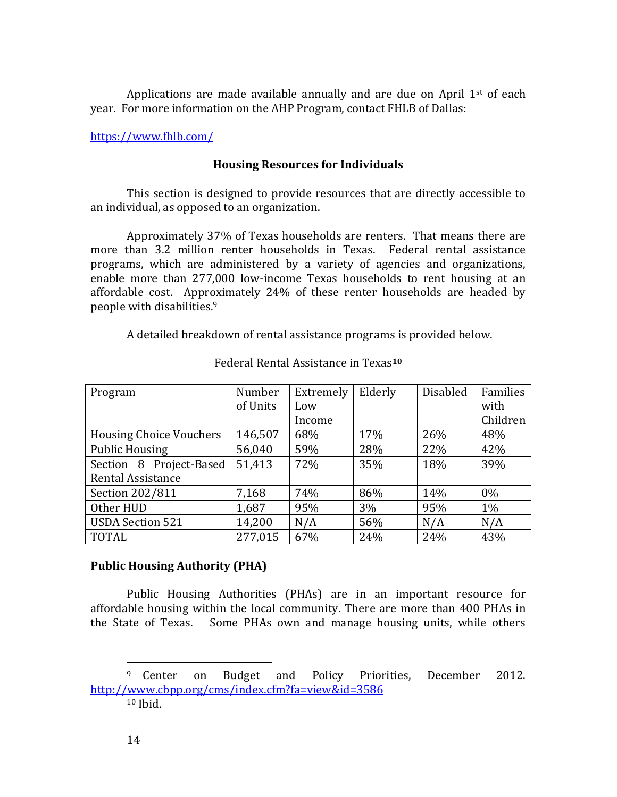Applications are made available annually and are due on April  $1<sup>st</sup>$  of each year. For more information on the AHP Program, contact FHLB of Dallas:

<span id="page-18-0"></span><https://www.fhlb.com/>

# **Housing Resources for Individuals**

This section is designed to provide resources that are directly accessible to an individual, as opposed to an organization.

Approximately 37% of Texas households are renters. That means there are more than 3.2 million renter households in Texas. Federal rental assistance programs, which are administered by a variety of agencies and organizations, enable more than 277,000 low-income Texas households to rent housing at an affordable cost. Approximately 24% of these renter households are headed by people with disabilities.<sup>9</sup>

A detailed breakdown of rental assistance programs is provided below.

| Program                        | Number   | Extremely | Elderly | <b>Disabled</b> | Families |
|--------------------------------|----------|-----------|---------|-----------------|----------|
|                                | of Units | Low       |         |                 | with     |
|                                |          | Income    |         |                 | Children |
| <b>Housing Choice Vouchers</b> | 146,507  | 68%       | 17%     | 26%             | 48%      |
| <b>Public Housing</b>          | 56,040   | 59%       | 28%     | 22%             | 42%      |
| Section 8 Project-Based        | 51,413   | 72%       | 35%     | 18%             | 39%      |
| <b>Rental Assistance</b>       |          |           |         |                 |          |
| Section 202/811                | 7,168    | 74%       | 86%     | 14%             | $0\%$    |
| Other HUD                      | 1,687    | 95%       | $3\%$   | 95%             | $1\%$    |
| <b>USDA Section 521</b>        | 14,200   | N/A       | 56%     | N/A             | N/A      |
| <b>TOTAL</b>                   | 277,015  | 67%       | 24%     | 24%             | 43%      |

# Federal Rental Assistance in Texas**<sup>10</sup>**

# <span id="page-18-1"></span>**Public Housing Authority (PHA)**

Public Housing Authorities (PHAs) are in an important resource for affordable housing within the local community. There are more than 400 PHAs in the State of Texas. Some PHAs own and manage housing units, while others

<sup>&</sup>lt;sup>9</sup> Center on Budget and Policy Priorities, December 2012. <http://www.cbpp.org/cms/index.cfm?fa=view&id=3586> <sup>10</sup> Ibid.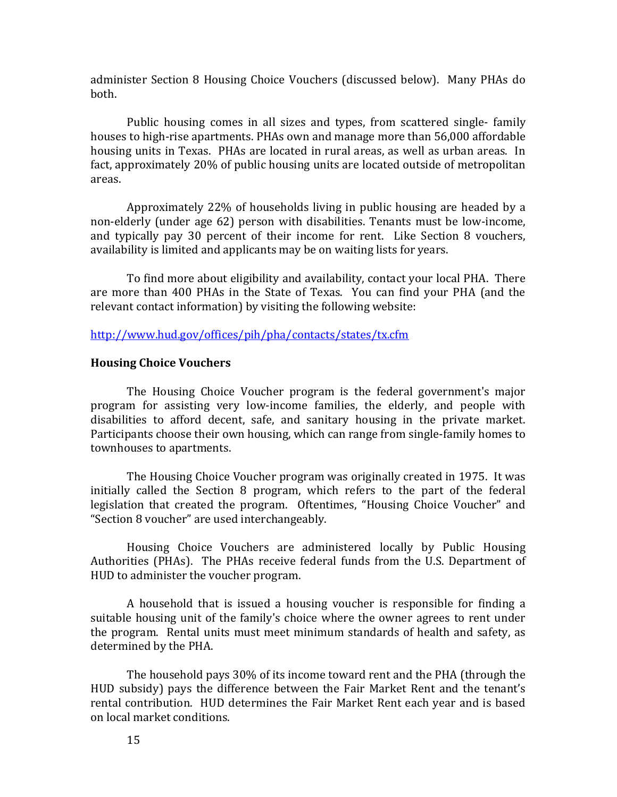administer Section 8 Housing Choice Vouchers (discussed below). Many PHAs do both.

Public housing comes in all sizes and types, from scattered single- family houses to high-rise apartments. PHAs own and manage more than 56,000 affordable housing units in Texas. PHAs are located in rural areas, as well as urban areas. In fact, approximately 20% of public housing units are located outside of metropolitan areas.

Approximately 22% of households living in public housing are headed by a non-elderly (under age 62) person with disabilities. Tenants must be low-income, and typically pay 30 percent of their income for rent. Like Section 8 vouchers, availability is limited and applicants may be on waiting lists for years.

To find more about eligibility and availability, contact your local PHA. There are more than 400 PHAs in the State of Texas. You can find your PHA (and the relevant contact information) by visiting the following website:

<http://www.hud.gov/offices/pih/pha/contacts/states/tx.cfm>

### <span id="page-19-0"></span>**Housing Choice Vouchers**

The Housing Choice Voucher program is the federal government's major program for assisting very low-income families, the elderly, and people with disabilities to afford decent, safe, and sanitary housing in the private market. Participants choose their own housing, which can range from single-family homes to townhouses to apartments.

The Housing Choice Voucher program was originally created in 1975. It was initially called the Section 8 program, which refers to the part of the federal legislation that created the program. Oftentimes, "Housing Choice Voucher" and "Section 8 voucher" are used interchangeably.

Housing Choice Vouchers are administered locally by Public Housing Authorities (PHAs). The PHAs receive federal funds from the U.S. Department of HUD to administer the voucher program.

A household that is issued a housing voucher is responsible for finding a suitable housing unit of the family's choice where the owner agrees to rent under the program. Rental units must meet minimum standards of health and safety, as determined by the PHA.

The household pays 30% of its income toward rent and the PHA (through the HUD subsidy) pays the difference between the Fair Market Rent and the tenant's rental contribution. HUD determines the Fair Market Rent each year and is based on local market conditions.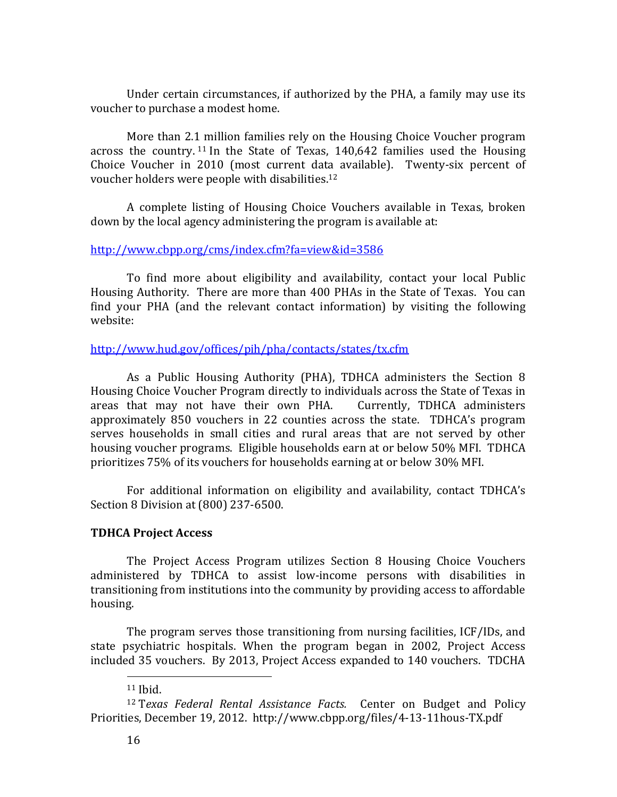Under certain circumstances, if authorized by the PHA, a family may use its voucher to purchase a modest home.

More than 2.1 million families rely on the Housing Choice Voucher program across the country. <sup>11</sup> In the State of Texas, 140,642 families used the Housing Choice Voucher in 2010 (most current data available). Twenty-six percent of voucher holders were people with disabilities.<sup>12</sup>

A complete listing of Housing Choice Vouchers available in Texas, broken down by the local agency administering the program is available at:

## <http://www.cbpp.org/cms/index.cfm?fa=view&id=3586>

To find more about eligibility and availability, contact your local Public Housing Authority. There are more than 400 PHAs in the State of Texas. You can find your PHA (and the relevant contact information) by visiting the following website:

## <http://www.hud.gov/offices/pih/pha/contacts/states/tx.cfm>

As a Public Housing Authority (PHA), TDHCA administers the Section 8 Housing Choice Voucher Program directly to individuals across the State of Texas in areas that may not have their own PHA. Currently, TDHCA administers approximately 850 vouchers in 22 counties across the state. TDHCA's program serves households in small cities and rural areas that are not served by other housing voucher programs. Eligible households earn at or below 50% MFI. TDHCA prioritizes 75% of its vouchers for households earning at or below 30% MFI.

For additional information on eligibility and availability, contact TDHCA's Section 8 Division at (800) 237-6500.

# <span id="page-20-0"></span>**TDHCA Project Access**

The Project Access Program utilizes Section 8 Housing Choice Vouchers administered by TDHCA to assist low-income persons with disabilities in transitioning from institutions into the community by providing access to affordable housing.

The program serves those transitioning from nursing facilities, ICF/IDs, and state psychiatric hospitals. When the program began in 2002, Project Access included 35 vouchers. By 2013, Project Access expanded to 140 vouchers. TDCHA

 $11$  Ibid.

<sup>12</sup> T*exas Federal Rental Assistance Facts.* Center on Budget and Policy Priorities, December 19, 2012. http://www.cbpp.org/files/4-13-11hous-TX.pdf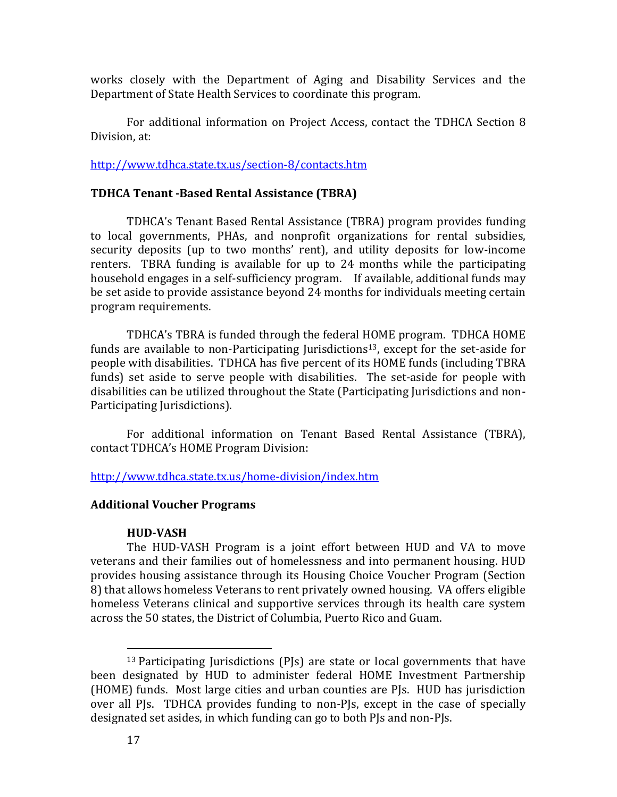works closely with the Department of Aging and Disability Services and the Department of State Health Services to coordinate this program.

For additional information on Project Access, contact the TDHCA Section 8 Division, at:

<http://www.tdhca.state.tx.us/section-8/contacts.htm>

#### <span id="page-21-0"></span>**TDHCA Tenant -Based Rental Assistance (TBRA)**

TDHCA's Tenant Based Rental Assistance (TBRA) program provides funding to local governments, PHAs, and nonprofit organizations for rental subsidies, security deposits (up to two months' rent), and utility deposits for low-income renters. TBRA funding is available for up to 24 months while the participating household engages in a self-sufficiency program. If available, additional funds may be set aside to provide assistance beyond 24 months for individuals meeting certain program requirements.

TDHCA's TBRA is funded through the federal HOME program. TDHCA HOME funds are available to non-Participating Jurisdictions<sup>13</sup>, except for the set-aside for people with disabilities. TDHCA has five percent of its HOME funds (including TBRA funds) set aside to serve people with disabilities. The set-aside for people with disabilities can be utilized throughout the State (Participating Jurisdictions and non-Participating Jurisdictions).

For additional information on Tenant Based Rental Assistance (TBRA), contact TDHCA's HOME Program Division:

<http://www.tdhca.state.tx.us/home-division/index.htm>

#### <span id="page-21-1"></span>**Additional Voucher Programs**

#### **HUD-VASH**

<span id="page-21-2"></span>The HUD-VASH Program is a joint effort between HUD and VA to move veterans and their families out of homelessness and into permanent housing. HUD provides housing assistance through its Housing Choice Voucher Program (Section 8) that allows homeless Veterans to rent privately owned housing. VA offers eligible homeless Veterans clinical and supportive services through its health care system across the 50 states, the District of Columbia, Puerto Rico and Guam.

<sup>13</sup> Participating Jurisdictions (PJs) are state or local governments that have been designated by HUD to administer federal HOME Investment Partnership (HOME) funds. Most large cities and urban counties are PJs. HUD has jurisdiction over all PJs. TDHCA provides funding to non-PJs, except in the case of specially designated set asides, in which funding can go to both PJs and non-PJs.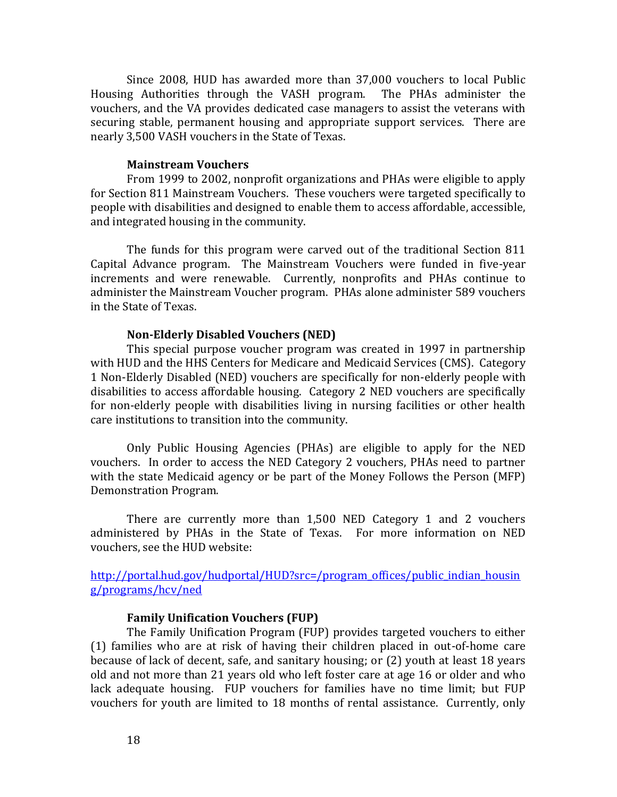Since 2008, HUD has awarded more than 37,000 vouchers to local Public Housing Authorities through the VASH program. The PHAs administer the vouchers, and the VA provides dedicated case managers to assist the veterans with securing stable, permanent housing and appropriate support services. There are nearly 3,500 VASH vouchers in the State of Texas.

#### **Mainstream Vouchers**

<span id="page-22-0"></span>From 1999 to 2002, nonprofit organizations and PHAs were eligible to apply for Section 811 Mainstream Vouchers. These vouchers were targeted specifically to people with disabilities and designed to enable them to access affordable, accessible, and integrated housing in the community.

The funds for this program were carved out of the traditional Section 811 Capital Advance program. The Mainstream Vouchers were funded in five-year increments and were renewable. Currently, nonprofits and PHAs continue to administer the Mainstream Voucher program. PHAs alone administer 589 vouchers in the State of Texas.

#### **Non-Elderly Disabled Vouchers (NED)**

<span id="page-22-1"></span>This special purpose voucher program was created in 1997 in partnership with HUD and the HHS Centers for Medicare and Medicaid Services (CMS). Category 1 Non-Elderly Disabled (NED) vouchers are specifically for non-elderly people with disabilities to access affordable housing. Category 2 NED vouchers are specifically for non-elderly people with disabilities living in nursing facilities or other health care institutions to transition into the community.

Only Public Housing Agencies (PHAs) are eligible to apply for the NED vouchers. In order to access the NED Category 2 vouchers, PHAs need to partner with the state Medicaid agency or be part of the Money Follows the Person (MFP) Demonstration Program.

There are currently more than 1,500 NED Category 1 and 2 vouchers administered by PHAs in the State of Texas. For more information on NED vouchers, see the HUD website:

[http://portal.hud.gov/hudportal/HUD?src=/program\\_offices/public\\_indian\\_housin](http://portal.hud.gov/hudportal/HUD?src=/program_offices/public_indian_housing/programs/hcv/ned) [g/programs/hcv/ned](http://portal.hud.gov/hudportal/HUD?src=/program_offices/public_indian_housing/programs/hcv/ned)

#### **Family Unification Vouchers (FUP)**

<span id="page-22-2"></span>The Family Unification Program (FUP) provides targeted vouchers to either (1) families who are at risk of having their children placed in out-of-home care because of lack of decent, safe, and sanitary housing; or (2) youth at least 18 years old and not more than 21 years old who left foster care at age 16 or older and who lack adequate housing. FUP vouchers for families have no time limit; but FUP vouchers for youth are limited to 18 months of rental assistance. Currently, only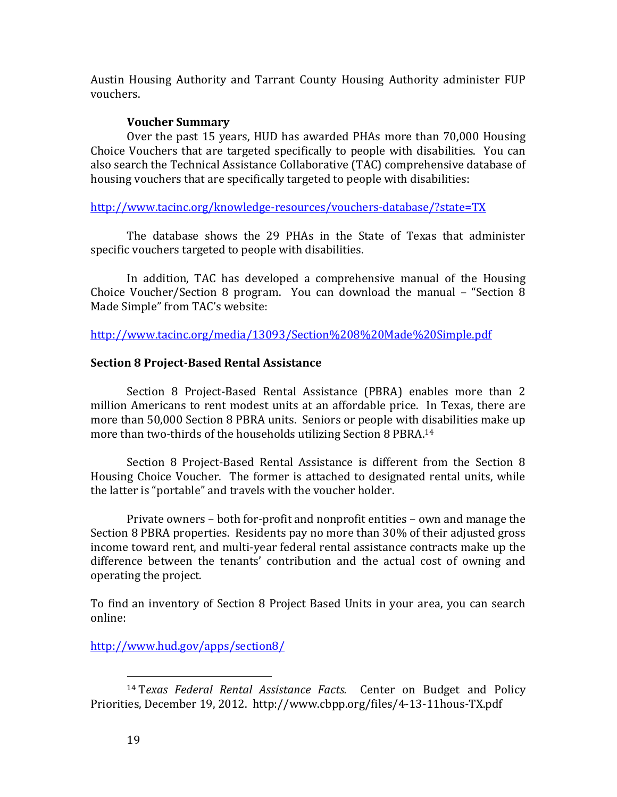Austin Housing Authority and Tarrant County Housing Authority administer FUP vouchers.

# **Voucher Summary**

<span id="page-23-0"></span>Over the past 15 years, HUD has awarded PHAs more than 70,000 Housing Choice Vouchers that are targeted specifically to people with disabilities. You can also search the Technical Assistance Collaborative (TAC) comprehensive database of housing vouchers that are specifically targeted to people with disabilities:

<http://www.tacinc.org/knowledge-resources/vouchers-database/?state=TX>

The database shows the 29 PHAs in the State of Texas that administer specific vouchers targeted to people with disabilities.

In addition, TAC has developed a comprehensive manual of the Housing Choice Voucher/Section 8 program. You can download the manual – "Section 8 Made Simple" from TAC's website:

<http://www.tacinc.org/media/13093/Section%208%20Made%20Simple.pdf>

# <span id="page-23-1"></span>**Section 8 Project-Based Rental Assistance**

Section 8 Project-Based Rental Assistance (PBRA) enables more than 2 million Americans to rent modest units at an affordable price. In Texas, there are more than 50,000 Section 8 PBRA units. Seniors or people with disabilities make up more than two-thirds of the households utilizing Section 8 PBRA.<sup>14</sup>

Section 8 Project-Based Rental Assistance is different from the Section 8 Housing Choice Voucher. The former is attached to designated rental units, while the latter is "portable" and travels with the voucher holder.

Private owners – both for-profit and nonprofit entities – own and manage the Section 8 PBRA properties. Residents pay no more than 30% of their adjusted gross income toward rent, and multi-year federal rental assistance contracts make up the difference between the tenants' contribution and the actual cost of owning and operating the project.

To find an inventory of Section 8 Project Based Units in your area, you can search online:

<http://www.hud.gov/apps/section8/>

<sup>14</sup> T*exas Federal Rental Assistance Facts.* Center on Budget and Policy Priorities, December 19, 2012. http://www.cbpp.org/files/4-13-11hous-TX.pdf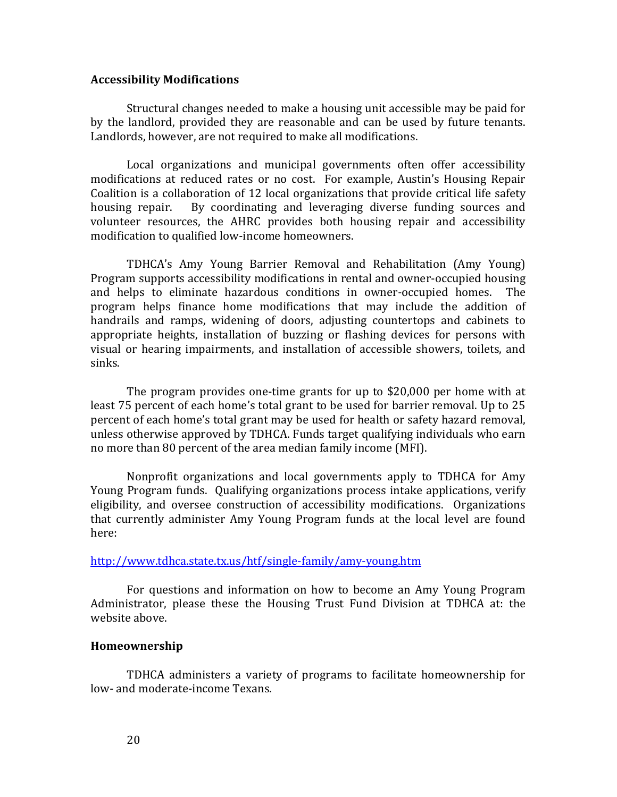#### <span id="page-24-0"></span>**Accessibility Modifications**

Structural changes needed to make a housing unit accessible may be paid for by the landlord, provided they are reasonable and can be used by future tenants. Landlords, however, are not required to make all modifications.

Local organizations and municipal governments often offer accessibility modifications at reduced rates or no cost. For example, Austin's Housing Repair Coalition is a collaboration of 12 local organizations that provide critical life safety housing repair. By coordinating and leveraging diverse funding sources and volunteer resources, the AHRC provides both housing repair and accessibility modification to qualified low-income homeowners.

TDHCA's Amy Young Barrier Removal and Rehabilitation (Amy Young) Program supports accessibility modifications in rental and owner-occupied housing and helps to eliminate hazardous conditions in owner-occupied homes. The program helps finance home modifications that may include the addition of handrails and ramps, widening of doors, adjusting countertops and cabinets to appropriate heights, installation of buzzing or flashing devices for persons with visual or hearing impairments, and installation of accessible showers, toilets, and sinks.

The program provides one-time grants for up to \$20,000 per home with at least 75 percent of each home's total grant to be used for barrier removal. Up to 25 percent of each home's total grant may be used for health or safety hazard removal, unless otherwise approved by TDHCA. Funds target qualifying individuals who earn no more than 80 percent of the area median family income (MFI).

Nonprofit organizations and local governments apply to TDHCA for Amy Young Program funds. Qualifying organizations process intake applications, verify eligibility, and oversee construction of accessibility modifications. Organizations that currently administer Amy Young Program funds at the local level are found here:

#### <http://www.tdhca.state.tx.us/htf/single-family/amy-young.htm>

For questions and information on how to become an Amy Young Program Administrator, please these the Housing Trust Fund Division at TDHCA at: the website above.

#### <span id="page-24-1"></span>**Homeownership**

TDHCA administers a variety of programs to facilitate homeownership for low- and moderate-income Texans.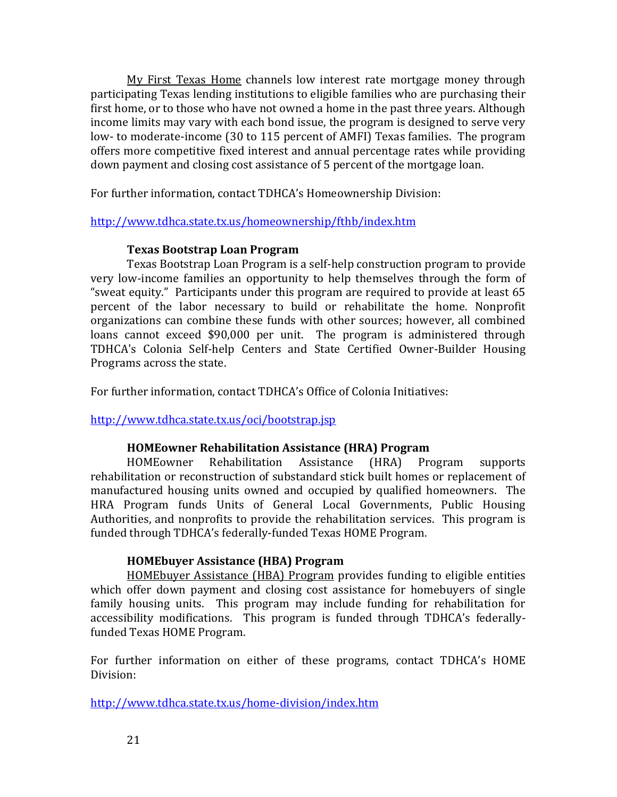My First Texas Home channels low interest rate mortgage money through participating Texas lending institutions to eligible families who are purchasing their first home, or to those who have not owned a home in the past three years. Although income limits may vary with each bond issue, the program is designed to serve very low- to moderate-income (30 to 115 percent of AMFI) Texas families. The program offers more competitive fixed interest and annual percentage rates while providing down payment and closing cost assistance of 5 percent of the mortgage loan.

For further information, contact TDHCA's Homeownership Division:

## <http://www.tdhca.state.tx.us/homeownership/fthb/index.htm>

## **Texas Bootstrap Loan Program**

<span id="page-25-0"></span>Texas Bootstrap Loan Program is a self-help construction program to provide very low-income families an opportunity to help themselves through the form of "sweat equity." Participants under this program are required to provide at least 65 percent of the labor necessary to build or rehabilitate the home. Nonprofit organizations can combine these funds with other sources; however, all combined loans cannot exceed \$90,000 per unit. The program is administered through TDHCA's Colonia Self-help Centers and State Certified Owner-Builder Housing Programs across the state.

For further information, contact TDHCA's Office of Colonia Initiatives:

<http://www.tdhca.state.tx.us/oci/bootstrap.jsp>

# **HOMEowner Rehabilitation Assistance (HRA) Program**

<span id="page-25-1"></span>HOMEowner Rehabilitation Assistance (HRA) Program supports rehabilitation or reconstruction of substandard stick built homes or replacement of manufactured housing units owned and occupied by qualified homeowners. The HRA Program funds Units of General Local Governments, Public Housing Authorities, and nonprofits to provide the rehabilitation services. This program is funded through TDHCA's federally-funded Texas HOME Program.

# **HOMEbuyer Assistance (HBA) Program**

<span id="page-25-2"></span>HOMEbuyer Assistance (HBA) Program provides funding to eligible entities which offer down payment and closing cost assistance for homebuyers of single family housing units. This program may include funding for rehabilitation for accessibility modifications. This program is funded through TDHCA's federallyfunded Texas HOME Program.

For further information on either of these programs, contact TDHCA's HOME Division:

<http://www.tdhca.state.tx.us/home-division/index.htm>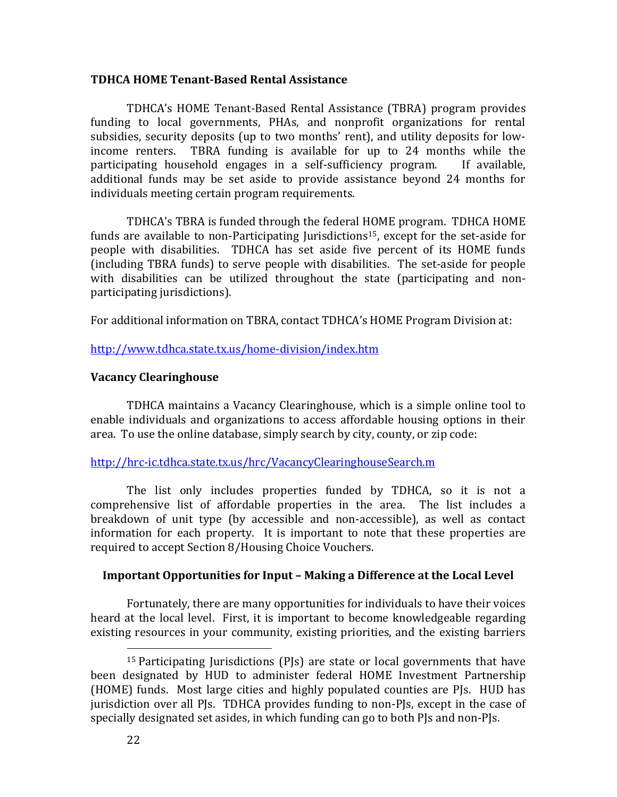### <span id="page-26-0"></span>**TDHCA HOME Tenant-Based Rental Assistance**

TDHCA's HOME Tenant-Based Rental Assistance (TBRA) program provides funding to local governments, PHAs, and nonprofit organizations for rental subsidies, security deposits (up to two months' rent), and utility deposits for lowincome renters. TBRA funding is available for up to 24 months while the participating household engages in a self-sufficiency program. If available, additional funds may be set aside to provide assistance beyond 24 months for individuals meeting certain program requirements.

TDHCA's TBRA is funded through the federal HOME program. TDHCA HOME funds are available to non-Participating Jurisdictions<sup>15</sup>, except for the set-aside for people with disabilities. TDHCA has set aside five percent of its HOME funds (including TBRA funds) to serve people with disabilities. The set-aside for people with disabilities can be utilized throughout the state (participating and nonparticipating jurisdictions).

For additional information on TBRA, contact TDHCA's HOME Program Division at:

## <http://www.tdhca.state.tx.us/home-division/index.htm>

## <span id="page-26-1"></span>**Vacancy Clearinghouse**

TDHCA maintains a Vacancy Clearinghouse, which is a simple online tool to enable individuals and organizations to access affordable housing options in their area. To use the online database, simply search by city, county, or zip code:

## <http://hrc-ic.tdhca.state.tx.us/hrc/VacancyClearinghouseSearch.m>

The list only includes properties funded by TDHCA, so it is not a comprehensive list of affordable properties in the area. The list includes a breakdown of unit type (by accessible and non-accessible), as well as contact information for each property. It is important to note that these properties are required to accept Section 8/Housing Choice Vouchers.

# <span id="page-26-2"></span>**Important Opportunities for Input – Making a Difference at the Local Level**

Fortunately, there are many opportunities for individuals to have their voices heard at the local level. First, it is important to become knowledgeable regarding existing resources in your community, existing priorities, and the existing barriers

<sup>&</sup>lt;sup>15</sup> Participating Jurisdictions (PJs) are state or local governments that have been designated by HUD to administer federal HOME Investment Partnership (HOME) funds. Most large cities and highly populated counties are PJs. HUD has jurisdiction over all PJs. TDHCA provides funding to non-PJs, except in the case of specially designated set asides, in which funding can go to both PJs and non-PJs.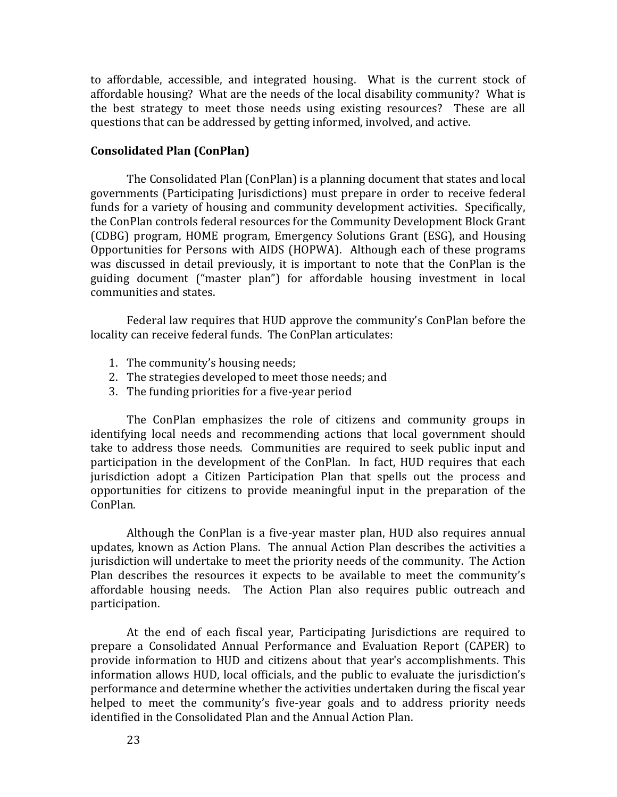to affordable, accessible, and integrated housing. What is the current stock of affordable housing? What are the needs of the local disability community? What is the best strategy to meet those needs using existing resources? These are all questions that can be addressed by getting informed, involved, and active.

## <span id="page-27-0"></span>**Consolidated Plan (ConPlan)**

The Consolidated Plan (ConPlan) is a planning document that states and local governments (Participating Jurisdictions) must prepare in order to receive federal funds for a variety of housing and community development activities. Specifically, the ConPlan controls federal resources for the Community Development Block Grant (CDBG) program, HOME program, Emergency Solutions Grant (ESG), and Housing Opportunities for Persons with AIDS (HOPWA). Although each of these programs was discussed in detail previously, it is important to note that the ConPlan is the guiding document ("master plan") for affordable housing investment in local communities and states.

Federal law requires that HUD approve the community's ConPlan before the locality can receive federal funds. The ConPlan articulates:

- 1. The community's housing needs;
- 2. The strategies developed to meet those needs; and
- 3. The funding priorities for a five-year period

The ConPlan emphasizes the role of citizens and community groups in identifying local needs and recommending actions that local government should take to address those needs. Communities are required to seek public input and participation in the development of the ConPlan. In fact, HUD requires that each jurisdiction adopt a Citizen Participation Plan that spells out the process and opportunities for citizens to provide meaningful input in the preparation of the ConPlan.

Although the ConPlan is a five-year master plan, HUD also requires annual updates, known as Action Plans. The annual Action Plan describes the activities a jurisdiction will undertake to meet the priority needs of the community. The Action Plan describes the resources it expects to be available to meet the community's affordable housing needs. The Action Plan also requires public outreach and participation.

At the end of each fiscal year, Participating Jurisdictions are required to prepare a Consolidated Annual Performance and Evaluation Report (CAPER) to provide information to HUD and citizens about that year's accomplishments. This information allows HUD, local officials, and the public to evaluate the jurisdiction's performance and determine whether the activities undertaken during the fiscal year helped to meet the community's five-year goals and to address priority needs identified in the Consolidated Plan and the Annual Action Plan.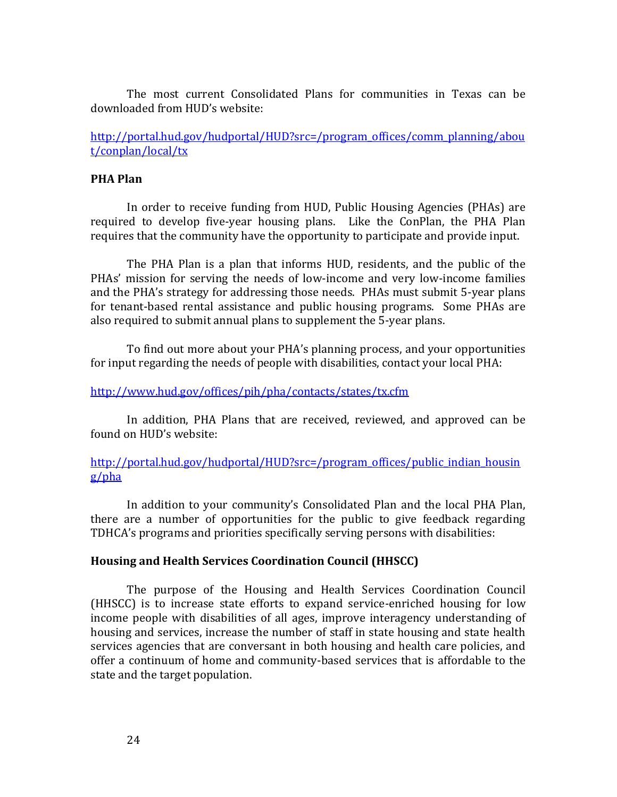The most current Consolidated Plans for communities in Texas can be downloaded from HUD's website:

[http://portal.hud.gov/hudportal/HUD?src=/program\\_offices/comm\\_planning/abou](http://portal.hud.gov/hudportal/HUD?src=/program_offices/comm_planning/about/conplan/local/tx) [t/conplan/local/tx](http://portal.hud.gov/hudportal/HUD?src=/program_offices/comm_planning/about/conplan/local/tx)

## <span id="page-28-0"></span>**PHA Plan**

In order to receive funding from HUD, Public Housing Agencies (PHAs) are required to develop five-year housing plans. Like the ConPlan, the PHA Plan requires that the community have the opportunity to participate and provide input.

The PHA Plan is a plan that informs HUD, residents, and the public of the PHAs' mission for serving the needs of low-income and very low-income families and the PHA's strategy for addressing those needs. PHAs must submit 5-year plans for tenant-based rental assistance and public housing programs. Some PHAs are also required to submit annual plans to supplement the 5-year plans.

To find out more about your PHA's planning process, and your opportunities for input regarding the needs of people with disabilities, contact your local PHA:

### <http://www.hud.gov/offices/pih/pha/contacts/states/tx.cfm>

In addition, PHA Plans that are received, reviewed, and approved can be found on HUD's website:

[http://portal.hud.gov/hudportal/HUD?src=/program\\_offices/public\\_indian\\_housin](http://portal.hud.gov/hudportal/HUD?src=/program_offices/public_indian_housing/pha) [g/pha](http://portal.hud.gov/hudportal/HUD?src=/program_offices/public_indian_housing/pha)

In addition to your community's Consolidated Plan and the local PHA Plan, there are a number of opportunities for the public to give feedback regarding TDHCA's programs and priorities specifically serving persons with disabilities:

#### <span id="page-28-1"></span>**Housing and Health Services Coordination Council (HHSCC)**

The purpose of the Housing and Health Services Coordination Council (HHSCC) is to increase state efforts to expand service-enriched housing for low income people with disabilities of all ages, improve interagency understanding of housing and services, increase the number of staff in state housing and state health services agencies that are conversant in both housing and health care policies, and offer a continuum of home and community-based services that is affordable to the state and the target population.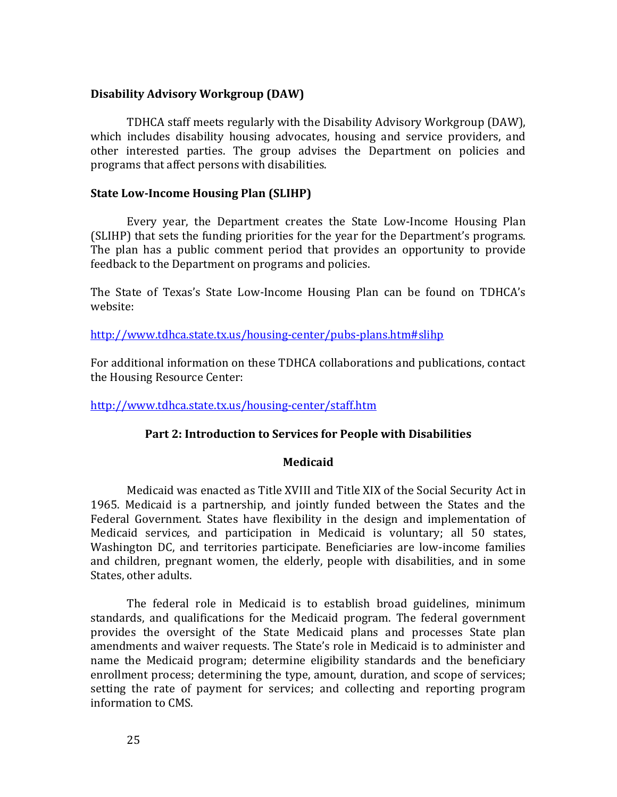## <span id="page-29-0"></span>**Disability Advisory Workgroup (DAW)**

TDHCA staff meets regularly with the Disability Advisory Workgroup (DAW), which includes disability housing advocates, housing and service providers, and other interested parties. The group advises the Department on policies and programs that affect persons with disabilities.

## <span id="page-29-1"></span>**State Low-Income Housing Plan (SLIHP)**

Every year, the Department creates the State Low-Income Housing Plan (SLIHP) that sets the funding priorities for the year for the Department's programs. The plan has a public comment period that provides an opportunity to provide feedback to the Department on programs and policies.

The State of Texas's State Low-Income Housing Plan can be found on TDHCA's website:

<http://www.tdhca.state.tx.us/housing-center/pubs-plans.htm#slihp>

For additional information on these TDHCA collaborations and publications, contact the Housing Resource Center:

<span id="page-29-2"></span><http://www.tdhca.state.tx.us/housing-center/staff.htm>

## **Part 2: Introduction to Services for People with Disabilities**

## **Medicaid**

<span id="page-29-3"></span>Medicaid was enacted as Title XVIII and Title XIX of the Social Security Act in 1965. Medicaid is a partnership, and jointly funded between the States and the Federal Government. States have flexibility in the design and implementation of Medicaid services, and participation in Medicaid is voluntary; all 50 states, Washington DC, and territories participate. Beneficiaries are low-income families and children, pregnant women, the elderly, people with disabilities, and in some States, other adults.

The federal role in Medicaid is to establish broad guidelines, minimum standards, and qualifications for the Medicaid program. The federal government provides the oversight of the State Medicaid plans and processes State plan amendments and waiver requests. The State's role in Medicaid is to administer and name the Medicaid program; determine eligibility standards and the beneficiary enrollment process; determining the type, amount, duration, and scope of services; setting the rate of payment for services; and collecting and reporting program information to CMS.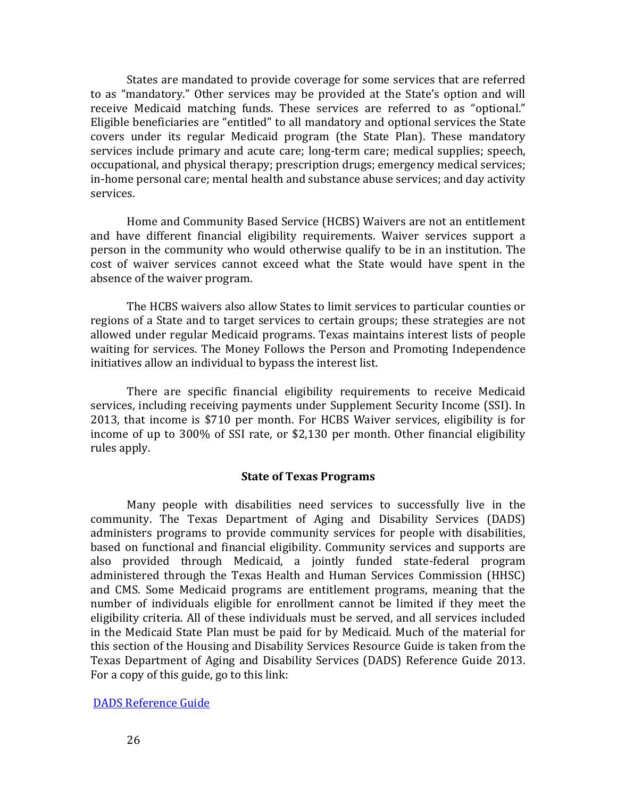States are mandated to provide coverage for some services that are referred to as "mandatory." Other services may be provided at the State's option and will receive Medicaid matching funds. These services are referred to as "optional." Eligible beneficiaries are "entitled" to all mandatory and optional services the State covers under its regular Medicaid program (the State Plan). These mandatory services include primary and acute care; long-term care; medical supplies; speech, occupational, and physical therapy; prescription drugs; emergency medical services; in-home personal care; mental health and substance abuse services; and day activity services.

Home and Community Based Service (HCBS) Waivers are not an entitlement and have different financial eligibility requirements. Waiver services support a person in the community who would otherwise qualify to be in an institution. The cost of waiver services cannot exceed what the State would have spent in the absence of the waiver program.

The HCBS waivers also allow States to limit services to particular counties or regions of a State and to target services to certain groups; these strategies are not allowed under regular Medicaid programs. Texas maintains interest lists of people waiting for services. The Money Follows the Person and Promoting Independence initiatives allow an individual to bypass the interest list.

There are specific financial eligibility requirements to receive Medicaid services, including receiving payments under Supplement Security Income (SSI). In 2013, that income is \$710 per month. For HCBS Waiver services, eligibility is for income of up to 300% of SSI rate, or \$2,130 per month. Other financial eligibility rules apply.

#### **State of Texas Programs**

<span id="page-30-0"></span>Many people with disabilities need services to successfully live in the community. The Texas Department of Aging and Disability Services (DADS) administers programs to provide community services for people with disabilities, based on functional and financial eligibility. Community services and supports are also provided through Medicaid, a jointly funded state-federal program administered through the Texas Health and Human Services Commission (HHSC) and CMS. Some Medicaid programs are entitlement programs, meaning that the number of individuals eligible for enrollment cannot be limited if they meet the eligibility criteria. All of these individuals must be served, and all services included in the Medicaid State Plan must be paid for by Medicaid. Much of the material for this section of the Housing and Disability Services Resource Guide is taken from the Texas Department of Aging and Disability Services (DADS) Reference Guide 2013. For a copy of this guide, go to this link:

#### [DADS Reference Guide](file:///C:/Documents%20and%20Settings/kmoore/Local%20Settings/Temporary%20Internet%20Files/Content.Outlook/T2B8JGR8/FY13ReferenceGuide.pdf)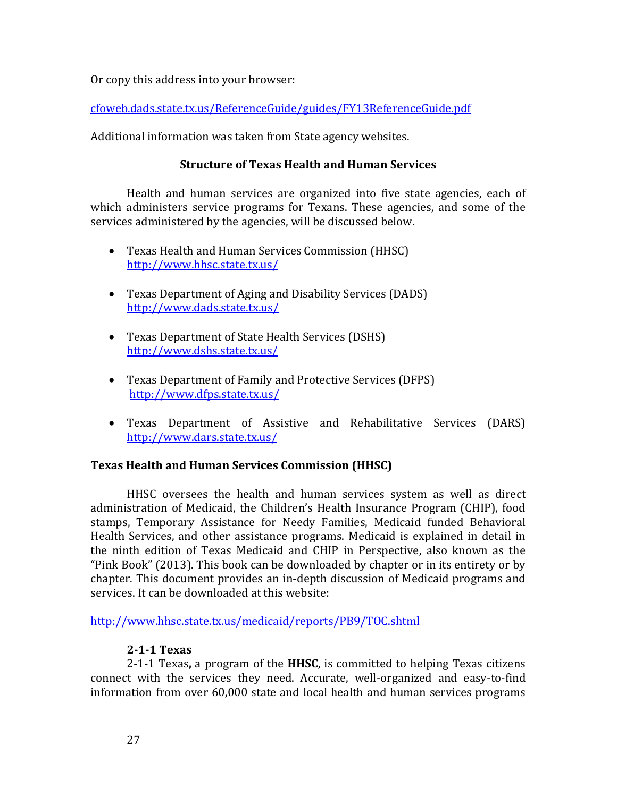Or copy this address into your browser:

[cfoweb.dads.state.tx.us/ReferenceGuide/guides/FY13ReferenceGuide.pdf](file:///C:/Documents%20and%20Settings/sduran/Local%20Settings/Temporary%20Internet%20Files/Content.Outlook/OPL67C8S/cfoweb.dads.state.tx.us/ReferenceGuide/guides/FY13ReferenceGuide.pdf) 

<span id="page-31-0"></span>Additional information was taken from State agency websites.

# **Structure of Texas Health and Human Services**

Health and human services are organized into five state agencies, each of which administers service programs for Texans. These agencies, and some of the services administered by the agencies, will be discussed below.

- Texas Health and Human Services Commission (HHSC) <http://www.hhsc.state.tx.us/>
- Texas Department of Aging and Disability Services (DADS) <http://www.dads.state.tx.us/>
- Texas Department of State Health Services (DSHS) <http://www.dshs.state.tx.us/>
- Texas Department of Family and Protective Services (DFPS) <http://www.dfps.state.tx.us/>
- Texas Department of Assistive and Rehabilitative Services (DARS) <http://www.dars.state.tx.us/>

# <span id="page-31-1"></span>**Texas Health and Human Services Commission (HHSC)**

HHSC oversees the health and human services system as well as direct administration of Medicaid, the Children's Health Insurance Program (CHIP), food stamps, Temporary Assistance for Needy Families, Medicaid funded Behavioral Health Services, and other assistance programs. Medicaid is explained in detail in the ninth edition of Texas Medicaid and CHIP in Perspective, also known as the "Pink Book" (2013). This book can be downloaded by chapter or in its entirety or by chapter. This document provides an in-depth discussion of Medicaid programs and services. It can be downloaded at this website:

<http://www.hhsc.state.tx.us/medicaid/reports/PB9/TOC.shtml>

# **2-1-1 Texas**

<span id="page-31-2"></span>2-1-1 Texas**,** a program of the **HHSC**, is committed to helping Texas citizens connect with the services they need. Accurate, well-organized and easy-to-find information from over 60,000 state and local health and human services programs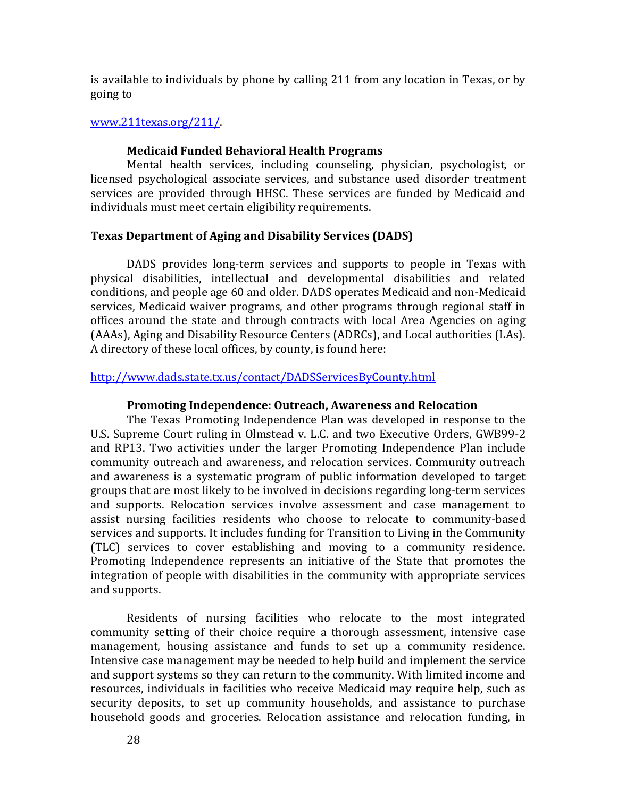is available to individuals by phone by calling 211 from any location in Texas, or by going to

## [www.211texas.org/211/.](http://www.211texas.org/211/)

### **Medicaid Funded Behavioral Health Programs**

<span id="page-32-0"></span>Mental health services, including counseling, physician, psychologist, or licensed psychological associate services, and substance used disorder treatment services are provided through HHSC. These services are funded by Medicaid and individuals must meet certain eligibility requirements.

### <span id="page-32-1"></span>**Texas Department of Aging and Disability Services (DADS)**

DADS provides long-term services and supports to people in Texas with physical disabilities, intellectual and developmental disabilities and related conditions, and people age 60 and older. DADS operates Medicaid and non-Medicaid services, Medicaid waiver programs, and other programs through regional staff in offices around the state and through contracts with local Area Agencies on aging (AAAs), Aging and Disability Resource Centers (ADRCs), and Local authorities (LAs). A directory of these local offices, by county, is found here:

## <http://www.dads.state.tx.us/contact/DADSServicesByCounty.html>

### **Promoting Independence: Outreach, Awareness and Relocation**

<span id="page-32-2"></span>The Texas Promoting Independence Plan was developed in response to the U.S. Supreme Court ruling in Olmstead v. L.C. and two Executive Orders, GWB99-2 and RP13. Two activities under the larger Promoting Independence Plan include community outreach and awareness, and relocation services. Community outreach and awareness is a systematic program of public information developed to target groups that are most likely to be involved in decisions regarding long-term services and supports. Relocation services involve assessment and case management to assist nursing facilities residents who choose to relocate to community-based services and supports. It includes funding for Transition to Living in the Community (TLC) services to cover establishing and moving to a community residence. Promoting Independence represents an initiative of the State that promotes the integration of people with disabilities in the community with appropriate services and supports.

Residents of nursing facilities who relocate to the most integrated community setting of their choice require a thorough assessment, intensive case management, housing assistance and funds to set up a community residence. Intensive case management may be needed to help build and implement the service and support systems so they can return to the community. With limited income and resources, individuals in facilities who receive Medicaid may require help, such as security deposits, to set up community households, and assistance to purchase household goods and groceries. Relocation assistance and relocation funding, in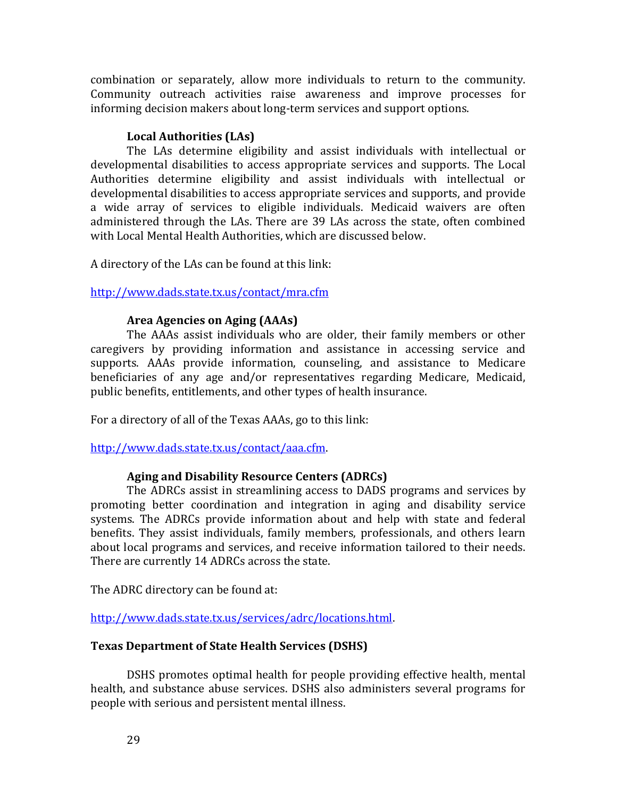combination or separately, allow more individuals to return to the community. Community outreach activities raise awareness and improve processes for informing decision makers about long-term services and support options.

# **Local Authorities (LAs)**

<span id="page-33-0"></span>The LAs determine eligibility and assist individuals with intellectual or developmental disabilities to access appropriate services and supports. The Local Authorities determine eligibility and assist individuals with intellectual or developmental disabilities to access appropriate services and supports, and provide a wide array of services to eligible individuals. Medicaid waivers are often administered through the LAs. There are 39 LAs across the state, often combined with Local Mental Health Authorities, which are discussed below.

A directory of the LAs can be found at this link:

<http://www.dads.state.tx.us/contact/mra.cfm>

## **Area Agencies on Aging (AAAs)**

<span id="page-33-1"></span>The AAAs assist individuals who are older, their family members or other caregivers by providing information and assistance in accessing service and supports. AAAs provide information, counseling, and assistance to Medicare beneficiaries of any age and/or representatives regarding Medicare, Medicaid, public benefits, entitlements, and other types of health insurance.

For a directory of all of the Texas AAAs, go to this link:

[http://www.dads.state.tx.us/contact/aaa.cfm.](http://www.dads.state.tx.us/contact/aaa.cfm) 

# **Aging and Disability Resource Centers (ADRCs)**

<span id="page-33-2"></span>The ADRCs assist in streamlining access to DADS programs and services by promoting better coordination and integration in aging and disability service systems. The ADRCs provide information about and help with state and federal benefits. They assist individuals, family members, professionals, and others learn about local programs and services, and receive information tailored to their needs. There are currently 14 ADRCs across the state.

The ADRC directory can be found at:

[http://www.dads.state.tx.us/services/adrc/locations.html.](http://www.dads.state.tx.us/services/adrc/locations.html)

# <span id="page-33-3"></span>**Texas Department of State Health Services (DSHS)**

DSHS promotes optimal health for people providing effective health, mental health, and substance abuse services. DSHS also administers several programs for people with serious and persistent mental illness.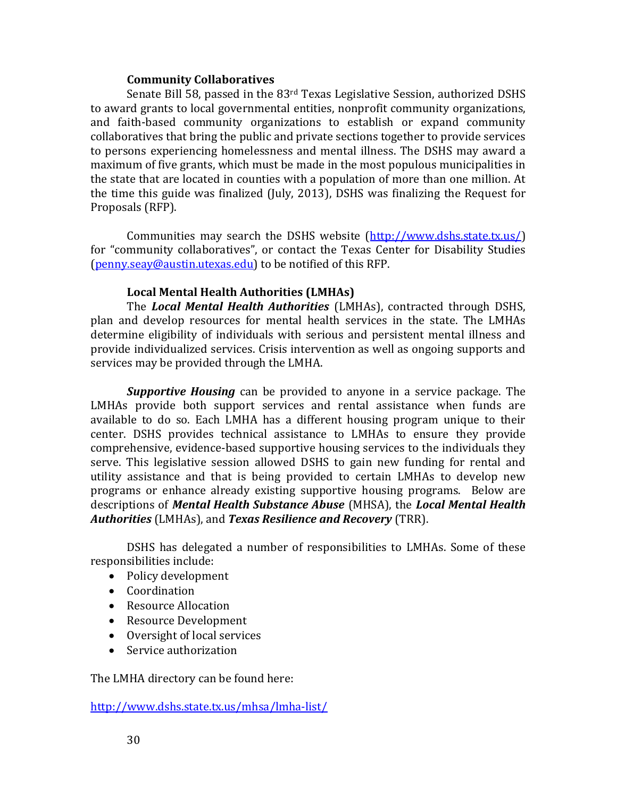## **Community Collaboratives**

<span id="page-34-0"></span>Senate Bill 58, passed in the 83rd Texas Legislative Session, authorized DSHS to award grants to local governmental entities, nonprofit community organizations, and faith-based community organizations to establish or expand community collaboratives that bring the public and private sections together to provide services to persons experiencing homelessness and mental illness. The DSHS may award a maximum of five grants, which must be made in the most populous municipalities in the state that are located in counties with a population of more than one million. At the time this guide was finalized (July, 2013), DSHS was finalizing the Request for Proposals (RFP).

Communities may search the DSHS website [\(http://www.dshs.state.tx.us/\)](http://www.dshs.state.tx.us/) for "community collaboratives", or contact the Texas Center for Disability Studies [\(penny.seay@austin.utexas.edu\)](mailto:penny.seay@austin.utexas.edu) to be notified of this RFP.

## **Local Mental Health Authorities (LMHAs)**

<span id="page-34-1"></span>The *Local Mental Health Authorities* (LMHAs), contracted through DSHS, plan and develop resources for mental health services in the state. The LMHAs determine eligibility of individuals with serious and persistent mental illness and provide individualized services. Crisis intervention as well as ongoing supports and services may be provided through the LMHA.

*Supportive Housing* can be provided to anyone in a service package. The LMHAs provide both support services and rental assistance when funds are available to do so. Each LMHA has a different housing program unique to their center. DSHS provides technical assistance to LMHAs to ensure they provide comprehensive, evidence-based supportive housing services to the individuals they serve. This legislative session allowed DSHS to gain new funding for rental and utility assistance and that is being provided to certain LMHAs to develop new programs or enhance already existing supportive housing programs. Below are descriptions of *Mental Health Substance Abuse* (MHSA), the *Local Mental Health Authorities* (LMHAs), and *Texas Resilience and Recovery* (TRR).

DSHS has delegated a number of responsibilities to LMHAs. Some of these responsibilities include:

- Policy development
- Coordination
- Resource Allocation
- Resource Development
- Oversight of local services
- Service authorization

The LMHA directory can be found here:

<http://www.dshs.state.tx.us/mhsa/lmha-list/>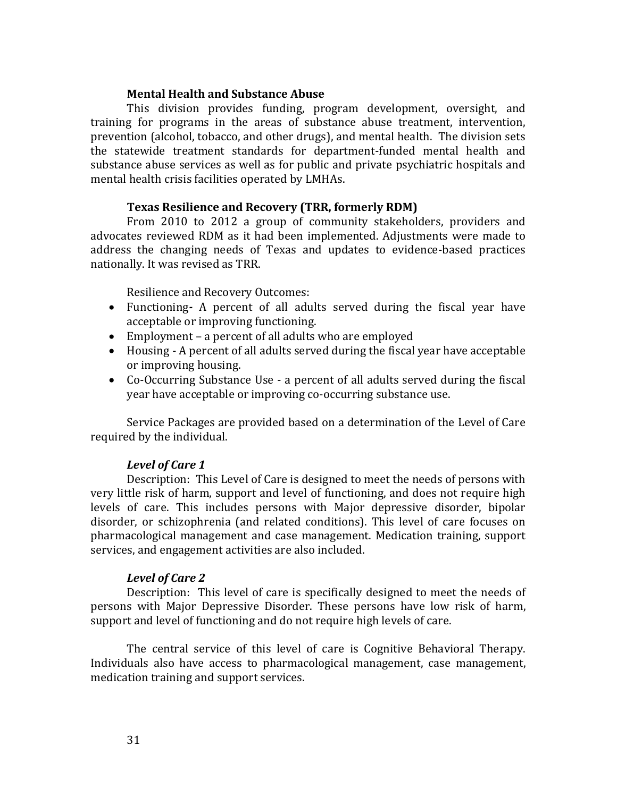### **Mental Health and Substance Abuse**

<span id="page-35-0"></span>This division provides funding, program development, oversight, and training for programs in the areas of substance abuse treatment, intervention, prevention (alcohol, tobacco, and other drugs), and mental health. The division sets the statewide treatment standards for department-funded mental health and substance abuse services as well as for public and private psychiatric hospitals and mental health crisis facilities operated by LMHAs.

## **Texas Resilience and Recovery (TRR, formerly RDM)**

<span id="page-35-1"></span>From 2010 to 2012 a group of community stakeholders, providers and advocates reviewed RDM as it had been implemented. Adjustments were made to address the changing needs of Texas and updates to evidence-based practices nationally. It was revised as TRR.

Resilience and Recovery Outcomes:

- Functioning*-* A percent of all adults served during the fiscal year have acceptable or improving functioning.
- Employment a percent of all adults who are employed
- Housing A percent of all adults served during the fiscal year have acceptable or improving housing.
- Co-Occurring Substance Use a percent of all adults served during the fiscal year have acceptable or improving co-occurring substance use.

Service Packages are provided based on a determination of the Level of Care required by the individual.

## *Level of Care 1*

Description: This Level of Care is designed to meet the needs of persons with very little risk of harm, support and level of functioning, and does not require high levels of care. This includes persons with Major depressive disorder, bipolar disorder, or schizophrenia (and related conditions). This level of care focuses on pharmacological management and case management. Medication training, support services, and engagement activities are also included.

## *Level of Care 2*

Description: This level of care is specifically designed to meet the needs of persons with Major Depressive Disorder. These persons have low risk of harm, support and level of functioning and do not require high levels of care.

The central service of this level of care is Cognitive Behavioral Therapy. Individuals also have access to pharmacological management, case management, medication training and support services.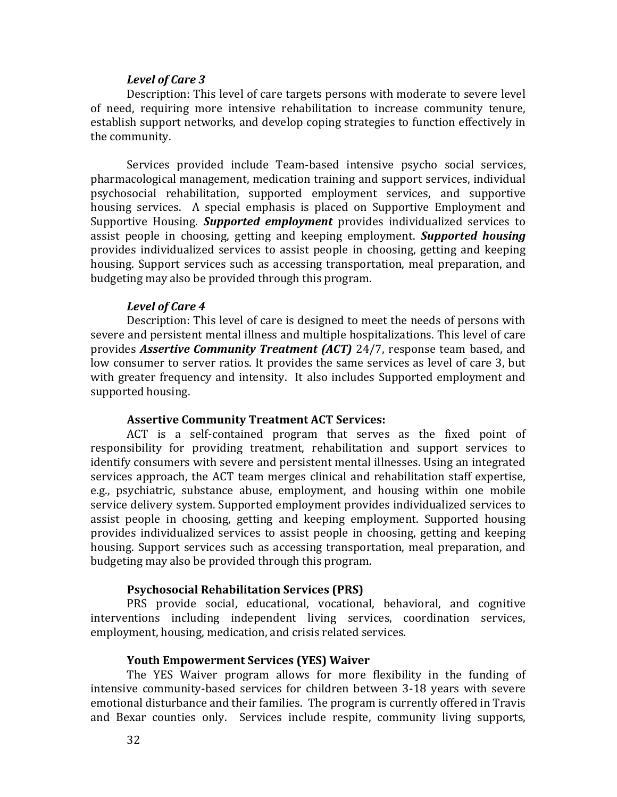### *Level of Care 3*

Description: This level of care targets persons with moderate to severe level of need, requiring more intensive rehabilitation to increase community tenure, establish support networks, and develop coping strategies to function effectively in the community.

Services provided include Team-based intensive psycho social services, pharmacological management, medication training and support services, individual psychosocial rehabilitation, supported employment services, and supportive housing services. A special emphasis is placed on Supportive Employment and Supportive Housing. *Supported employment* provides individualized services to assist people in choosing, getting and keeping employment. *Supported housing* provides individualized services to assist people in choosing, getting and keeping housing. Support services such as accessing transportation, meal preparation, and budgeting may also be provided through this program.

#### *Level of Care 4*

Description: This level of care is designed to meet the needs of persons with severe and persistent mental illness and multiple hospitalizations. This level of care provides *Assertive Community Treatment (ACT)* 24/7, response team based, and low consumer to server ratios. It provides the same services as level of care 3, but with greater frequency and intensity. It also includes Supported employment and supported housing.

#### **Assertive Community Treatment ACT Services:**

ACT is a self-contained program that serves as the fixed point of responsibility for providing treatment, rehabilitation and support services to identify consumers with severe and persistent mental illnesses. Using an integrated services approach, the ACT team merges clinical and rehabilitation staff expertise, e.g., psychiatric, substance abuse, employment, and housing within one mobile service delivery system. Supported employment provides individualized services to assist people in choosing, getting and keeping employment. Supported housing provides individualized services to assist people in choosing, getting and keeping housing. Support services such as accessing transportation, meal preparation, and budgeting may also be provided through this program.

#### **Psychosocial Rehabilitation Services (PRS)**

PRS provide social, educational, vocational, behavioral, and cognitive interventions including independent living services, coordination services, employment, housing, medication, and crisis related services.

#### **Youth Empowerment Services (YES) Waiver**

The YES Waiver program allows for more flexibility in the funding of intensive community-based services for children between 3-18 years with severe emotional disturbance and their families. The program is currently offered in Travis and Bexar counties only. Services include respite, community living supports,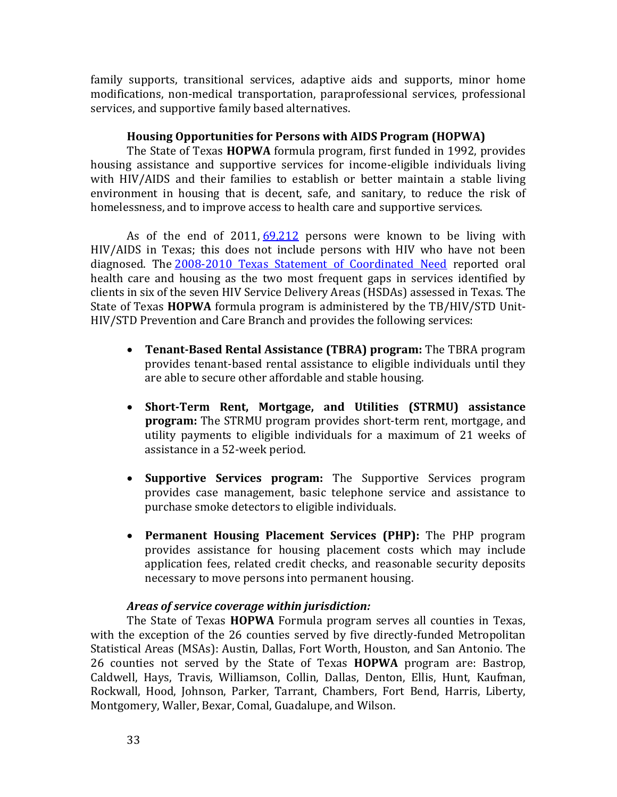family supports, transitional services, adaptive aids and supports, minor home modifications, non-medical transportation, paraprofessional services, professional services, and supportive family based alternatives.

## **Housing Opportunities for Persons with AIDS Program (HOPWA)**

The State of Texas **HOPWA** formula program, first funded in 1992, provides housing assistance and supportive services for income-eligible individuals living with HIV/AIDS and their families to establish or better maintain a stable living environment in housing that is decent, safe, and sanitary, to reduce the risk of homelessness, and to improve access to health care and supportive services.

As of the end of  $2011, 69,212$  persons were known to be living with HIV/AIDS in Texas; this does not include persons with HIV who have not been diagnosed. The [2008-2010 Texas Statement of Coordinated Need](http://www.dshs.state.tx.us/WorkArea/linkit.aspx?LinkIdentifier=id&ItemID=22474) reported oral health care and housing as the two most frequent gaps in services identified by clients in six of the seven HIV Service Delivery Areas (HSDAs) assessed in Texas. The State of Texas **HOPWA** formula program is administered by the TB/HIV/STD Unit-HIV/STD Prevention and Care Branch and provides the following services:

- **Tenant-Based Rental Assistance (TBRA) program:** The TBRA program provides tenant-based rental assistance to eligible individuals until they are able to secure other affordable and stable housing.
- **Short-Term Rent, Mortgage, and Utilities (STRMU) assistance program:** The STRMU program provides short-term rent, mortgage, and utility payments to eligible individuals for a maximum of 21 weeks of assistance in a 52-week period.
- **Supportive Services program:** The Supportive Services program provides case management, basic telephone service and assistance to purchase smoke detectors to eligible individuals.
- **Permanent Housing Placement Services (PHP):** The PHP program provides assistance for housing placement costs which may include application fees, related credit checks, and reasonable security deposits necessary to move persons into permanent housing.

### *Areas of service coverage within jurisdiction:*

The State of Texas **HOPWA** Formula program serves all counties in Texas, with the exception of the 26 counties served by five directly-funded Metropolitan Statistical Areas (MSAs): Austin, Dallas, Fort Worth, Houston, and San Antonio. The 26 counties not served by the State of Texas **HOPWA** program are: Bastrop, Caldwell, Hays, Travis, Williamson, Collin, Dallas, Denton, Ellis, Hunt, Kaufman, Rockwall, Hood, Johnson, Parker, Tarrant, Chambers, Fort Bend, Harris, Liberty, Montgomery, Waller, Bexar, Comal, Guadalupe, and Wilson.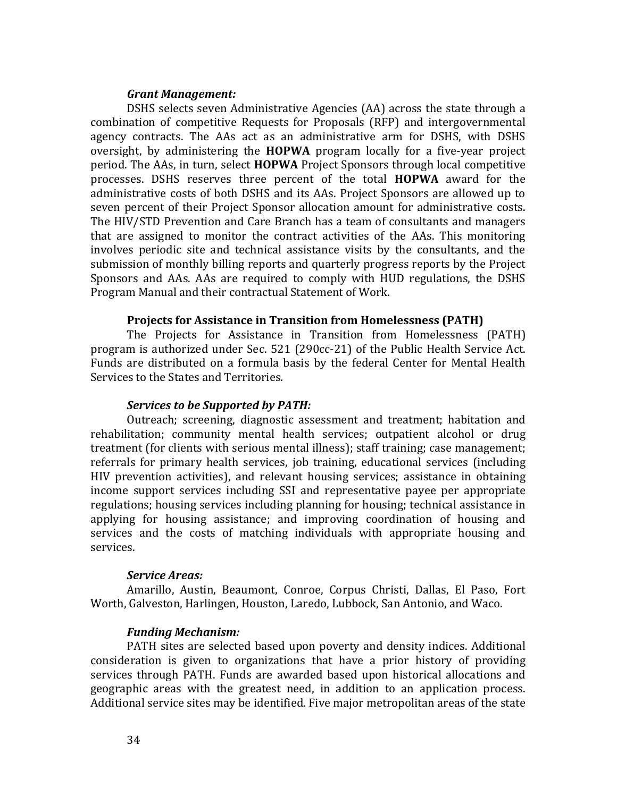#### *Grant Management:*

DSHS selects seven Administrative Agencies (AA) across the state through a combination of competitive Requests for Proposals (RFP) and intergovernmental agency contracts. The AAs act as an administrative arm for DSHS, with DSHS oversight, by administering the **HOPWA** program locally for a five-year project period. The AAs, in turn, select **HOPWA** Project Sponsors through local competitive processes. DSHS reserves three percent of the total **HOPWA** award for the administrative costs of both DSHS and its AAs. Project Sponsors are allowed up to seven percent of their Project Sponsor allocation amount for administrative costs. The HIV/STD Prevention and Care Branch has a team of consultants and managers that are assigned to monitor the contract activities of the AAs. This monitoring involves periodic site and technical assistance visits by the consultants, and the submission of monthly billing reports and quarterly progress reports by the Project Sponsors and AAs. AAs are required to comply with HUD regulations, the DSHS Program Manual and their contractual Statement of Work.

#### **Projects for Assistance in Transition from Homelessness (PATH)**

The Projects for Assistance in Transition from Homelessness (PATH) program is authorized under Sec. 521 (290cc-21) of the Public Health Service Act. Funds are distributed on a formula basis by the federal Center for Mental Health Services to the States and Territories.

### *Services to be Supported by PATH:*

Outreach; screening, diagnostic assessment and treatment; habitation and rehabilitation; community mental health services; outpatient alcohol or drug treatment (for clients with serious mental illness); staff training; case management; referrals for primary health services, job training, educational services (including HIV prevention activities), and relevant housing services; assistance in obtaining income support services including SSI and representative payee per appropriate regulations; housing services including planning for housing; technical assistance in applying for housing assistance; and improving coordination of housing and services and the costs of matching individuals with appropriate housing and services.

#### *Service Areas:*

Amarillo, Austin, Beaumont, Conroe, Corpus Christi, Dallas, El Paso, Fort Worth, Galveston, Harlingen, Houston, Laredo, Lubbock, San Antonio, and Waco.

#### *Funding Mechanism:*

PATH sites are selected based upon poverty and density indices. Additional consideration is given to organizations that have a prior history of providing services through PATH. Funds are awarded based upon historical allocations and geographic areas with the greatest need, in addition to an application process. Additional service sites may be identified. Five major metropolitan areas of the state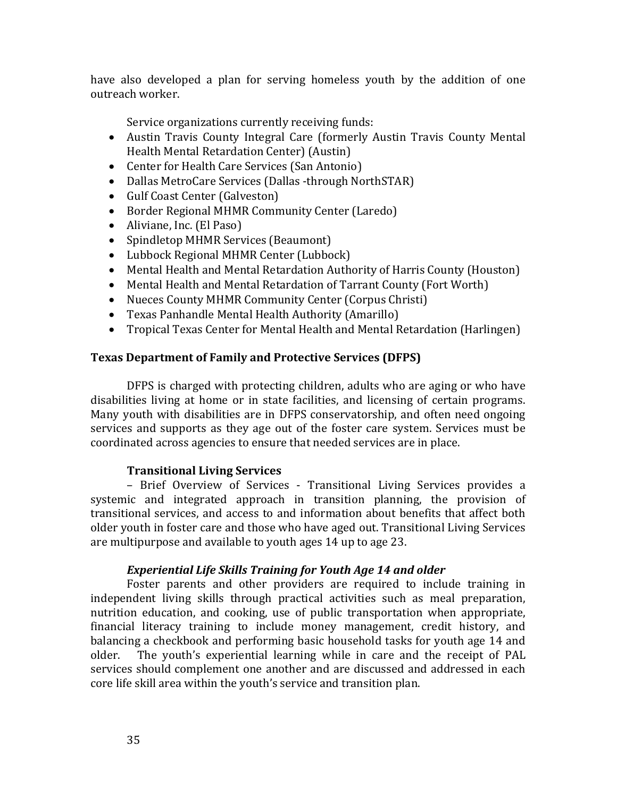have also developed a plan for serving homeless youth by the addition of one outreach worker.

Service organizations currently receiving funds:

- Austin Travis County Integral Care (formerly Austin Travis County Mental Health Mental Retardation Center) (Austin)
- Center for Health Care Services (San Antonio)
- Dallas MetroCare Services (Dallas -through NorthSTAR)
- Gulf Coast Center (Galveston)
- Border Regional MHMR Community Center (Laredo)
- Aliviane, Inc. (El Paso)
- Spindletop MHMR Services (Beaumont)
- Lubbock Regional MHMR Center (Lubbock)
- Mental Health and Mental Retardation Authority of Harris County (Houston)
- Mental Health and Mental Retardation of Tarrant County (Fort Worth)
- Nueces County MHMR Community Center (Corpus Christi)
- Texas Panhandle Mental Health Authority (Amarillo)
- Tropical Texas Center for Mental Health and Mental Retardation (Harlingen)

# **Texas Department of Family and Protective Services (DFPS)**

DFPS is charged with protecting children, adults who are aging or who have disabilities living at home or in state facilities, and licensing of certain programs. Many youth with disabilities are in DFPS conservatorship, and often need ongoing services and supports as they age out of the foster care system. Services must be coordinated across agencies to ensure that needed services are in place.

# **Transitional Living Services**

– Brief Overview of Services - Transitional Living Services provides a systemic and integrated approach in transition planning, the provision of transitional services, and access to and information about benefits that affect both older youth in foster care and those who have aged out. Transitional Living Services are multipurpose and available to youth ages 14 up to age 23.

# *Experiential Life Skills Training for Youth Age 14 and older*

Foster parents and other providers are required to include training in independent living skills through practical activities such as meal preparation, nutrition education, and cooking, use of public transportation when appropriate, financial literacy training to include money management, credit history, and balancing a checkbook and performing basic household tasks for youth age 14 and older. The youth's experiential learning while in care and the receipt of PAL services should complement one another and are discussed and addressed in each core life skill area within the youth's service and transition plan.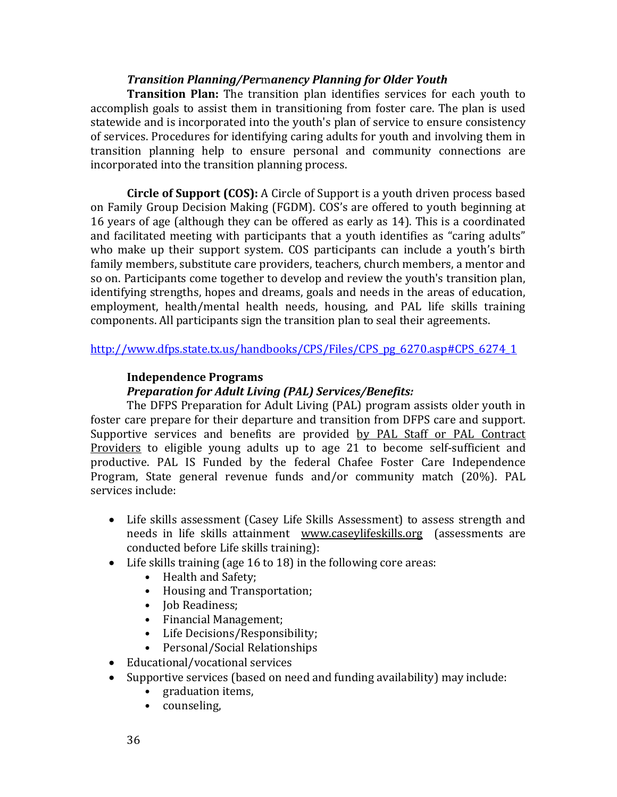## *Transition Planning/Per*m*anency Planning for Older Youth*

**Transition Plan:** The transition plan identifies services for each youth to accomplish goals to assist them in transitioning from foster care. The plan is used statewide and is incorporated into the youth's plan of service to ensure consistency of services. Procedures for identifying caring adults for youth and involving them in transition planning help to ensure personal and community connections are incorporated into the transition planning process.

**Circle of Support (COS):** A Circle of Support is a youth driven process based on Family Group Decision Making (FGDM). COS's are offered to youth beginning at 16 years of age (although they can be offered as early as 14). This is a coordinated and facilitated meeting with participants that a youth identifies as "caring adults" who make up their support system. COS participants can include a youth's birth family members, substitute care providers, teachers, church members, a mentor and so on. Participants come together to develop and review the youth's transition plan, identifying strengths, hopes and dreams, goals and needs in the areas of education, employment, health/mental health needs, housing, and PAL life skills training components. All participants sign the transition plan to seal their agreements.

[http://www.dfps.state.tx.us/handbooks/CPS/Files/CPS\\_pg\\_6270.asp#CPS\\_6274\\_1](http://www.dfps.state.tx.us/handbooks/CPS/Files/CPS_pg_6270.asp#CPS_6274_1)

# **Independence Programs**

# *Preparation for Adult Living (PAL) Services/Benefits:*

The DFPS Preparation for Adult Living (PAL) program assists older youth in foster care prepare for their departure and transition from DFPS care and support. Supportive services and benefits are provided by PAL Staff or PAL Contract Providers to eligible young adults up to age 21 to become self-sufficient and productive. PAL IS Funded by the federal Chafee Foster Care Independence Program, State general revenue funds and/or community match (20%). PAL services include:

- Life skills assessment (Casey Life Skills Assessment) to assess strength and needs in life skills attainment www.caseylifeskills.org (assessments are conducted before Life skills training):
- Life skills training (age 16 to 18) in the following core areas:
	- Health and Safety;
	- Housing and Transportation;
	- Job Readiness;
	- Financial Management;
	- Life Decisions/Responsibility;
	- Personal/Social Relationships
- Educational/vocational services
- Supportive services (based on need and funding availability) may include:
	- graduation items,
	- counseling,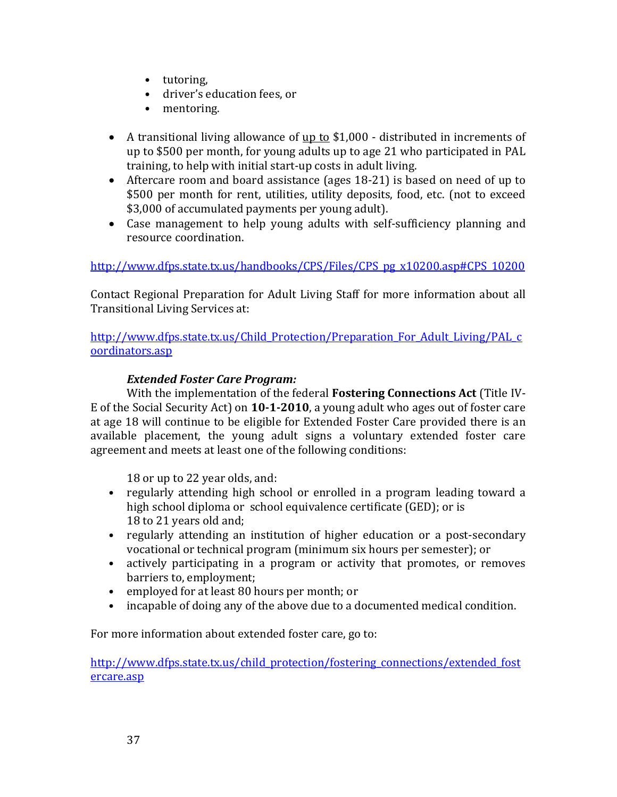- tutoring,
- driver's education fees, or
- mentoring.
- A transitional living allowance of <u>up to</u> \$1,000 distributed in increments of up to \$500 per month, for young adults up to age 21 who participated in PAL training, to help with initial start-up costs in adult living.
- Aftercare room and board assistance (ages 18-21) is based on need of up to \$500 per month for rent, utilities, utility deposits, food, etc. (not to exceed \$3,000 of accumulated payments per young adult).
- Case management to help young adults with self-sufficiency planning and resource coordination.

[http://www.dfps.state.tx.us/handbooks/CPS/Files/CPS\\_pg\\_x10200.asp#CPS\\_10200](http://www.dfps.state.tx.us/handbooks/CPS/Files/CPS_pg_x10200.asp%23CPS_10200) 

Contact Regional Preparation for Adult Living Staff for more information about all Transitional Living Services at:

http://www.dfps.state.tx.us/Child Protection/Preparation For Adult Living/PAL c [oordinators.asp](http://www.dfps.state.tx.us/Child_Protection/Preparation_For_Adult_Living/PAL_coordinators.asp)

# *Extended Foster Care Program:*

With the implementation of the federal **Fostering Connections Act** (Title IV-E of the Social Security Act) on **10-1-2010**, a young adult who ages out of foster care at age 18 will continue to be eligible for Extended Foster Care provided there is an available placement, the young adult signs a voluntary extended foster care agreement and meets at least one of the following conditions:

18 or up to 22 year olds, and:

- regularly attending high school or enrolled in a program leading toward a high school diploma or school equivalence certificate (GED); or is 18 to 21 years old and;
- regularly attending an institution of higher education or a post-secondary vocational or technical program (minimum six hours per semester); or
- actively participating in a program or activity that promotes, or removes barriers to, employment;
- employed for at least 80 hours per month; or
- incapable of doing any of the above due to a documented medical condition.

For more information about extended foster care, go to:

[http://www.dfps.state.tx.us/child\\_protection/fostering\\_connections/extended\\_fost](http://www.dfps.state.tx.us/child_protection/fostering_connections/extended_fostercare.asp) [ercare.asp](http://www.dfps.state.tx.us/child_protection/fostering_connections/extended_fostercare.asp)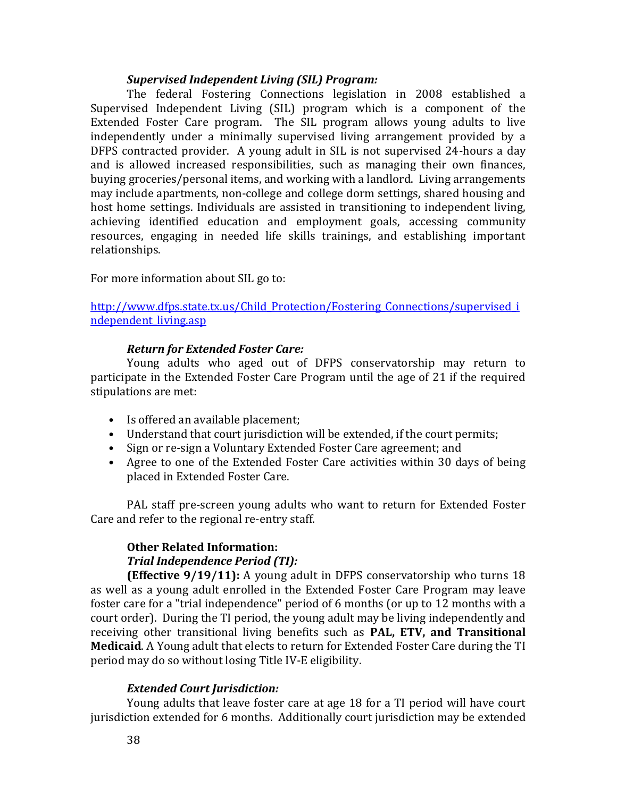### *Supervised Independent Living (SIL) Program:*

The federal Fostering Connections legislation in 2008 established a Supervised Independent Living (SIL) program which is a component of the Extended Foster Care program. The SIL program allows young adults to live independently under a minimally supervised living arrangement provided by a DFPS contracted provider. A young adult in SIL is not supervised 24-hours a day and is allowed increased responsibilities, such as managing their own finances, buying groceries/personal items, and working with a landlord. Living arrangements may include apartments, non-college and college dorm settings, shared housing and host home settings. Individuals are assisted in transitioning to independent living, achieving identified education and employment goals, accessing community resources, engaging in needed life skills trainings, and establishing important relationships.

For more information about SIL go to:

[http://www.dfps.state.tx.us/Child\\_Protection/Fostering\\_Connections/supervised\\_i](http://www.dfps.state.tx.us/Child_Protection/Fostering_Connections/supervised_independent_living.asp) ndependent living.asp

### *Return for Extended Foster Care:*

Young adults who aged out of DFPS conservatorship may return to participate in the Extended Foster Care Program until the age of 21 if the required stipulations are met:

- Is offered an available placement;
- Understand that court jurisdiction will be extended, if the court permits;
- Sign or re-sign a Voluntary Extended Foster Care agreement; and
- Agree to one of the Extended Foster Care activities within 30 days of being placed in Extended Foster Care.

PAL staff pre-screen young adults who want to return for Extended Foster Care and refer to the regional re-entry staff.

# **Other Related Information:**  *Trial Independence Period (TI):*

**(Effective 9/19/11):** A young adult in DFPS conservatorship who turns 18 as well as a young adult enrolled in the Extended Foster Care Program may leave foster care for a "trial independence" period of 6 months (or up to 12 months with a court order). During the TI period, the young adult may be living independently and receiving other transitional living benefits such as **PAL, ETV, and Transitional Medicaid**. A Young adult that elects to return for Extended Foster Care during the TI period may do so without losing Title IV-E eligibility.

# *Extended Court Jurisdiction:*

Young adults that leave foster care at age 18 for a TI period will have court jurisdiction extended for 6 months. Additionally court jurisdiction may be extended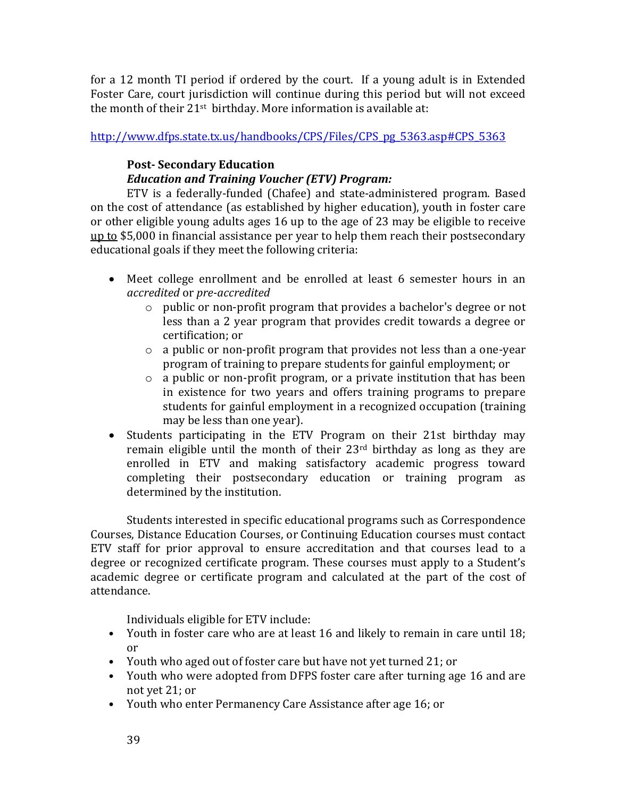for a 12 month TI period if ordered by the court. If a young adult is in Extended Foster Care, court jurisdiction will continue during this period but will not exceed the month of their 21<sup>st</sup> birthday. More information is available at:

[http://www.dfps.state.tx.us/handbooks/CPS/Files/CPS\\_pg\\_5363.asp#CPS\\_5363](http://www.dfps.state.tx.us/handbooks/CPS/Files/CPS_pg_5363.asp%23CPS_5363)

# **Post- Secondary Education**

# *Education and Training Voucher (ETV) Program:*

ETV is a federally-funded (Chafee) and state-administered program. Based on the cost of attendance (as established by higher education), youth in foster care or other eligible young adults ages 16 up to the age of 23 may be eligible to receive  $up to $5,000$  in financial assistance per year to help them reach their postsecondary</u> educational goals if they meet the following criteria:

- Meet college enrollment and be enrolled at least 6 semester hours in an *accredited* or *pre-accredited* 
	- o public or non-profit program that provides a bachelor's degree or not less than a 2 year program that provides credit towards a degree or certification; or
	- o a public or non-profit program that provides not less than a one-year program of training to prepare students for gainful employment; or
	- o a public or non-profit program, or a private institution that has been in existence for two years and offers training programs to prepare students for gainful employment in a recognized occupation (training may be less than one year).
- Students participating in the ETV Program on their 21st birthday may remain eligible until the month of their 23rd birthday as long as they are enrolled in ETV and making satisfactory academic progress toward completing their postsecondary education or training program as determined by the institution.

Students interested in specific educational programs such as Correspondence Courses, Distance Education Courses, or Continuing Education courses must contact ETV staff for prior approval to ensure accreditation and that courses lead to a degree or recognized certificate program. These courses must apply to a Student's academic degree or certificate program and calculated at the part of the cost of attendance.

Individuals eligible for ETV include:

- Youth in foster care who are at least 16 and likely to remain in care until 18; or
- Youth who aged out of foster care but have not yet turned 21; or
- Youth who were adopted from DFPS foster care after turning age 16 and are not yet 21; or
- Youth who enter Permanency Care Assistance after age 16; or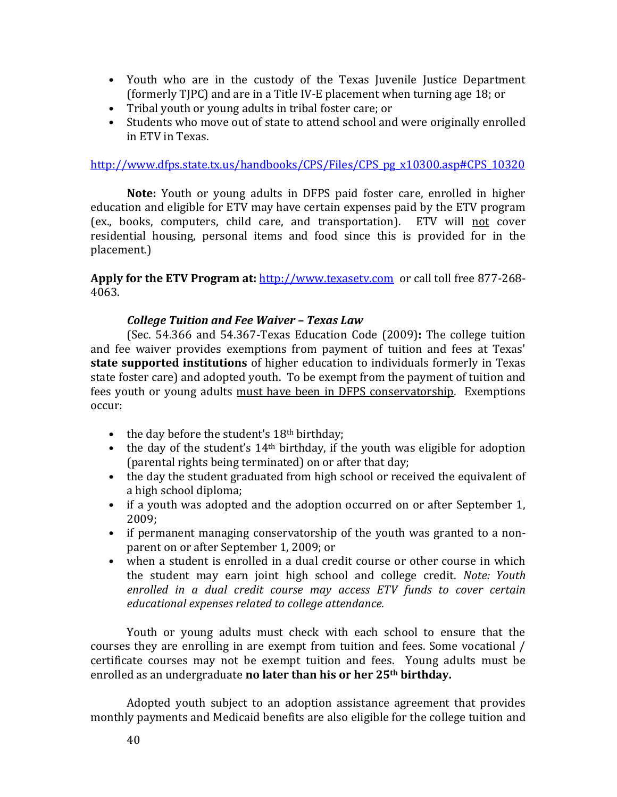- Youth who are in the custody of the Texas Juvenile Justice Department (formerly TJPC) and are in a Title IV-E placement when turning age 18; or
- Tribal youth or young adults in tribal foster care; or
- Students who move out of state to attend school and were originally enrolled in ETV in Texas.

[http://www.dfps.state.tx.us/handbooks/CPS/Files/CPS\\_pg\\_x10300.asp#CPS\\_10320](http://www.dfps.state.tx.us/handbooks/CPS/Files/CPS_pg_x10300.asp%23CPS_10320) 

**Note:** Youth or young adults in DFPS paid foster care, enrolled in higher education and eligible for ETV may have certain expenses paid by the ETV program (ex., books, computers, child care, and transportation). ETV will not cover residential housing, personal items and food since this is provided for in the placement.)

**Apply for the ETV Program at:** [http://www.texasetv.com](http://www.texasetv.com/) or call toll free 877-268- 4063.

### *College Tuition and Fee Waiver – Texas Law*

(Sec. 54.366 and 54.367-Texas Education Code (2009)**:** The college tuition and fee waiver provides exemptions from payment of tuition and fees at Texas' **state supported institutions** of higher education to individuals formerly in Texas state foster care) and adopted youth. To be exempt from the payment of tuition and fees youth or young adults must have been in DFPS conservatorship. Exemptions occur:

- the day before the student's 18<sup>th</sup> birthday;
- the day of the student's  $14<sup>th</sup>$  birthday, if the youth was eligible for adoption (parental rights being terminated) on or after that day;
- the day the student graduated from high school or received the equivalent of a high school diploma;
- if a youth was adopted and the adoption occurred on or after September 1, 2009;
- if permanent managing conservatorship of the youth was granted to a nonparent on or after September 1, 2009; or
- when a student is enrolled in a dual credit course or other course in which the student may earn joint high school and college credit. *Note: Youth enrolled in a dual credit course may access ETV funds to cover certain educational expenses related to college attendance.*

Youth or young adults must check with each school to ensure that the courses they are enrolling in are exempt from tuition and fees. Some vocational / certificate courses may not be exempt tuition and fees. Young adults must be enrolled as an undergraduate **no later than his or her 25th birthday.** 

Adopted youth subject to an adoption assistance agreement that provides monthly payments and Medicaid benefits are also eligible for the college tuition and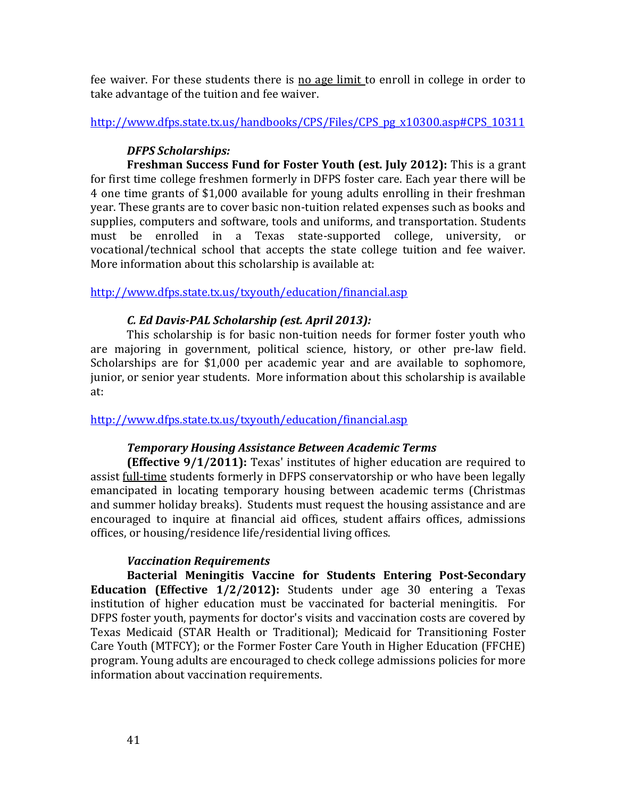fee waiver. For these students there is no age limit to enroll in college in order to take advantage of the tuition and fee waiver.

[http://www.dfps.state.tx.us/handbooks/CPS/Files/CPS\\_pg\\_x10300.asp#CPS\\_10311](http://www.dfps.state.tx.us/handbooks/CPS/Files/CPS_pg_x10300.asp#CPS_10311)

# *DFPS Scholarships:*

**Freshman Success Fund for Foster Youth (est. July 2012):** This is a grant for first time college freshmen formerly in DFPS foster care. Each year there will be 4 one time grants of \$1,000 available for young adults enrolling in their freshman year. These grants are to cover basic non-tuition related expenses such as books and supplies, computers and software, tools and uniforms, and transportation. Students must be enrolled in a Texas state-supported college, university, or vocational/technical school that accepts the state college tuition and fee waiver. More information about this scholarship is available at:

<http://www.dfps.state.tx.us/txyouth/education/financial.asp>

# *C. Ed Davis-PAL Scholarship (est. April 2013):*

This scholarship is for basic non-tuition needs for former foster youth who are majoring in government, political science, history, or other pre-law field. Scholarships are for \$1,000 per academic year and are available to sophomore, junior, or senior year students. More information about this scholarship is available at:

<http://www.dfps.state.tx.us/txyouth/education/financial.asp>

# *Temporary Housing Assistance Between Academic Terms*

**(Effective 9/1/2011):** Texas' institutes of higher education are required to assist full-time students formerly in DFPS conservatorship or who have been legally emancipated in locating temporary housing between academic terms (Christmas and summer holiday breaks). Students must request the housing assistance and are encouraged to inquire at financial aid offices, student affairs offices, admissions offices, or housing/residence life/residential living offices.

# *Vaccination Requirements*

**Bacterial Meningitis Vaccine for Students Entering Post-Secondary Education (Effective 1/2/2012):** Students under age 30 entering a Texas institution of higher education must be vaccinated for bacterial meningitis. For DFPS foster youth, payments for doctor's visits and vaccination costs are covered by Texas Medicaid (STAR Health or Traditional); Medicaid for Transitioning Foster Care Youth (MTFCY); or the Former Foster Care Youth in Higher Education (FFCHE) program. Young adults are encouraged to check college admissions policies for more information about vaccination requirements.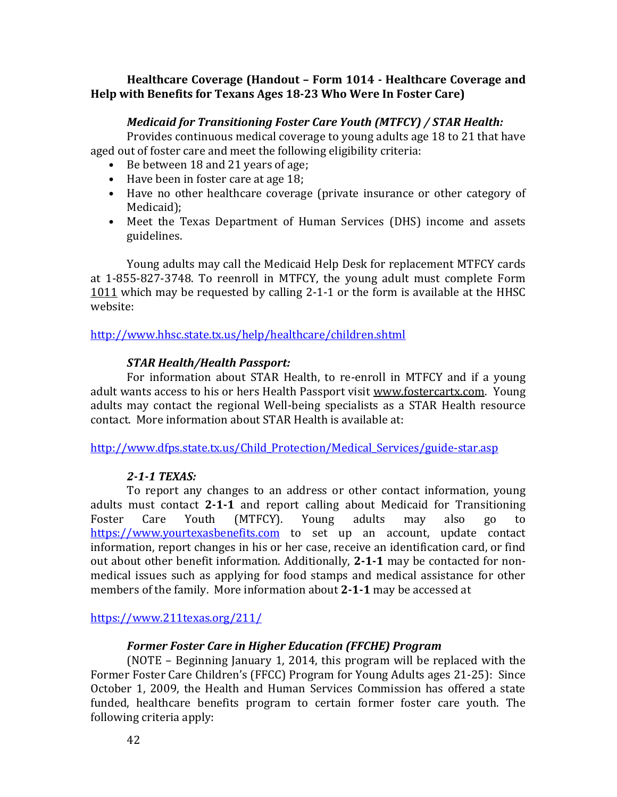# **Healthcare Coverage (Handout – Form 1014 - Healthcare Coverage and Help with Benefits for Texans Ages 18-23 Who Were In Foster Care)**

# *Medicaid for Transitioning Foster Care Youth (MTFCY) / STAR Health:*

Provides continuous medical coverage to young adults age 18 to 21 that have aged out of foster care and meet the following eligibility criteria:

- Be between 18 and 21 years of age;
- Have been in foster care at age 18;
- Have no other healthcare coverage (private insurance or other category of Medicaid);
- Meet the Texas Department of Human Services (DHS) income and assets guidelines.

Young adults may call the Medicaid Help Desk for replacement MTFCY cards at 1-855-827-3748. To reenroll in MTFCY, the young adult must complete Form 1011 which may be requested by calling 2-1-1 or the form is available at the HHSC website:

<http://www.hhsc.state.tx.us/help/healthcare/children.shtml>

# *STAR Health/Health Passport:*

For information about STAR Health, to re-enroll in MTFCY and if a young adult wants access to his or hers Health Passport visit www.fostercartx.com. Young adults may contact the regional Well-being specialists as a STAR Health resource contact. More information about STAR Health is available at:

[http://www.dfps.state.tx.us/Child\\_Protection/Medical\\_Services/guide-star.asp](http://www.dfps.state.tx.us/Child_Protection/Medical_Services/guide-star.asp)

# *2-1-1 TEXAS:*

To report any changes to an address or other contact information, young adults must contact **2-1-1** and report calling about Medicaid for Transitioning Foster Care Youth (MTFCY). Young adults may also go to [https://www.yourtexasbenefits.com](https://www.yourtexasbenefits.com/) to set up an account, update contact information, report changes in his or her case, receive an identification card, or find out about other benefit information. Additionally, **2-1-1** may be contacted for nonmedical issues such as applying for food stamps and medical assistance for other members of the family. More information about **2-1-1** may be accessed at

<https://www.211texas.org/211/>

# *Former Foster Care in Higher Education (FFCHE) Program*

(NOTE – Beginning January 1, 2014, this program will be replaced with the Former Foster Care Children's (FFCC) Program for Young Adults ages 21-25): Since October 1, 2009, the Health and Human Services Commission has offered a state funded, healthcare benefits program to certain former foster care youth. The following criteria apply: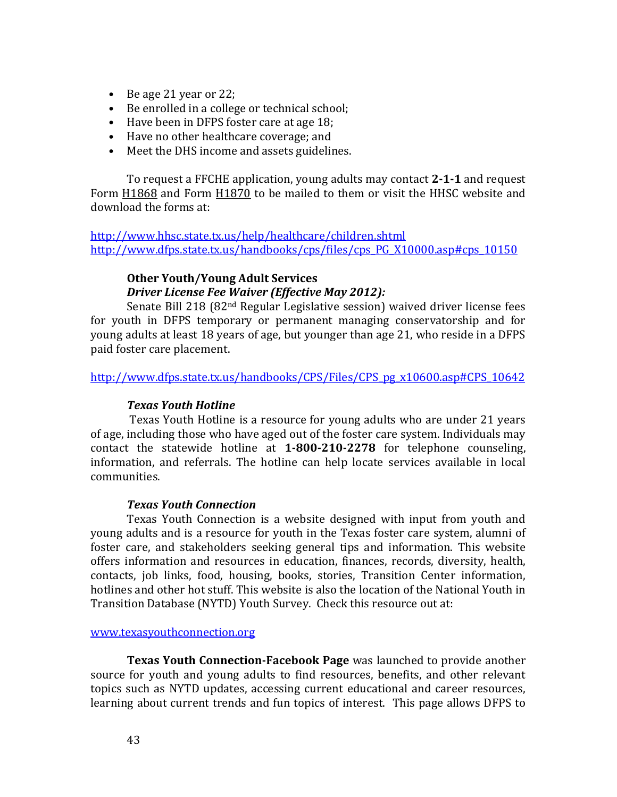- Be age 21 year or 22;
- Be enrolled in a college or technical school;
- Have been in DFPS foster care at age 18;
- Have no other healthcare coverage; and
- Meet the DHS income and assets guidelines.

To request a FFCHE application, young adults may contact **2-1-1** and request Form H1868 and Form H1870 to be mailed to them or visit the HHSC website and download the forms at:

<http://www.hhsc.state.tx.us/help/healthcare/children.shtml> [http://www.dfps.state.tx.us/handbooks/cps/files/cps\\_PG\\_X10000.asp#cps\\_10150](http://www.dfps.state.tx.us/handbooks/cps/files/cps_PG_X10000.asp#cps_10150)

# **Other Youth/Young Adult Services**  *Driver License Fee Waiver (Effective May 2012):*

Senate Bill 218 (82nd Regular Legislative session) waived driver license fees for youth in DFPS temporary or permanent managing conservatorship and for young adults at least 18 years of age, but younger than age 21, who reside in a DFPS paid foster care placement.

[http://www.dfps.state.tx.us/handbooks/CPS/Files/CPS\\_pg\\_x10600.asp#CPS\\_10642](http://www.dfps.state.tx.us/handbooks/CPS/Files/CPS_pg_x10600.asp%23CPS_10642) 

# *Texas Youth Hotline*

Texas Youth Hotline is a resource for young adults who are under 21 years of age, including those who have aged out of the foster care system. Individuals may contact the statewide hotline at **1-800-210-2278** for telephone counseling, information, and referrals. The hotline can help locate services available in local communities.

### *Texas Youth Connection*

Texas Youth Connection is a website designed with input from youth and young adults and is a resource for youth in the Texas foster care system, alumni of foster care, and stakeholders seeking general tips and information. This website offers information and resources in education, finances, records, diversity, health, contacts, job links, food, housing, books, stories, Transition Center information, hotlines and other hot stuff. This website is also the location of the National Youth in Transition Database (NYTD) Youth Survey. Check this resource out at:

### [www.texasyouthconnection.org](http://www.texasyouthconnection.org/)

**Texas Youth Connection-Facebook Page** was launched to provide another source for youth and young adults to find resources, benefits, and other relevant topics such as NYTD updates, accessing current educational and career resources, learning about current trends and fun topics of interest. This page allows DFPS to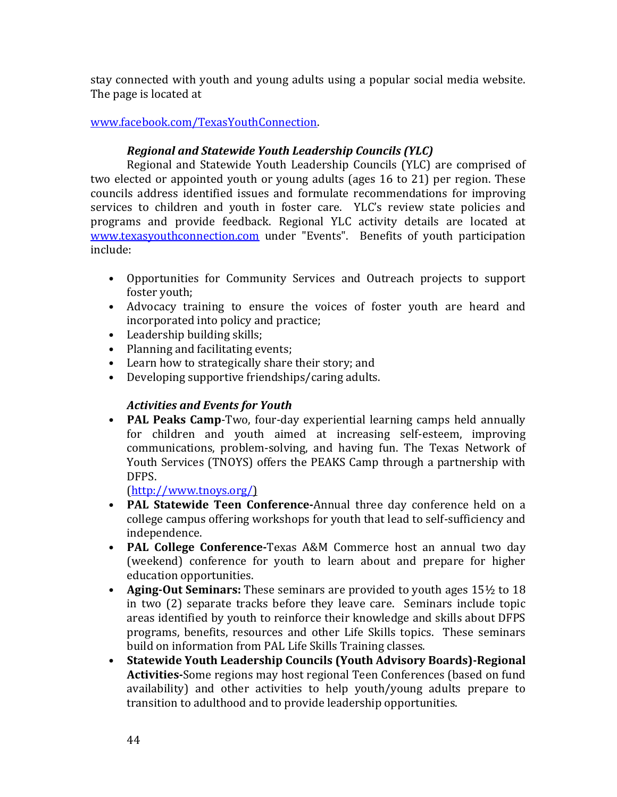stay connected with youth and young adults using a popular social media website. The page is located at

# [www.facebook.com/TexasYouthConnection.](http://www.facebook.com/TexasYouthConnection)

# *Regional and Statewide Youth Leadership Councils (YLC)*

Regional and Statewide Youth Leadership Councils (YLC) are comprised of two elected or appointed youth or young adults (ages 16 to 21) per region. These councils address identified issues and formulate recommendations for improving services to children and youth in foster care. YLC's review state policies and programs and provide feedback. Regional YLC activity details are located at [www.texasyouthconnection.com](file:///C:/Documents%20and%20Settings/sduran/Local%20Settings/Temporary%20Internet%20Files/Content.Outlook/OPL67C8S/www.texasyouthconnection.com) under "Events". Benefits of youth participation include:

- Opportunities for Community Services and Outreach projects to support foster youth;
- Advocacy training to ensure the voices of foster youth are heard and incorporated into policy and practice;
- Leadership building skills;
- Planning and facilitating events;
- Learn how to strategically share their story; and
- Developing supportive friendships/caring adults.

# *Activities and Events for Youth*

• **PAL Peaks Camp**-Two, four-day experiential learning camps held annually for children and youth aimed at increasing self-esteem, improving communications, problem-solving, and having fun. The Texas Network of Youth Services (TNOYS) offers the PEAKS Camp through a partnership with DFPS.

[\(http://www.tnoys.org/\)](http://www.tnoys.org/)

- **PAL Statewide Teen Conference-**Annual three day conference held on a college campus offering workshops for youth that lead to self-sufficiency and independence.
- **PAL College Conference-**Texas A&M Commerce host an annual two day (weekend) conference for youth to learn about and prepare for higher education opportunities.
- **Aging-Out Seminars:** These seminars are provided to youth ages 15½ to 18 in two (2) separate tracks before they leave care. Seminars include topic areas identified by youth to reinforce their knowledge and skills about DFPS programs, benefits, resources and other Life Skills topics. These seminars build on information from PAL Life Skills Training classes.
- **Statewide Youth Leadership Councils (Youth Advisory Boards)-Regional Activities-**Some regions may host regional Teen Conferences (based on fund availability) and other activities to help youth/young adults prepare to transition to adulthood and to provide leadership opportunities.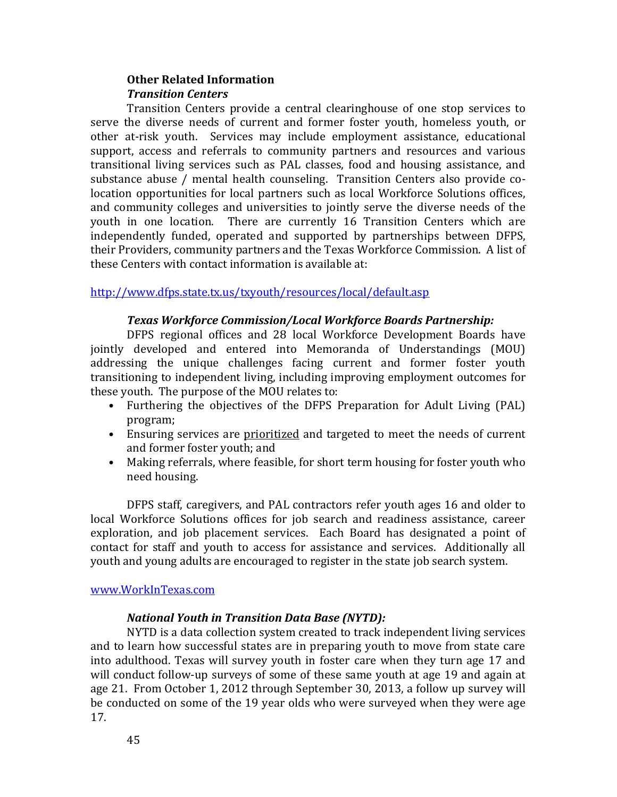# **Other Related Information**  *Transition Centers*

Transition Centers provide a central clearinghouse of one stop services to serve the diverse needs of current and former foster youth, homeless youth, or other at-risk youth. Services may include employment assistance, educational support, access and referrals to community partners and resources and various transitional living services such as PAL classes, food and housing assistance, and substance abuse / mental health counseling. Transition Centers also provide colocation opportunities for local partners such as local Workforce Solutions offices, and community colleges and universities to jointly serve the diverse needs of the youth in one location. There are currently 16 Transition Centers which are independently funded, operated and supported by partnerships between DFPS, their Providers, community partners and the Texas Workforce Commission. A list of these Centers with contact information is available at:

<http://www.dfps.state.tx.us/txyouth/resources/local/default.asp>

# *Texas Workforce Commission/Local Workforce Boards Partnership:*

DFPS regional offices and 28 local Workforce Development Boards have jointly developed and entered into Memoranda of Understandings (MOU) addressing the unique challenges facing current and former foster youth transitioning to independent living, including improving employment outcomes for these youth. The purpose of the MOU relates to:

- Furthering the objectives of the DFPS Preparation for Adult Living (PAL) program;
- Ensuring services are prioritized and targeted to meet the needs of current and former foster youth; and
- Making referrals, where feasible, for short term housing for foster youth who need housing.

DFPS staff, caregivers, and PAL contractors refer youth ages 16 and older to local Workforce Solutions offices for job search and readiness assistance, career exploration, and job placement services. Each Board has designated a point of contact for staff and youth to access for assistance and services. Additionally all youth and young adults are encouraged to register in the state job search system.

### [www.WorkInTexas.com](file:///C:/Documents%20and%20Settings/sduran/Local%20Settings/Temporary%20Internet%20Files/Content.Outlook/OPL67C8S/www.WorkInTexas.com)

# *National Youth in Transition Data Base (NYTD):*

NYTD is a data collection system created to track independent living services and to learn how successful states are in preparing youth to move from state care into adulthood. Texas will survey youth in foster care when they turn age 17 and will conduct follow-up surveys of some of these same youth at age 19 and again at age 21. From October 1, 2012 through September 30, 2013, a follow up survey will be conducted on some of the 19 year olds who were surveyed when they were age 17.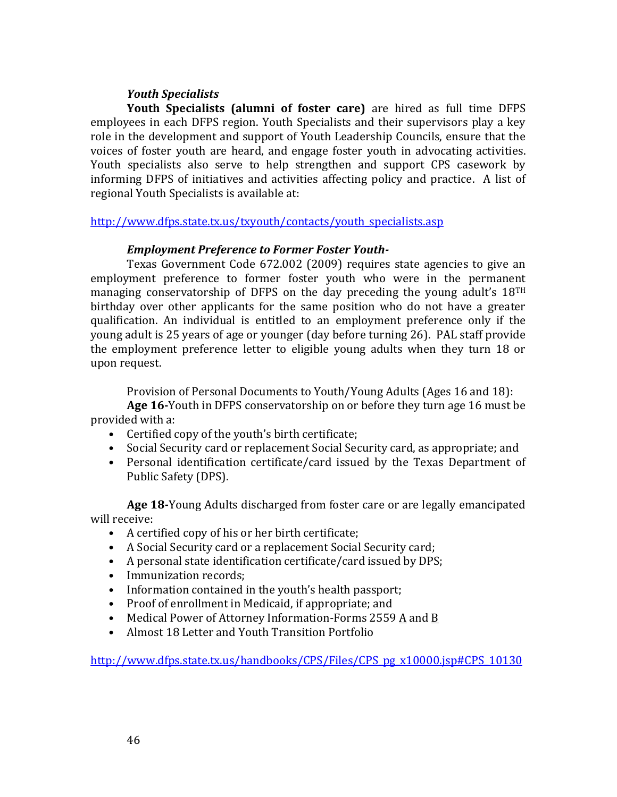# *Youth Specialists*

**Youth Specialists (alumni of foster care)** are hired as full time DFPS employees in each DFPS region. Youth Specialists and their supervisors play a key role in the development and support of Youth Leadership Councils, ensure that the voices of foster youth are heard, and engage foster youth in advocating activities. Youth specialists also serve to help strengthen and support CPS casework by informing DFPS of initiatives and activities affecting policy and practice. A list of regional Youth Specialists is available at:

[http://www.dfps.state.tx.us/txyouth/contacts/youth\\_specialists.asp](http://www.dfps.state.tx.us/txyouth/contacts/youth_specialists.asp)

# *Employment Preference to Former Foster Youth-*

Texas Government Code 672.002 (2009) requires state agencies to give an employment preference to former foster youth who were in the permanent managing conservatorship of DFPS on the day preceding the young adult's 18TH birthday over other applicants for the same position who do not have a greater qualification. An individual is entitled to an employment preference only if the young adult is 25 years of age or younger (day before turning 26). PAL staff provide the employment preference letter to eligible young adults when they turn 18 or upon request.

Provision of Personal Documents to Youth/Young Adults (Ages 16 and 18):

**Age 16-**Youth in DFPS conservatorship on or before they turn age 16 must be provided with a:

- Certified copy of the youth's birth certificate;
- Social Security card or replacement Social Security card, as appropriate; and
- Personal identification certificate/card issued by the Texas Department of Public Safety (DPS).

**Age 18-**Young Adults discharged from foster care or are legally emancipated will receive:

- A certified copy of his or her birth certificate;
- A Social Security card or a replacement Social Security card;
- A personal state identification certificate/card issued by DPS;
- Immunization records;
- Information contained in the youth's health passport;
- Proof of enrollment in Medicaid, if appropriate; and
- Medical Power of Attorney Information-Forms 2559 A and B
- Almost 18 Letter and Youth Transition Portfolio

[http://www.dfps.state.tx.us/handbooks/CPS/Files/CPS\\_pg\\_x10000.jsp#CPS\\_10130](http://www.dfps.state.tx.us/handbooks/CPS/Files/CPS_pg_x10000.jsp%23CPS_10130)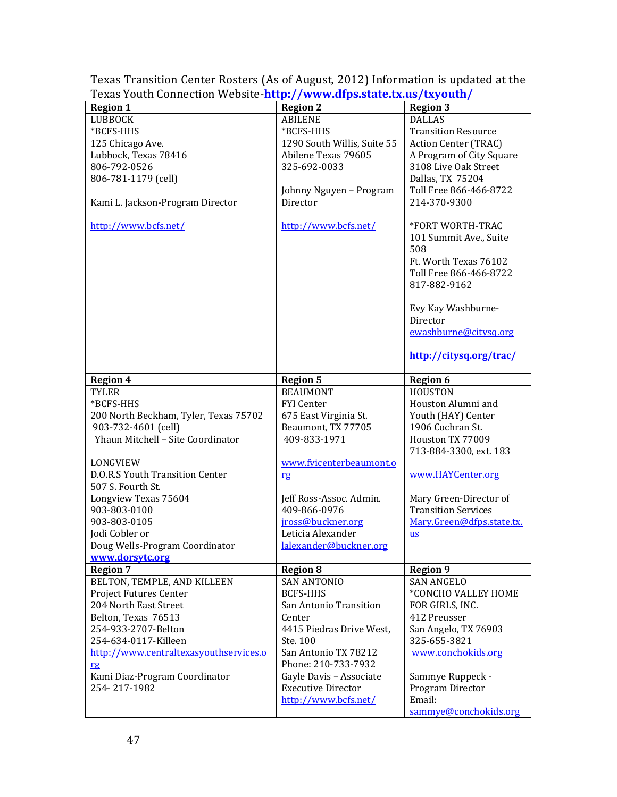| I CADS TOULII COMMECLION VYEDSILE <u>HLLD.//WWW.UIDS.SLALE.LA.US/LAVOULII/</u> |                                             |                                                   |
|--------------------------------------------------------------------------------|---------------------------------------------|---------------------------------------------------|
| <b>Region 1</b>                                                                | <b>Region 2</b>                             | <b>Region 3</b>                                   |
| <b>LUBBOCK</b>                                                                 | <b>ABILENE</b>                              | <b>DALLAS</b>                                     |
| *BCFS-HHS                                                                      | *BCFS-HHS                                   | <b>Transition Resource</b>                        |
| 125 Chicago Ave.                                                               | 1290 South Willis, Suite 55                 | Action Center (TRAC)                              |
| Lubbock, Texas 78416                                                           | Abilene Texas 79605                         | A Program of City Square                          |
| 806-792-0526                                                                   | 325-692-0033                                | 3108 Live Oak Street                              |
| 806-781-1179 (cell)                                                            |                                             | Dallas, TX 75204                                  |
|                                                                                |                                             | Toll Free 866-466-8722                            |
|                                                                                | Johnny Nguyen - Program                     |                                                   |
| Kami L. Jackson-Program Director                                               | Director                                    | 214-370-9300                                      |
| http://www.bcfs.net/                                                           | http://www.bcfs.net/                        | *FORT WORTH-TRAC<br>101 Summit Ave., Suite<br>508 |
|                                                                                |                                             | Ft. Worth Texas 76102                             |
|                                                                                |                                             | Toll Free 866-466-8722                            |
|                                                                                |                                             |                                                   |
|                                                                                |                                             | 817-882-9162                                      |
|                                                                                |                                             | Evy Kay Washburne-                                |
|                                                                                |                                             | Director                                          |
|                                                                                |                                             | ewashburne@citysq.org                             |
|                                                                                |                                             | http://citysq.org/trac/                           |
| <b>Region 4</b>                                                                | <b>Region 5</b>                             | <b>Region 6</b>                                   |
| <b>TYLER</b>                                                                   | <b>BEAUMONT</b>                             | <b>HOUSTON</b>                                    |
| *BCFS-HHS                                                                      | <b>FYI</b> Center                           | Houston Alumni and                                |
| 200 North Beckham, Tyler, Texas 75702                                          | 675 East Virginia St.                       | Youth (HAY) Center                                |
| 903-732-4601 (cell)                                                            | Beaumont, TX 77705                          | 1906 Cochran St.                                  |
| Yhaun Mitchell - Site Coordinator                                              | 409-833-1971                                | Houston TX 77009                                  |
|                                                                                |                                             |                                                   |
|                                                                                |                                             | 713-884-3300, ext. 183                            |
| LONGVIEW                                                                       | www.fyicenterbeaumont.o                     |                                                   |
| D.O.R.S Youth Transition Center                                                | rg                                          | www.HAYCenter.org                                 |
| 507 S. Fourth St.                                                              |                                             |                                                   |
| Longview Texas 75604                                                           | Jeff Ross-Assoc. Admin.                     | Mary Green-Director of                            |
| 903-803-0100                                                                   | 409-866-0976                                | <b>Transition Services</b>                        |
| 903-803-0105                                                                   | jross@buckner.org                           | Mary.Green@dfps.state.tx.                         |
| Jodi Cobler or                                                                 | Leticia Alexander                           | <b>us</b>                                         |
| Doug Wells-Program Coordinator                                                 | lalexander@buckner.org                      |                                                   |
| www.dorsytc.org                                                                |                                             |                                                   |
| <b>Region 7</b>                                                                | <b>Region 8</b>                             | <b>Region 9</b>                                   |
| BELTON, TEMPLE, AND KILLEEN                                                    | <b>SAN ANTONIO</b>                          | <b>SAN ANGELO</b>                                 |
| Project Futures Center                                                         | <b>BCFS-HHS</b>                             | *CONCHO VALLEY HOME                               |
| 204 North East Street                                                          | San Antonio Transition                      | FOR GIRLS, INC.                                   |
| Belton, Texas 76513                                                            | Center                                      | 412 Preusser                                      |
| 254-933-2707-Belton                                                            | 4415 Piedras Drive West,                    | San Angelo, TX 76903                              |
| 254-634-0117-Killeen                                                           | Ste. 100                                    | 325-655-3821                                      |
|                                                                                |                                             |                                                   |
| http://www.centraltexasyouthservices.o<br>rg                                   | San Antonio TX 78212<br>Phone: 210-733-7932 | www.conchokids.org                                |
| Kami Diaz-Program Coordinator                                                  | Gayle Davis - Associate                     | Sammye Ruppeck -                                  |
| 254-217-1982                                                                   | <b>Executive Director</b>                   |                                                   |
|                                                                                |                                             | Program Director                                  |
|                                                                                | http://www.bcfs.net/                        | Email:<br>sammye@conchokids.org                   |
|                                                                                |                                             |                                                   |

Texas Transition Center Rosters (As of August, 2012) Information is updated at the Texas Youth Connection Website-**<http://www.dfps.state.tx.us/txyouth/>**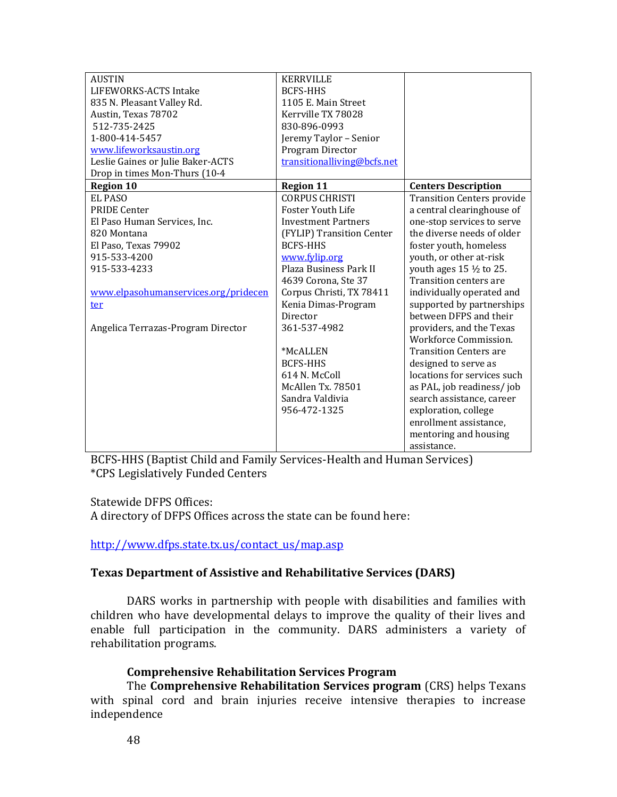| <b>AUSTIN</b>                        | <b>KERRVILLE</b>            |                                    |
|--------------------------------------|-----------------------------|------------------------------------|
| LIFEWORKS-ACTS Intake                | <b>BCFS-HHS</b>             |                                    |
| 835 N. Pleasant Valley Rd.           | 1105 E. Main Street         |                                    |
| Austin, Texas 78702                  | Kerrville TX 78028          |                                    |
| 512-735-2425                         | 830-896-0993                |                                    |
| 1-800-414-5457                       | Jeremy Taylor - Senior      |                                    |
| www.lifeworksaustin.org              | Program Director            |                                    |
| Leslie Gaines or Julie Baker-ACTS    | transitionalliving@bcfs.net |                                    |
| Drop in times Mon-Thurs (10-4        |                             |                                    |
| <b>Region 10</b>                     | <b>Region 11</b>            | <b>Centers Description</b>         |
| <b>EL PASO</b>                       | <b>CORPUS CHRISTI</b>       | <b>Transition Centers provide</b>  |
| <b>PRIDE Center</b>                  | <b>Foster Youth Life</b>    | a central clearinghouse of         |
| El Paso Human Services, Inc.         | <b>Investment Partners</b>  | one-stop services to serve         |
| 820 Montana                          | (FYLIP) Transition Center   | the diverse needs of older         |
| El Paso, Texas 79902                 | <b>BCFS-HHS</b>             | foster youth, homeless             |
| 915-533-4200                         | www.fylip.org               | youth, or other at-risk            |
| 915-533-4233                         | Plaza Business Park II      | youth ages $15 \frac{1}{2}$ to 25. |
|                                      | 4639 Corona, Ste 37         | <b>Transition centers are</b>      |
| www.elpasohumanservices.org/pridecen | Corpus Christi, TX 78411    | individually operated and          |
| ter                                  | Kenia Dimas-Program         | supported by partnerships          |
|                                      | Director                    | between DFPS and their             |
| Angelica Terrazas-Program Director   | 361-537-4982                | providers, and the Texas           |
|                                      |                             | Workforce Commission.              |
|                                      | *McALLEN                    | <b>Transition Centers are</b>      |
|                                      | <b>BCFS-HHS</b>             | designed to serve as               |
|                                      | 614 N. McColl               | locations for services such        |
|                                      | McAllen Tx. 78501           | as PAL, job readiness/job          |
|                                      | Sandra Valdivia             | search assistance, career          |
|                                      | 956-472-1325                | exploration, college               |
|                                      |                             | enrollment assistance,             |
|                                      |                             | mentoring and housing              |
|                                      |                             | assistance.                        |

BCFS-HHS (Baptist Child and Family Services-Health and Human Services) \*CPS Legislatively Funded Centers

Statewide DFPS Offices:

A directory of DFPS Offices across the state can be found here:

[http://www.dfps.state.tx.us/contact\\_us/map.asp](http://www.dfps.state.tx.us/contact_us/map.asp)

# **Texas Department of Assistive and Rehabilitative Services (DARS)**

DARS works in partnership with people with disabilities and families with children who have developmental delays to improve the quality of their lives and enable full participation in the community. DARS administers a variety of rehabilitation programs.

### **Comprehensive Rehabilitation Services Program**

The **Comprehensive Rehabilitation Services program** (CRS) helps Texans with spinal cord and brain injuries receive intensive therapies to increase independence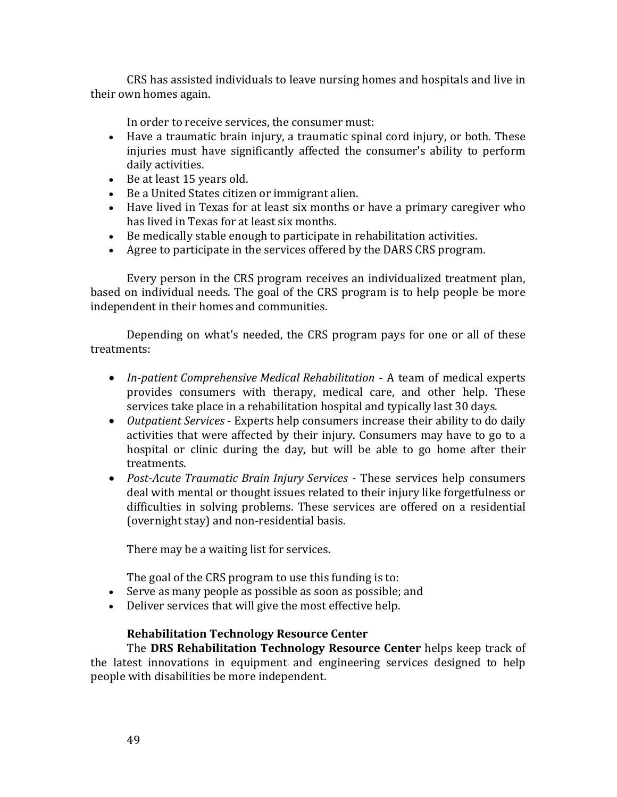CRS has assisted individuals to leave nursing homes and hospitals and live in their own homes again.

In order to receive services, the consumer must:

- Have a traumatic brain injury, a traumatic spinal cord injury, or both. These injuries must have significantly affected the consumer's ability to perform daily activities.
- Be at least 15 years old.
- Be a United States citizen or immigrant alien.
- Have lived in Texas for at least six months or have a primary caregiver who has lived in Texas for at least six months.
- Be medically stable enough to participate in rehabilitation activities.
- Agree to participate in the services offered by the DARS CRS program.

Every person in the CRS program receives an individualized treatment plan, based on individual needs. The goal of the CRS program is to help people be more independent in their homes and communities.

Depending on what's needed, the CRS program pays for one or all of these treatments:

- *In-patient Comprehensive Medical Rehabilitation* A team of medical experts provides consumers with therapy, medical care, and other help. These services take place in a rehabilitation hospital and typically last 30 days.
- *Outpatient Services* Experts help consumers increase their ability to do daily activities that were affected by their injury. Consumers may have to go to a hospital or clinic during the day, but will be able to go home after their treatments.
- *Post-Acute Traumatic Brain Injury Services* These services help consumers deal with mental or thought issues related to their injury like forgetfulness or difficulties in solving problems. These services are offered on a residential (overnight stay) and non-residential basis.

There may be a waiting list for services.

The goal of the CRS program to use this funding is to:

- Serve as many people as possible as soon as possible; and
- Deliver services that will give the most effective help.

# **Rehabilitation Technology Resource Center**

The **DRS Rehabilitation Technology Resource Center** helps keep track of the latest innovations in equipment and engineering services designed to help people with disabilities be more independent.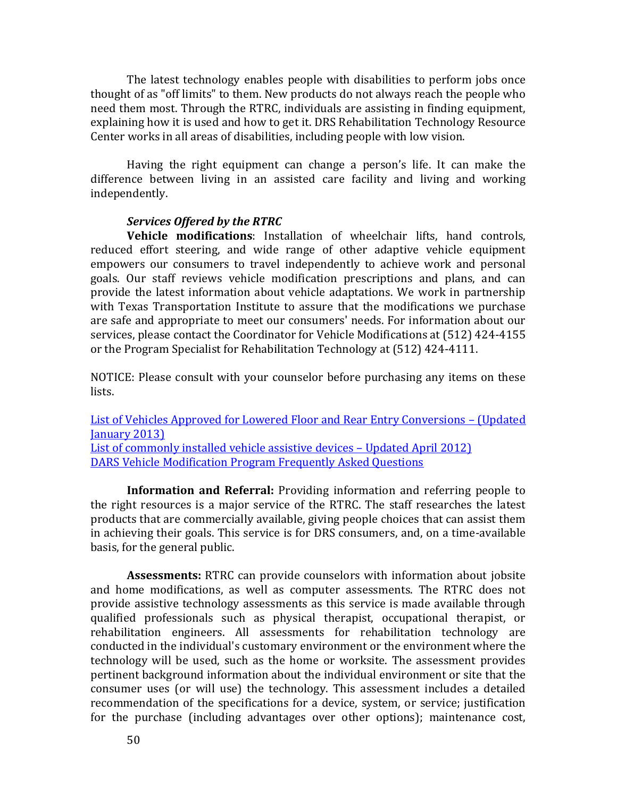The latest technology enables people with disabilities to perform jobs once thought of as "off limits" to them. New products do not always reach the people who need them most. Through the RTRC, individuals are assisting in finding equipment, explaining how it is used and how to get it. DRS Rehabilitation Technology Resource Center works in all areas of disabilities, including people with low vision.

Having the right equipment can change a person's life. It can make the difference between living in an assisted care facility and living and working independently.

### *Services Offered by the RTRC*

**Vehicle modifications**: Installation of wheelchair lifts, hand controls, reduced effort steering, and wide range of other adaptive vehicle equipment empowers our consumers to travel independently to achieve work and personal goals. Our staff reviews vehicle modification prescriptions and plans, and can provide the latest information about vehicle adaptations. We work in partnership with Texas Transportation Institute to assure that the modifications we purchase are safe and appropriate to meet our consumers' needs. For information about our services, please contact the Coordinator for Vehicle Modifications at (512) 424-4155 or the Program Specialist for Rehabilitation Technology at (512) 424-4111.

NOTICE: Please consult with your counselor before purchasing any items on these lists.

[List of Vehicles Approved for Lowered Floor and Rear Entry Conversions](http://www.dars.state.tx.us/drs/vehicleconversions.shtml) – (Updated [January 2013\)](http://www.dars.state.tx.us/drs/vehicleconversions.shtml) [List of commonly installed vehicle assistive devices](http://www.dars.state.tx.us/drs/vehicledevices.shtml) – Updated April 2012) [DARS Vehicle Modification Program Frequently Asked Questions](http://www.dars.state.tx.us/drs/faq_vehiclemod.shtml)

**Information and Referral:** Providing information and referring people to the right resources is a major service of the RTRC. The staff researches the latest products that are commercially available, giving people choices that can assist them in achieving their goals. This service is for DRS consumers, and, on a time-available basis, for the general public.

**Assessments:** RTRC can provide counselors with information about jobsite and home modifications, as well as computer assessments. The RTRC does not provide assistive technology assessments as this service is made available through qualified professionals such as physical therapist, occupational therapist, or rehabilitation engineers. All assessments for rehabilitation technology are conducted in the individual's customary environment or the environment where the technology will be used, such as the home or worksite. The assessment provides pertinent background information about the individual environment or site that the consumer uses (or will use) the technology. This assessment includes a detailed recommendation of the specifications for a device, system, or service; justification for the purchase (including advantages over other options); maintenance cost,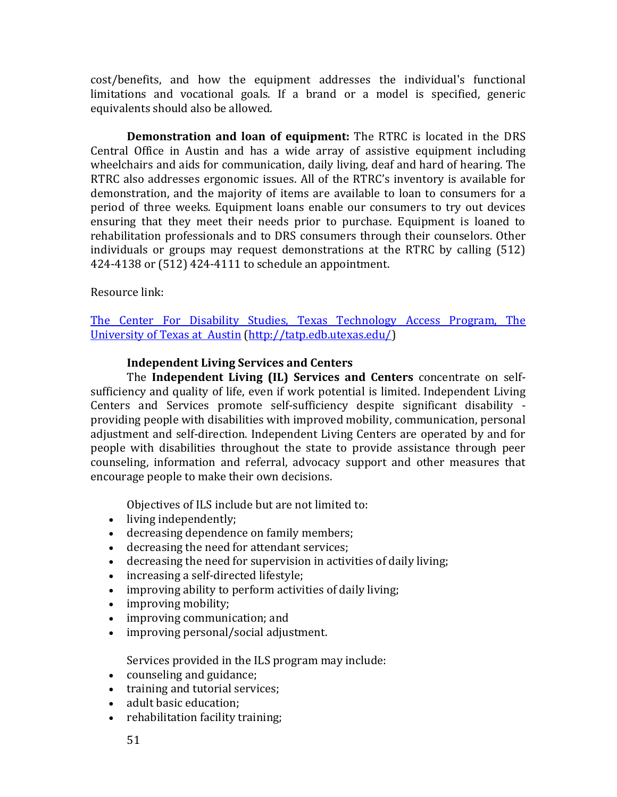cost/benefits, and how the equipment addresses the individual's functional limitations and vocational goals. If a brand or a model is specified, generic equivalents should also be allowed.

**Demonstration and loan of equipment:** The RTRC is located in the DRS Central Office in Austin and has a wide array of assistive equipment including wheelchairs and aids for communication, daily living, deaf and hard of hearing. The RTRC also addresses ergonomic issues. All of the RTRC's inventory is available for demonstration, and the majority of items are available to loan to consumers for a period of three weeks. Equipment loans enable our consumers to try out devices ensuring that they meet their needs prior to purchase. Equipment is loaned to rehabilitation professionals and to DRS consumers through their counselors. Other individuals or groups may request demonstrations at the RTRC by calling (512) 424-4138 or (512) 424-4111 to schedule an appointment.

# Resource link:

[The Center For Disability Studies, Texas Technology Access Program, The](file:///C:/Documents%20and%20Settings/sduran/Local%20Settings/Temporary%20Internet%20Files/Content.Outlook/OPL67C8S/The%20Center%20For%20Disability%20Studies,%20Texas%20Technology%20Access%20Program,%20The%20%20University%20of%20Texas%20at%20%20Austin)  [University of Texas at Austin](file:///C:/Documents%20and%20Settings/sduran/Local%20Settings/Temporary%20Internet%20Files/Content.Outlook/OPL67C8S/The%20Center%20For%20Disability%20Studies,%20Texas%20Technology%20Access%20Program,%20The%20%20University%20of%20Texas%20at%20%20Austin) [\(http://tatp.edb.utexas.edu/\)](http://tatp.edb.utexas.edu/)

# **Independent Living Services and Centers**

The **Independent Living (IL) Services and Centers** concentrate on selfsufficiency and quality of life, even if work potential is limited. Independent Living Centers and Services promote self-sufficiency despite significant disability providing people with disabilities with improved mobility, communication, personal adjustment and self-direction. Independent Living Centers are operated by and for people with disabilities throughout the state to provide assistance through peer counseling, information and referral, advocacy support and other measures that encourage people to make their own decisions.

Objectives of ILS include but are not limited to:

- living independently;
- decreasing dependence on family members;
- decreasing the need for attendant services;
- decreasing the need for supervision in activities of daily living;
- increasing a self-directed lifestyle;
- improving ability to perform activities of daily living;
- improving mobility;
- improving communication; and
- improving personal/social adjustment.

Services provided in the ILS program may include:

- counseling and guidance;
- training and tutorial services:
- adult basic education;
- rehabilitation facility training;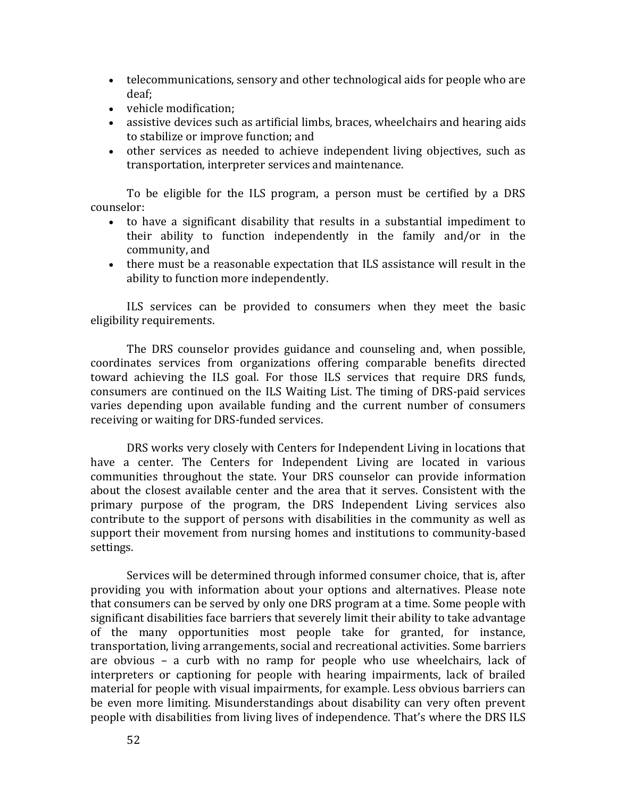- telecommunications, sensory and other technological aids for people who are deaf;
- vehicle modification;
- assistive devices such as artificial limbs, braces, wheelchairs and hearing aids to stabilize or improve function; and
- other services as needed to achieve independent living objectives, such as transportation, interpreter services and maintenance.

To be eligible for the ILS program, a person must be certified by a DRS counselor:

- to have a significant disability that results in a substantial impediment to their ability to function independently in the family and/or in the community, and
- there must be a reasonable expectation that ILS assistance will result in the ability to function more independently.

ILS services can be provided to consumers when they meet the basic eligibility requirements.

The DRS counselor provides guidance and counseling and, when possible, coordinates services from organizations offering comparable benefits directed toward achieving the ILS goal. For those ILS services that require DRS funds, consumers are continued on the ILS Waiting List. The timing of DRS-paid services varies depending upon available funding and the current number of consumers receiving or waiting for DRS-funded services.

DRS works very closely with Centers for Independent Living in locations that have a center. The Centers for Independent Living are located in various communities throughout the state. Your DRS counselor can provide information about the closest available center and the area that it serves. Consistent with the primary purpose of the program, the DRS Independent Living services also contribute to the support of persons with disabilities in the community as well as support their movement from nursing homes and institutions to community-based settings.

Services will be determined through informed consumer choice, that is, after providing you with information about your options and alternatives. Please note that consumers can be served by only one DRS program at a time. Some people with significant disabilities face barriers that severely limit their ability to take advantage of the many opportunities most people take for granted, for instance, transportation, living arrangements, social and recreational activities. Some barriers are obvious – a curb with no ramp for people who use wheelchairs, lack of interpreters or captioning for people with hearing impairments, lack of brailed material for people with visual impairments, for example. Less obvious barriers can be even more limiting. Misunderstandings about disability can very often prevent people with disabilities from living lives of independence. That's where the DRS ILS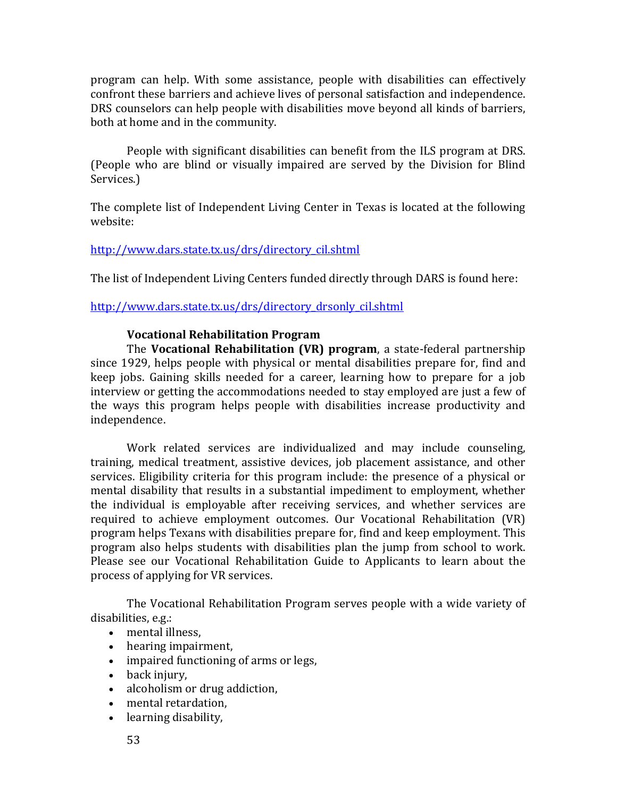program can help. With some assistance, people with disabilities can effectively confront these barriers and achieve lives of personal satisfaction and independence. DRS counselors can help people with disabilities move beyond all kinds of barriers, both at home and in the community.

People with significant disabilities can benefit from the ILS program at DRS. (People who are blind or visually impaired are served by the Division for Blind Services.)

The complete list of Independent Living Center in Texas is located at the following website:

### [http://www.dars.state.tx.us/drs/directory\\_cil.shtml](http://www.dars.state.tx.us/drs/directory_cil.shtml)

The list of Independent Living Centers funded directly through DARS is found here:

[http://www.dars.state.tx.us/drs/directory\\_drsonly\\_cil.shtml](http://www.dars.state.tx.us/drs/directory_drsonly_cil.shtml) 

### **Vocational Rehabilitation Program**

The **Vocational Rehabilitation (VR) program**, a state-federal partnership since 1929, helps people with physical or mental disabilities prepare for, find and keep jobs. Gaining skills needed for a career, learning how to prepare for a job interview or getting the accommodations needed to stay employed are just a few of the ways this program helps people with disabilities increase productivity and independence.

Work related services are individualized and may include counseling, training, medical treatment, assistive devices, job placement assistance, and other services. Eligibility criteria for this program include: the presence of a physical or mental disability that results in a substantial impediment to employment, whether the individual is employable after receiving services, and whether services are required to achieve employment outcomes. Our Vocational Rehabilitation (VR) program helps Texans with disabilities prepare for, find and keep employment. This program also helps students with disabilities plan the jump from school to work. Please see our Vocational Rehabilitation Guide to Applicants to learn about the process of applying for VR services.

The Vocational Rehabilitation Program serves people with a wide variety of disabilities, e.g.:

- mental illness,
- hearing impairment,
- impaired functioning of arms or legs,
- back injury,
- alcoholism or drug addiction,
- mental retardation,
- learning disability,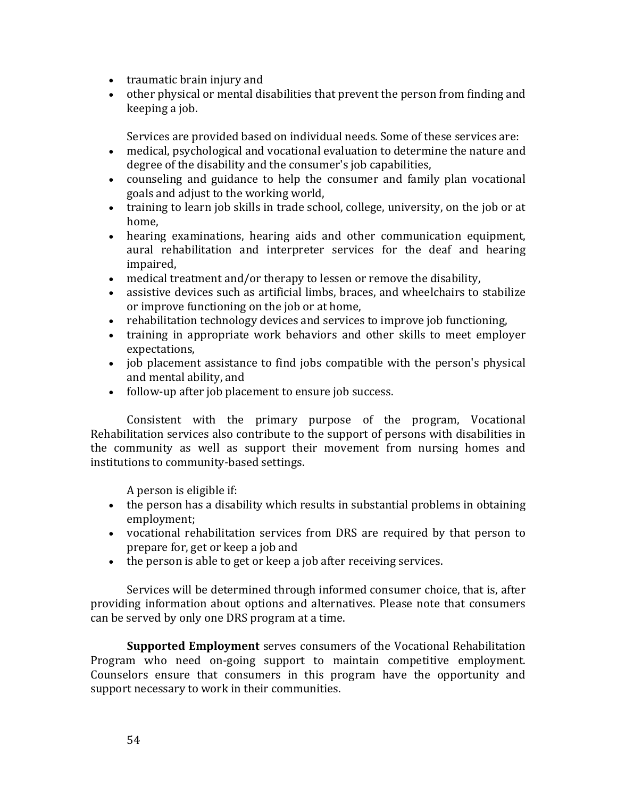- traumatic brain injury and
- other physical or mental disabilities that prevent the person from finding and keeping a job.

Services are provided based on individual needs. Some of these services are:

- medical, psychological and vocational evaluation to determine the nature and degree of the disability and the consumer's job capabilities,
- counseling and guidance to help the consumer and family plan vocational goals and adjust to the working world,
- training to learn job skills in trade school, college, university, on the job or at home,
- hearing examinations, hearing aids and other communication equipment, aural rehabilitation and interpreter services for the deaf and hearing impaired,
- medical treatment and/or therapy to lessen or remove the disability,
- assistive devices such as artificial limbs, braces, and wheelchairs to stabilize or improve functioning on the job or at home,
- rehabilitation technology devices and services to improve job functioning,
- training in appropriate work behaviors and other skills to meet employer expectations,
- job placement assistance to find jobs compatible with the person's physical and mental ability, and
- follow-up after job placement to ensure job success.

Consistent with the primary purpose of the program, Vocational Rehabilitation services also contribute to the support of persons with disabilities in the community as well as support their movement from nursing homes and institutions to community-based settings.

A person is eligible if:

- the person has a disability which results in substantial problems in obtaining employment;
- vocational rehabilitation services from DRS are required by that person to prepare for, get or keep a job and
- the person is able to get or keep a job after receiving services.

Services will be determined through informed consumer choice, that is, after providing information about options and alternatives. Please note that consumers can be served by only one DRS program at a time.

**Supported Employment** serves consumers of the Vocational Rehabilitation Program who need on-going support to maintain competitive employment. Counselors ensure that consumers in this program have the opportunity and support necessary to work in their communities.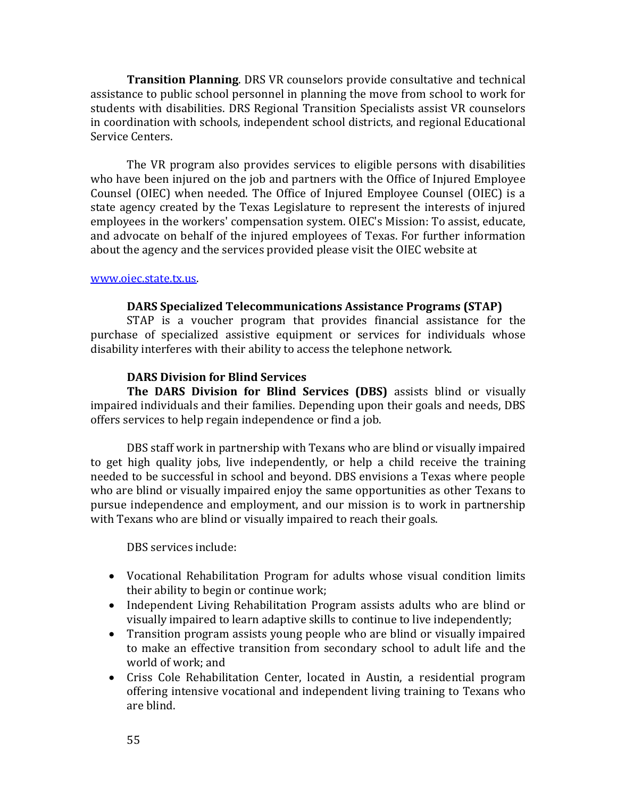**Transition Planning**. DRS VR counselors provide consultative and technical assistance to public school personnel in planning the move from school to work for students with disabilities. DRS Regional Transition Specialists assist VR counselors in coordination with schools, independent school districts, and regional Educational Service Centers.

The VR program also provides services to eligible persons with disabilities who have been injured on the job and partners with the Office of Injured Employee Counsel (OIEC) when needed. The Office of Injured Employee Counsel (OIEC) is a state agency created by the Texas Legislature to represent the interests of injured employees in the workers' compensation system. OIEC's Mission: To assist, educate, and advocate on behalf of the injured employees of Texas. For further information about the agency and the services provided please visit the OIEC website at

#### [www.oiec.state.tx.us.](http://www.oiec.state.tx.us/)

### **DARS Specialized Telecommunications Assistance Programs (STAP)**

STAP is a voucher program that provides financial assistance for the purchase of specialized assistive equipment or services for individuals whose disability interferes with their ability to access the telephone network.

### **DARS Division for Blind Services**

**The DARS Division for Blind Services (DBS)** assists blind or visually impaired individuals and their families. Depending upon their goals and needs, DBS offers services to help regain independence or find a job.

DBS staff work in partnership with Texans who are blind or visually impaired to get high quality jobs, live independently, or help a child receive the training needed to be successful in school and beyond. DBS envisions a Texas where people who are blind or visually impaired enjoy the same opportunities as other Texans to pursue independence and employment, and our mission is to work in partnership with Texans who are blind or visually impaired to reach their goals.

DBS services include:

- Vocational Rehabilitation Program for adults whose visual condition limits their ability to begin or continue work;
- Independent Living Rehabilitation Program assists adults who are blind or visually impaired to learn adaptive skills to continue to live independently;
- Transition program assists young people who are blind or visually impaired to make an effective transition from secondary school to adult life and the world of work; and
- Criss Cole Rehabilitation Center, located in Austin, a residential program offering intensive vocational and independent living training to Texans who are blind.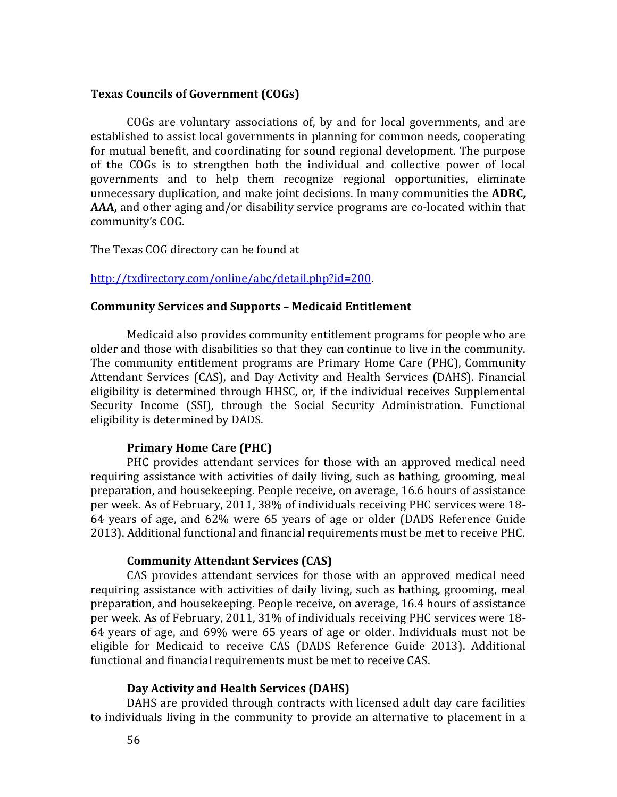### **Texas Councils of Government (COGs)**

COGs are voluntary associations of, by and for local governments, and are established to assist local governments in planning for common needs, cooperating for mutual benefit, and coordinating for sound regional development. The purpose of the COGs is to strengthen both the individual and collective power of local governments and to help them recognize regional opportunities, eliminate unnecessary duplication, and make joint decisions. In many communities the **ADRC, AAA,** and other aging and/or disability service programs are co-located within that community's COG.

The Texas COG directory can be found at

### [http://txdirectory.com/online/abc/detail.php?id=200.](http://txdirectory.com/online/abc/detail.php?id=200)

#### **Community Services and Supports – Medicaid Entitlement**

Medicaid also provides community entitlement programs for people who are older and those with disabilities so that they can continue to live in the community. The community entitlement programs are Primary Home Care (PHC), Community Attendant Services (CAS), and Day Activity and Health Services (DAHS). Financial eligibility is determined through HHSC, or, if the individual receives Supplemental Security Income (SSI), through the Social Security Administration. Functional eligibility is determined by DADS.

### **Primary Home Care (PHC)**

PHC provides attendant services for those with an approved medical need requiring assistance with activities of daily living, such as bathing, grooming, meal preparation, and housekeeping. People receive, on average, 16.6 hours of assistance per week. As of February, 2011, 38% of individuals receiving PHC services were 18- 64 years of age, and 62% were 65 years of age or older (DADS Reference Guide 2013). Additional functional and financial requirements must be met to receive PHC.

### **Community Attendant Services (CAS)**

CAS provides attendant services for those with an approved medical need requiring assistance with activities of daily living, such as bathing, grooming, meal preparation, and housekeeping. People receive, on average, 16.4 hours of assistance per week. As of February, 2011, 31% of individuals receiving PHC services were 18- 64 years of age, and 69% were 65 years of age or older. Individuals must not be eligible for Medicaid to receive CAS (DADS Reference Guide 2013). Additional functional and financial requirements must be met to receive CAS.

#### **Day Activity and Health Services (DAHS)**

DAHS are provided through contracts with licensed adult day care facilities to individuals living in the community to provide an alternative to placement in a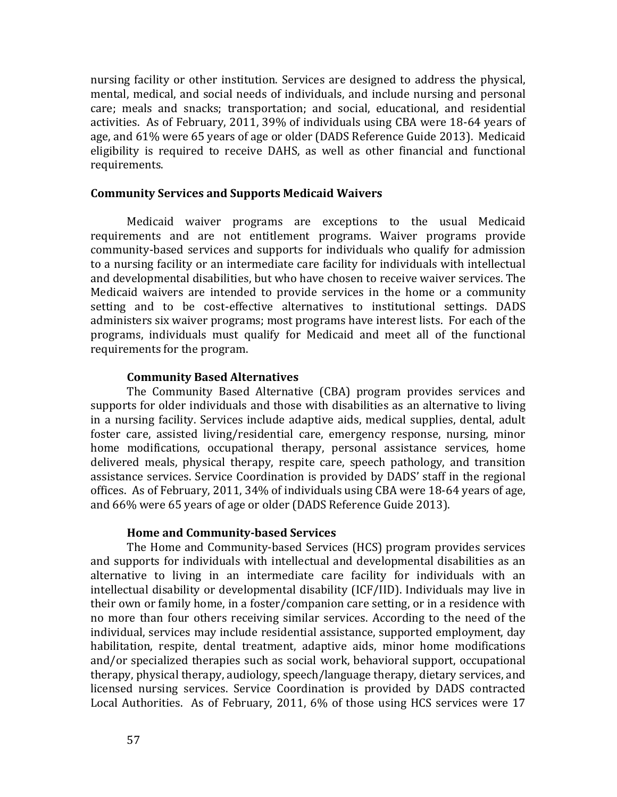nursing facility or other institution. Services are designed to address the physical, mental, medical, and social needs of individuals, and include nursing and personal care; meals and snacks; transportation; and social, educational, and residential activities. As of February, 2011, 39% of individuals using CBA were 18-64 years of age, and 61% were 65 years of age or older (DADS Reference Guide 2013). Medicaid eligibility is required to receive DAHS, as well as other financial and functional requirements.

### **Community Services and Supports Medicaid Waivers**

Medicaid waiver programs are exceptions to the usual Medicaid requirements and are not entitlement programs. Waiver programs provide community-based services and supports for individuals who qualify for admission to a nursing facility or an intermediate care facility for individuals with intellectual and developmental disabilities, but who have chosen to receive waiver services. The Medicaid waivers are intended to provide services in the home or a community setting and to be cost-effective alternatives to institutional settings. DADS administers six waiver programs; most programs have interest lists. For each of the programs, individuals must qualify for Medicaid and meet all of the functional requirements for the program.

### **Community Based Alternatives**

The Community Based Alternative (CBA) program provides services and supports for older individuals and those with disabilities as an alternative to living in a nursing facility. Services include adaptive aids, medical supplies, dental, adult foster care, assisted living/residential care, emergency response, nursing, minor home modifications, occupational therapy, personal assistance services, home delivered meals, physical therapy, respite care, speech pathology, and transition assistance services. Service Coordination is provided by DADS' staff in the regional offices. As of February, 2011, 34% of individuals using CBA were 18-64 years of age, and 66% were 65 years of age or older (DADS Reference Guide 2013).

#### **Home and Community-based Services**

The Home and Community-based Services (HCS) program provides services and supports for individuals with intellectual and developmental disabilities as an alternative to living in an intermediate care facility for individuals with an intellectual disability or developmental disability (ICF/IID). Individuals may live in their own or family home, in a foster/companion care setting, or in a residence with no more than four others receiving similar services. According to the need of the individual, services may include residential assistance, supported employment, day habilitation, respite, dental treatment, adaptive aids, minor home modifications and/or specialized therapies such as social work, behavioral support, occupational therapy, physical therapy, audiology, speech/language therapy, dietary services, and licensed nursing services. Service Coordination is provided by DADS contracted Local Authorities. As of February, 2011, 6% of those using HCS services were 17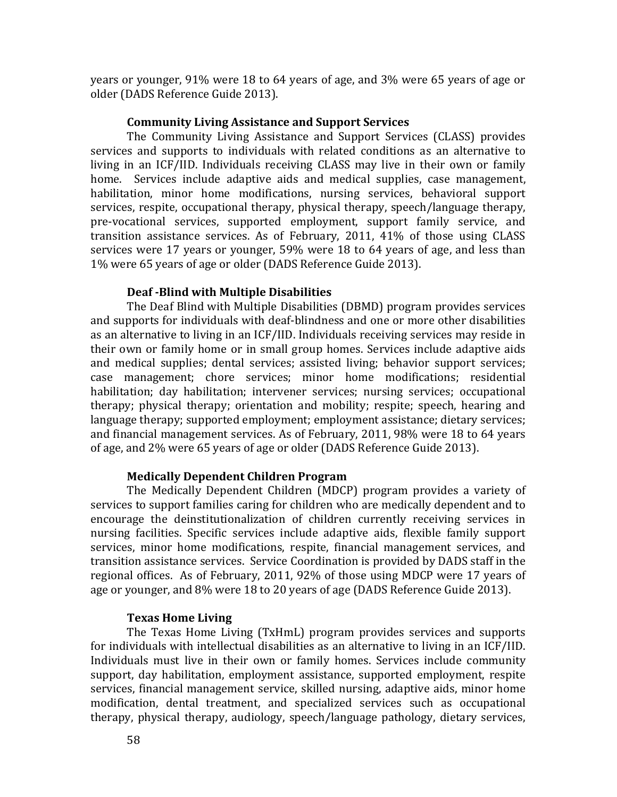years or younger, 91% were 18 to 64 years of age, and 3% were 65 years of age or older (DADS Reference Guide 2013).

#### **Community Living Assistance and Support Services**

The Community Living Assistance and Support Services (CLASS) provides services and supports to individuals with related conditions as an alternative to living in an ICF/IID. Individuals receiving CLASS may live in their own or family home. Services include adaptive aids and medical supplies, case management, habilitation, minor home modifications, nursing services, behavioral support services, respite, occupational therapy, physical therapy, speech/language therapy, pre-vocational services, supported employment, support family service, and transition assistance services. As of February, 2011, 41% of those using CLASS services were 17 years or younger, 59% were 18 to 64 years of age, and less than 1% were 65 years of age or older (DADS Reference Guide 2013).

#### **Deaf -Blind with Multiple Disabilities**

The Deaf Blind with Multiple Disabilities (DBMD) program provides services and supports for individuals with deaf-blindness and one or more other disabilities as an alternative to living in an ICF/IID. Individuals receiving services may reside in their own or family home or in small group homes. Services include adaptive aids and medical supplies; dental services; assisted living; behavior support services; case management; chore services; minor home modifications; residential habilitation; day habilitation; intervener services; nursing services; occupational therapy; physical therapy; orientation and mobility; respite; speech, hearing and language therapy; supported employment; employment assistance; dietary services; and financial management services. As of February, 2011, 98% were 18 to 64 years of age, and 2% were 65 years of age or older (DADS Reference Guide 2013).

### **Medically Dependent Children Program**

The Medically Dependent Children (MDCP) program provides a variety of services to support families caring for children who are medically dependent and to encourage the deinstitutionalization of children currently receiving services in nursing facilities. Specific services include adaptive aids, flexible family support services, minor home modifications, respite, financial management services, and transition assistance services. Service Coordination is provided by DADS staff in the regional offices. As of February, 2011, 92% of those using MDCP were 17 years of age or younger, and 8% were 18 to 20 years of age (DADS Reference Guide 2013).

#### **Texas Home Living**

The Texas Home Living (TxHmL) program provides services and supports for individuals with intellectual disabilities as an alternative to living in an ICF/IID. Individuals must live in their own or family homes. Services include community support, day habilitation, employment assistance, supported employment, respite services, financial management service, skilled nursing, adaptive aids, minor home modification, dental treatment, and specialized services such as occupational therapy, physical therapy, audiology, speech/language pathology, dietary services,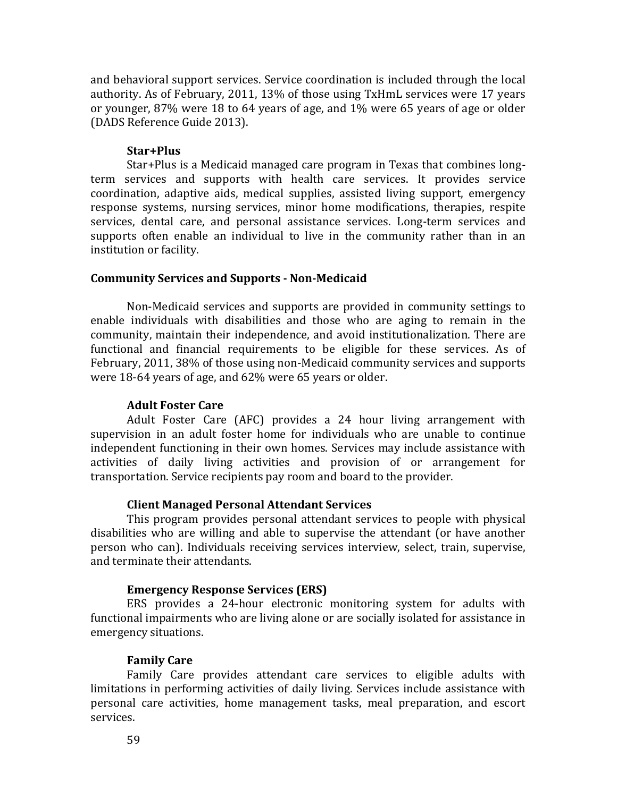and behavioral support services. Service coordination is included through the local authority. As of February, 2011, 13% of those using TxHmL services were 17 years or younger, 87% were 18 to 64 years of age, and 1% were 65 years of age or older (DADS Reference Guide 2013).

### **Star+Plus**

Star+Plus is a Medicaid managed care program in Texas that combines longterm services and supports with health care services. It provides service coordination, adaptive aids, medical supplies, assisted living support, emergency response systems, nursing services, minor home modifications, therapies, respite services, dental care, and personal assistance services. Long-term services and supports often enable an individual to live in the community rather than in an institution or facility.

#### **Community Services and Supports - Non-Medicaid**

Non-Medicaid services and supports are provided in community settings to enable individuals with disabilities and those who are aging to remain in the community, maintain their independence, and avoid institutionalization. There are functional and financial requirements to be eligible for these services. As of February, 2011, 38% of those using non-Medicaid community services and supports were 18-64 years of age, and 62% were 65 years or older.

### **Adult Foster Care**

Adult Foster Care (AFC) provides a 24 hour living arrangement with supervision in an adult foster home for individuals who are unable to continue independent functioning in their own homes. Services may include assistance with activities of daily living activities and provision of or arrangement for transportation. Service recipients pay room and board to the provider.

#### **Client Managed Personal Attendant Services**

This program provides personal attendant services to people with physical disabilities who are willing and able to supervise the attendant (or have another person who can). Individuals receiving services interview, select, train, supervise, and terminate their attendants.

#### **Emergency Response Services (ERS)**

ERS provides a 24-hour electronic monitoring system for adults with functional impairments who are living alone or are socially isolated for assistance in emergency situations.

### **Family Care**

Family Care provides attendant care services to eligible adults with limitations in performing activities of daily living. Services include assistance with personal care activities, home management tasks, meal preparation, and escort services.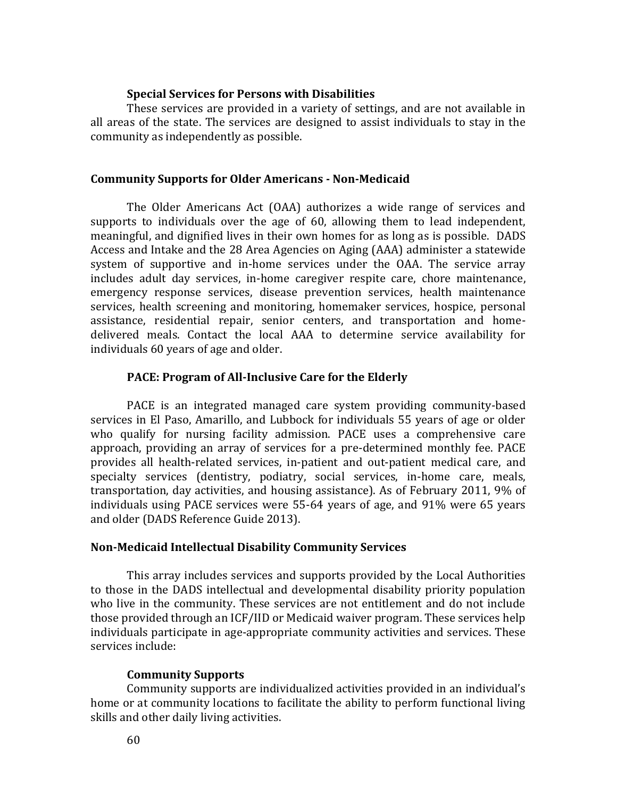### **Special Services for Persons with Disabilities**

These services are provided in a variety of settings, and are not available in all areas of the state. The services are designed to assist individuals to stay in the community as independently as possible.

#### **Community Supports for Older Americans - Non-Medicaid**

The Older Americans Act (OAA) authorizes a wide range of services and supports to individuals over the age of 60, allowing them to lead independent, meaningful, and dignified lives in their own homes for as long as is possible. DADS Access and Intake and the 28 Area Agencies on Aging (AAA) administer a statewide system of supportive and in-home services under the OAA. The service array includes adult day services, in-home caregiver respite care, chore maintenance, emergency response services, disease prevention services, health maintenance services, health screening and monitoring, homemaker services, hospice, personal assistance, residential repair, senior centers, and transportation and homedelivered meals. Contact the local AAA to determine service availability for individuals 60 years of age and older.

### **PACE: Program of All-Inclusive Care for the Elderly**

PACE is an integrated managed care system providing community-based services in El Paso, Amarillo, and Lubbock for individuals 55 years of age or older who qualify for nursing facility admission. PACE uses a comprehensive care approach, providing an array of services for a pre-determined monthly fee. PACE provides all health-related services, in-patient and out-patient medical care, and specialty services (dentistry, podiatry, social services, in-home care, meals, transportation, day activities, and housing assistance). As of February 2011, 9% of individuals using PACE services were 55-64 years of age, and 91% were 65 years and older (DADS Reference Guide 2013).

#### **Non-Medicaid Intellectual Disability Community Services**

This array includes services and supports provided by the Local Authorities to those in the DADS intellectual and developmental disability priority population who live in the community. These services are not entitlement and do not include those provided through an ICF/IID or Medicaid waiver program. These services help individuals participate in age-appropriate community activities and services. These services include:

#### **Community Supports**

Community supports are individualized activities provided in an individual's home or at community locations to facilitate the ability to perform functional living skills and other daily living activities.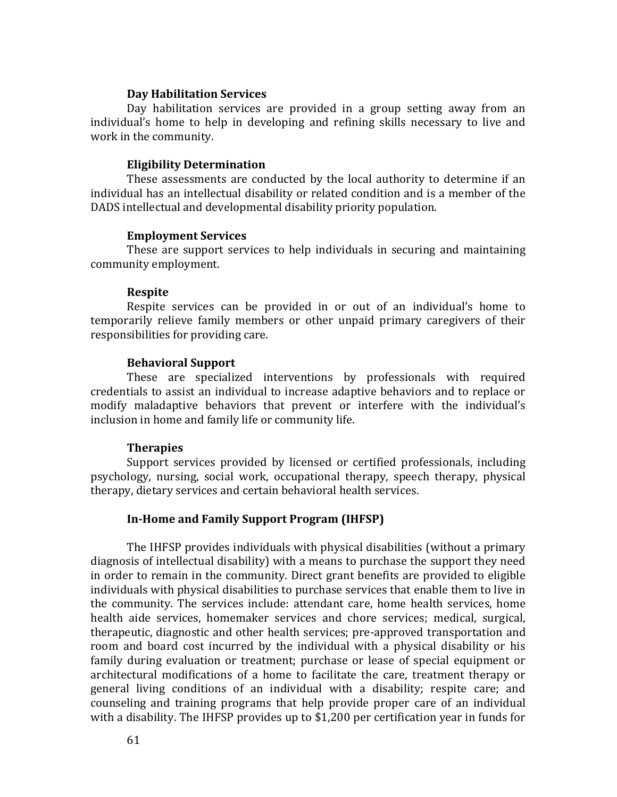### **Day Habilitation Services**

Day habilitation services are provided in a group setting away from an individual's home to help in developing and refining skills necessary to live and work in the community.

#### **Eligibility Determination**

These assessments are conducted by the local authority to determine if an individual has an intellectual disability or related condition and is a member of the DADS intellectual and developmental disability priority population.

#### **Employment Services**

These are support services to help individuals in securing and maintaining community employment.

#### **Respite**

Respite services can be provided in or out of an individual's home to temporarily relieve family members or other unpaid primary caregivers of their responsibilities for providing care.

#### **Behavioral Support**

These are specialized interventions by professionals with required credentials to assist an individual to increase adaptive behaviors and to replace or modify maladaptive behaviors that prevent or interfere with the individual's inclusion in home and family life or community life.

#### **Therapies**

Support services provided by licensed or certified professionals, including psychology, nursing, social work, occupational therapy, speech therapy, physical therapy, dietary services and certain behavioral health services.

#### **In-Home and Family Support Program (IHFSP)**

The IHFSP provides individuals with physical disabilities (without a primary diagnosis of intellectual disability) with a means to purchase the support they need in order to remain in the community. Direct grant benefits are provided to eligible individuals with physical disabilities to purchase services that enable them to live in the community. The services include: attendant care, home health services, home health aide services, homemaker services and chore services; medical, surgical, therapeutic, diagnostic and other health services; pre-approved transportation and room and board cost incurred by the individual with a physical disability or his family during evaluation or treatment; purchase or lease of special equipment or architectural modifications of a home to facilitate the care, treatment therapy or general living conditions of an individual with a disability; respite care; and counseling and training programs that help provide proper care of an individual with a disability. The IHFSP provides up to \$1,200 per certification year in funds for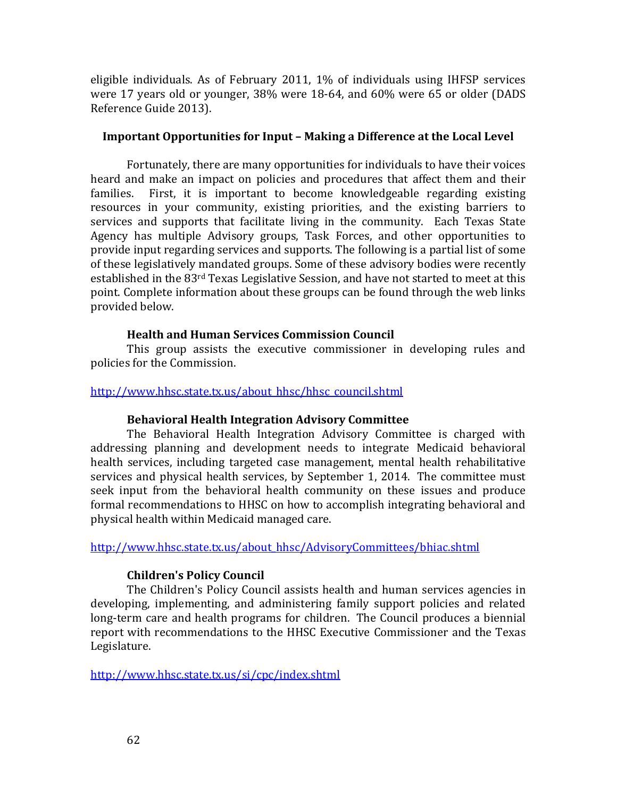eligible individuals. As of February 2011, 1% of individuals using IHFSP services were 17 years old or younger, 38% were 18-64, and 60% were 65 or older (DADS Reference Guide 2013).

### **Important Opportunities for Input – Making a Difference at the Local Level**

Fortunately, there are many opportunities for individuals to have their voices heard and make an impact on policies and procedures that affect them and their families. First, it is important to become knowledgeable regarding existing resources in your community, existing priorities, and the existing barriers to services and supports that facilitate living in the community. Each Texas State Agency has multiple Advisory groups, Task Forces, and other opportunities to provide input regarding services and supports. The following is a partial list of some of these legislatively mandated groups. Some of these advisory bodies were recently established in the 83rd Texas Legislative Session, and have not started to meet at this point. Complete information about these groups can be found through the web links provided below.

### **Health and Human Services Commission Council**

This group assists the executive commissioner in developing rules and policies for the Commission.

### http://www.hhsc.state.tx.us/about\_hhsc/hhsc\_council.shtml

# **Behavioral Health Integration Advisory Committee**

The Behavioral Health Integration Advisory Committee is charged with addressing planning and development needs to integrate Medicaid behavioral health services, including targeted case management, mental health rehabilitative services and physical health services, by September 1, 2014. The committee must seek input from the behavioral health community on these issues and produce formal recommendations to HHSC on how to accomplish integrating behavioral and physical health within Medicaid managed care.

[http://www.hhsc.state.tx.us/about\\_hhsc/AdvisoryCommittees/bhiac.shtml](http://www.hhsc.state.tx.us/about_hhsc/AdvisoryCommittees/bhiac.shtml)

# **Children's Policy Council**

The Children's Policy Council assists health and human services agencies in developing, implementing, and administering family support policies and related long-term care and health programs for children. The Council produces a biennial report with recommendations to the HHSC Executive Commissioner and the Texas Legislature.

<http://www.hhsc.state.tx.us/si/cpc/index.shtml>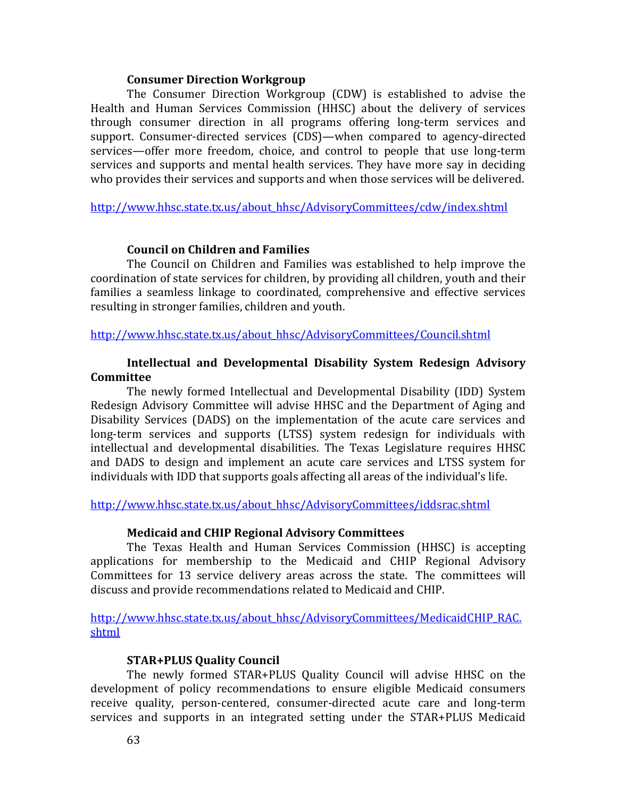### **Consumer Direction Workgroup**

The Consumer Direction Workgroup (CDW) is established to advise the Health and Human Services Commission (HHSC) about the delivery of services through consumer direction in all programs offering long-term services and support. Consumer-directed services (CDS)—when compared to agency-directed services—offer more freedom, choice, and control to people that use long-term services and supports and mental health services. They have more say in deciding who provides their services and supports and when those services will be delivered.

[http://www.hhsc.state.tx.us/about\\_hhsc/AdvisoryCommittees/cdw/index.shtml](http://www.hhsc.state.tx.us/about_hhsc/AdvisoryCommittees/cdw/index.shtml)

### **Council on Children and Families**

The Council on Children and Families was established to help improve the coordination of state services for children, by providing all children, youth and their families a seamless linkage to coordinated, comprehensive and effective services resulting in stronger families, children and youth.

[http://www.hhsc.state.tx.us/about\\_hhsc/AdvisoryCommittees/Council.shtml](http://www.hhsc.state.tx.us/about_hhsc/AdvisoryCommittees/Council.shtml) 

### **Intellectual and Developmental Disability System Redesign Advisory Committee**

The newly formed Intellectual and Developmental Disability (IDD) System Redesign Advisory Committee will advise HHSC and the Department of Aging and Disability Services (DADS) on the implementation of the acute care services and long-term services and supports (LTSS) system redesign for individuals with intellectual and developmental disabilities. The Texas Legislature requires HHSC and DADS to design and implement an acute care services and LTSS system for individuals with IDD that supports goals affecting all areas of the individual's life.

[http://www.hhsc.state.tx.us/about\\_hhsc/AdvisoryCommittees/iddsrac.shtml](http://www.hhsc.state.tx.us/about_hhsc/AdvisoryCommittees/iddsrac.shtml)

### **Medicaid and CHIP Regional Advisory Committees**

The Texas Health and Human Services Commission (HHSC) is accepting applications for membership to the Medicaid and CHIP Regional Advisory Committees for 13 service delivery areas across the state. The committees will discuss and provide recommendations related to Medicaid and CHIP.

[http://www.hhsc.state.tx.us/about\\_hhsc/AdvisoryCommittees/MedicaidCHIP\\_RAC.](http://www.hhsc.state.tx.us/about_hhsc/AdvisoryCommittees/MedicaidCHIP_RAC.shtml) [shtml](http://www.hhsc.state.tx.us/about_hhsc/AdvisoryCommittees/MedicaidCHIP_RAC.shtml)

### **STAR+PLUS Quality Council**

The newly formed STAR+PLUS Quality Council will advise HHSC on the development of policy recommendations to ensure eligible Medicaid consumers receive quality, person-centered, consumer-directed acute care and long-term services and supports in an integrated setting under the STAR+PLUS Medicaid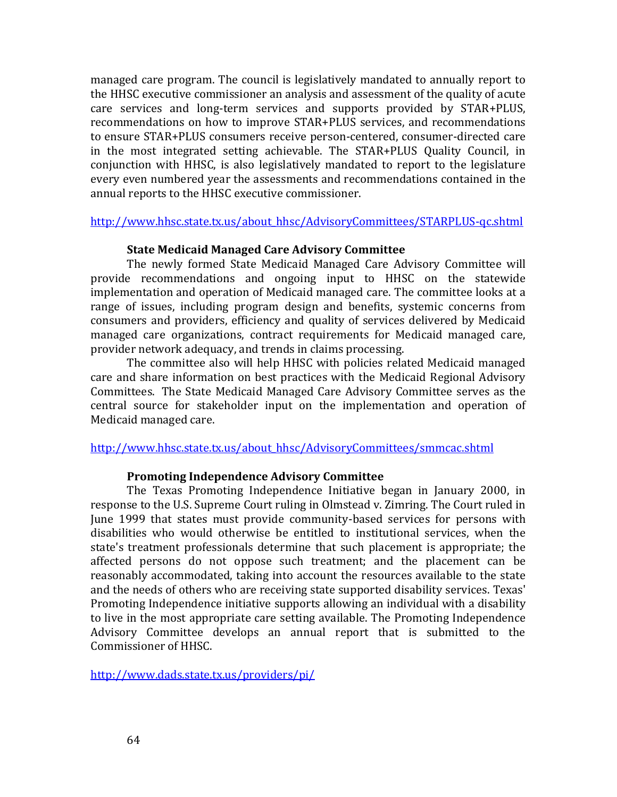managed care program. The council is legislatively mandated to annually report to the HHSC executive commissioner an analysis and assessment of the quality of acute care services and long-term services and supports provided by STAR+PLUS, recommendations on how to improve STAR+PLUS services, and recommendations to ensure STAR+PLUS consumers receive person-centered, consumer-directed care in the most integrated setting achievable. The STAR+PLUS Quality Council, in conjunction with HHSC, is also legislatively mandated to report to the legislature every even numbered year the assessments and recommendations contained in the annual reports to the HHSC executive commissioner.

### http://www.hhsc.state.tx.us/about\_hhsc/AdvisoryCommittees/STARPLUS-qc.shtml

### **State Medicaid Managed Care Advisory Committee**

The newly formed State Medicaid Managed Care Advisory Committee will provide recommendations and ongoing input to HHSC on the statewide implementation and operation of Medicaid managed care. The committee looks at a range of issues, including program design and benefits, systemic concerns from consumers and providers, efficiency and quality of services delivered by Medicaid managed care organizations, contract requirements for Medicaid managed care, provider network adequacy, and trends in claims processing.

The committee also will help HHSC with policies related Medicaid managed care and share information on best practices with the Medicaid Regional Advisory Committees. The State Medicaid Managed Care Advisory Committee serves as the central source for stakeholder input on the implementation and operation of Medicaid managed care.

[http://www.hhsc.state.tx.us/about\\_hhsc/AdvisoryCommittees/smmcac.shtml](http://www.hhsc.state.tx.us/about_hhsc/AdvisoryCommittees/smmcac.shtml) 

### **Promoting Independence Advisory Committee**

The Texas Promoting Independence Initiative began in January 2000, in response to the U.S. Supreme Court ruling in Olmstead v. Zimring. The Court ruled in June 1999 that states must provide community-based services for persons with disabilities who would otherwise be entitled to institutional services, when the state's treatment professionals determine that such placement is appropriate; the affected persons do not oppose such treatment; and the placement can be reasonably accommodated, taking into account the resources available to the state and the needs of others who are receiving state supported disability services. Texas' Promoting Independence initiative supports allowing an individual with a disability to live in the most appropriate care setting available. The Promoting Independence Advisory Committee develops an annual report that is submitted to the Commissioner of HHSC.

<http://www.dads.state.tx.us/providers/pi/>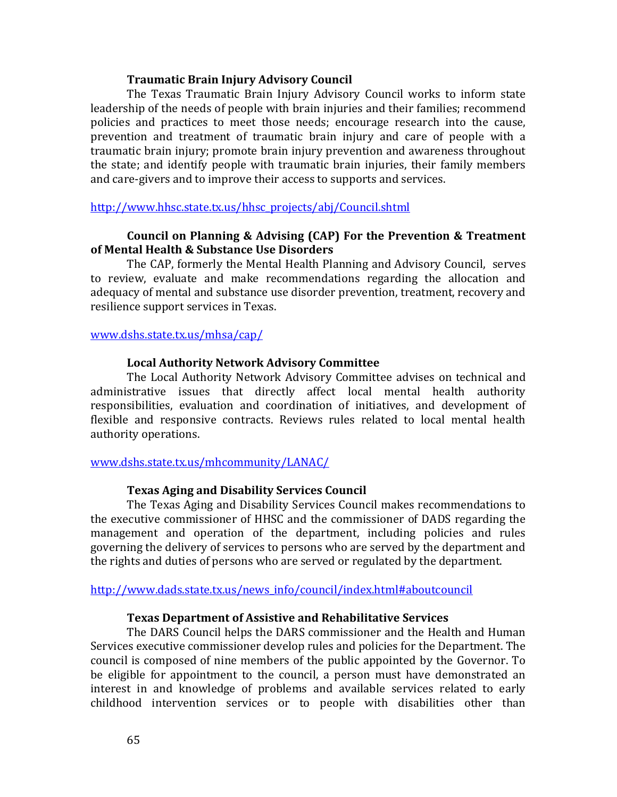### **Traumatic Brain Injury Advisory Council**

The Texas Traumatic Brain Injury Advisory Council works to inform state leadership of the needs of people with brain injuries and their families; recommend policies and practices to meet those needs; encourage research into the cause, prevention and treatment of traumatic brain injury and care of people with a traumatic brain injury; promote brain injury prevention and awareness throughout the state; and identify people with traumatic brain injuries, their family members and care-givers and to improve their access to supports and services.

### [http://www.hhsc.state.tx.us/hhsc\\_projects/abj/Council.shtml](http://www.hhsc.state.tx.us/hhsc_projects/abj/Council.shtml)

### **Council on Planning & Advising (CAP) For the Prevention & Treatment of Mental Health & Substance Use Disorders**

The CAP, formerly the Mental Health Planning and Advisory Council, serves to review, evaluate and make recommendations regarding the allocation and adequacy of mental and substance use disorder prevention, treatment, recovery and resilience support services in Texas.

#### [www.dshs.state.tx.us/mhsa/cap/](https://www.dshs.state.tx.us/mhsa/cap/)

#### **Local Authority Network Advisory Committee**

The Local Authority Network Advisory Committee advises on technical and administrative issues that directly affect local mental health authority responsibilities, evaluation and coordination of initiatives, and development of flexible and responsive contracts. Reviews rules related to local mental health authority operations.

#### [www.dshs.state.tx.us/mhcommunity/LANAC/](http://www.dshs.state.tx.us/mhcommunity/LANAC/)

#### **Texas Aging and Disability Services Council**

The Texas Aging and Disability Services Council makes recommendations to the executive commissioner of HHSC and the commissioner of DADS regarding the management and operation of the department, including policies and rules governing the delivery of services to persons who are served by the department and the rights and duties of persons who are served or regulated by the department.

#### [http://www.dads.state.tx.us/news\\_info/council/index.html#aboutcouncil](http://www.dads.state.tx.us/news_info/council/index.html#aboutcouncil)

#### **Texas Department of Assistive and Rehabilitative Services**

The DARS Council helps the DARS commissioner and the Health and Human Services executive commissioner develop rules and policies for the Department. The council is composed of nine members of the public appointed by the Governor. To be eligible for appointment to the council, a person must have demonstrated an interest in and knowledge of problems and available services related to early childhood intervention services or to people with disabilities other than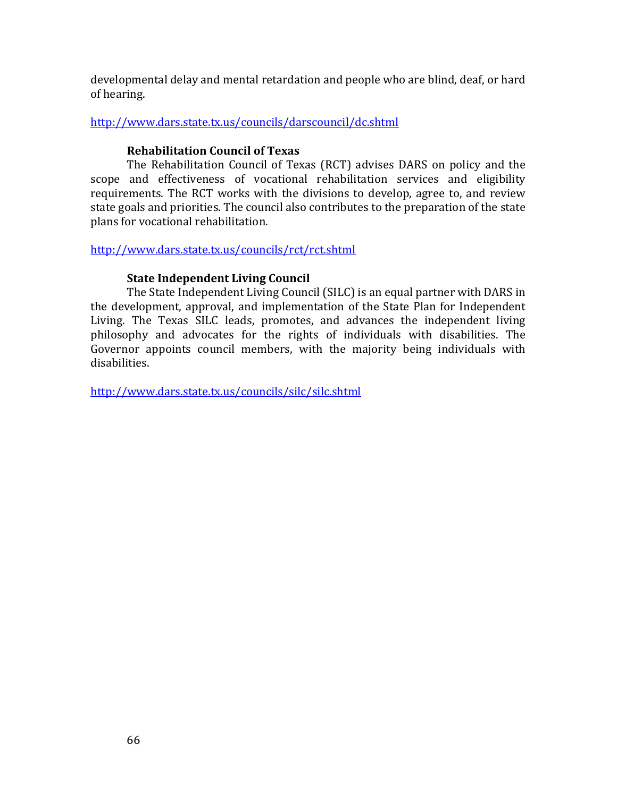developmental delay and mental retardation and people who are blind, deaf, or hard of hearing.

<http://www.dars.state.tx.us/councils/darscouncil/dc.shtml>

# **Rehabilitation Council of Texas**

The Rehabilitation Council of Texas (RCT) advises DARS on policy and the scope and effectiveness of vocational rehabilitation services and eligibility requirements. The RCT works with the divisions to develop, agree to, and review state goals and priorities. The council also contributes to the preparation of the state plans for vocational rehabilitation.

<http://www.dars.state.tx.us/councils/rct/rct.shtml>

# **State Independent Living Council**

The State Independent Living Council (SILC) is an equal partner with DARS in the development, approval, and implementation of the State Plan for Independent Living. The Texas SILC leads, promotes, and advances the independent living philosophy and advocates for the rights of individuals with disabilities. The Governor appoints council members, with the majority being individuals with disabilities.

<http://www.dars.state.tx.us/councils/silc/silc.shtml>